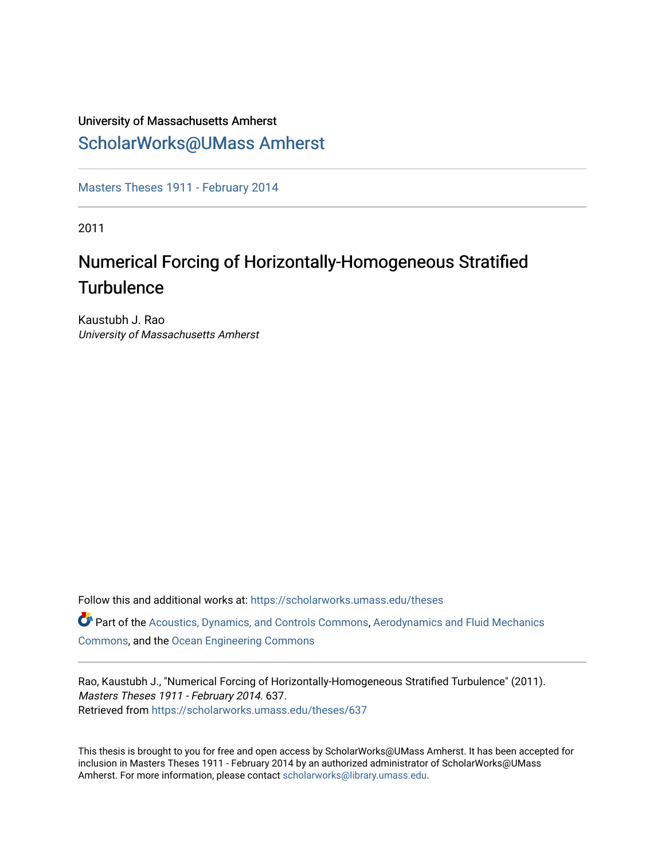# University of Massachusetts Amherst

## [ScholarWorks@UMass Amherst](https://scholarworks.umass.edu/)

[Masters Theses 1911 - February 2014](https://scholarworks.umass.edu/theses) 

2011

# Numerical Forcing of Horizontally-Homogeneous Stratified **Turbulence**

Kaustubh J. Rao University of Massachusetts Amherst

Follow this and additional works at: [https://scholarworks.umass.edu/theses](https://scholarworks.umass.edu/theses?utm_source=scholarworks.umass.edu%2Ftheses%2F637&utm_medium=PDF&utm_campaign=PDFCoverPages) 

Part of the [Acoustics, Dynamics, and Controls Commons](http://network.bepress.com/hgg/discipline/294?utm_source=scholarworks.umass.edu%2Ftheses%2F637&utm_medium=PDF&utm_campaign=PDFCoverPages), [Aerodynamics and Fluid Mechanics](http://network.bepress.com/hgg/discipline/222?utm_source=scholarworks.umass.edu%2Ftheses%2F637&utm_medium=PDF&utm_campaign=PDFCoverPages)  [Commons](http://network.bepress.com/hgg/discipline/222?utm_source=scholarworks.umass.edu%2Ftheses%2F637&utm_medium=PDF&utm_campaign=PDFCoverPages), and the [Ocean Engineering Commons](http://network.bepress.com/hgg/discipline/302?utm_source=scholarworks.umass.edu%2Ftheses%2F637&utm_medium=PDF&utm_campaign=PDFCoverPages) 

Rao, Kaustubh J., "Numerical Forcing of Horizontally-Homogeneous Stratified Turbulence" (2011). Masters Theses 1911 - February 2014. 637. Retrieved from [https://scholarworks.umass.edu/theses/637](https://scholarworks.umass.edu/theses/637?utm_source=scholarworks.umass.edu%2Ftheses%2F637&utm_medium=PDF&utm_campaign=PDFCoverPages)

This thesis is brought to you for free and open access by ScholarWorks@UMass Amherst. It has been accepted for inclusion in Masters Theses 1911 - February 2014 by an authorized administrator of ScholarWorks@UMass Amherst. For more information, please contact [scholarworks@library.umass.edu](mailto:scholarworks@library.umass.edu).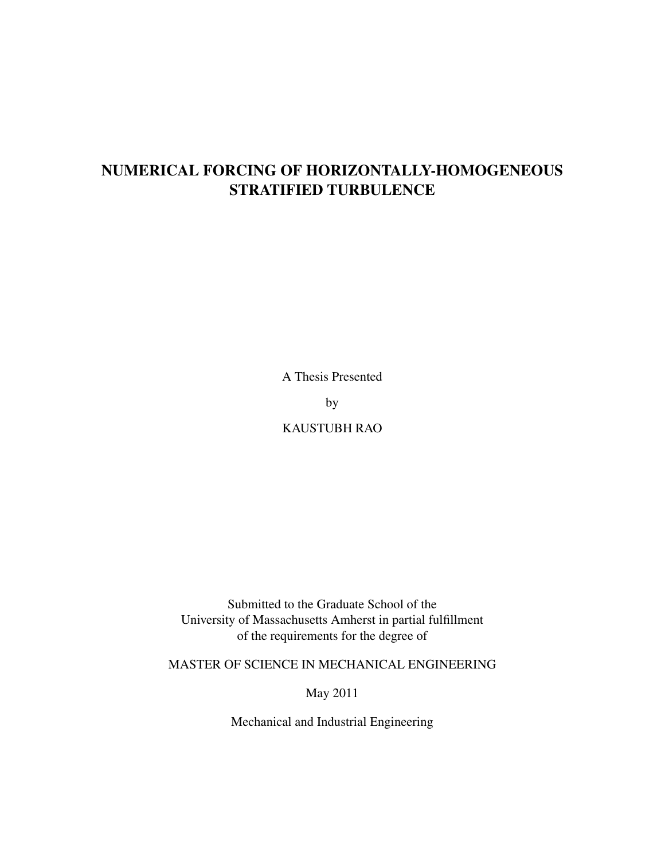# NUMERICAL FORCING OF HORIZONTALLY-HOMOGENEOUS STRATIFIED TURBULENCE

A Thesis Presented

by

KAUSTUBH RAO

Submitted to the Graduate School of the University of Massachusetts Amherst in partial fulfillment of the requirements for the degree of

MASTER OF SCIENCE IN MECHANICAL ENGINEERING

May 2011

Mechanical and Industrial Engineering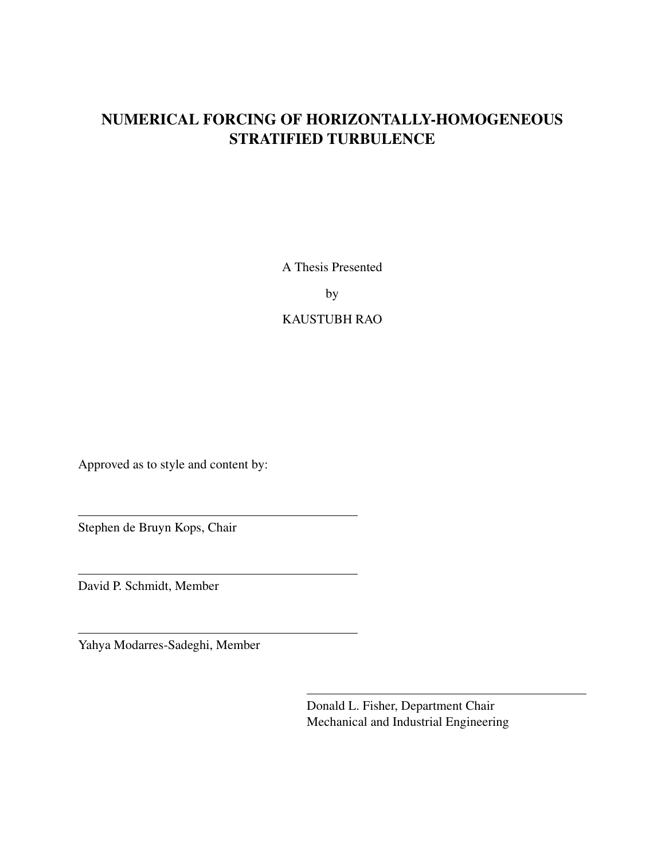## NUMERICAL FORCING OF HORIZONTALLY-HOMOGENEOUS STRATIFIED TURBULENCE

A Thesis Presented

by

### KAUSTUBH RAO

Approved as to style and content by:

Stephen de Bruyn Kops, Chair

David P. Schmidt, Member

Yahya Modarres-Sadeghi, Member

Donald L. Fisher, Department Chair Mechanical and Industrial Engineering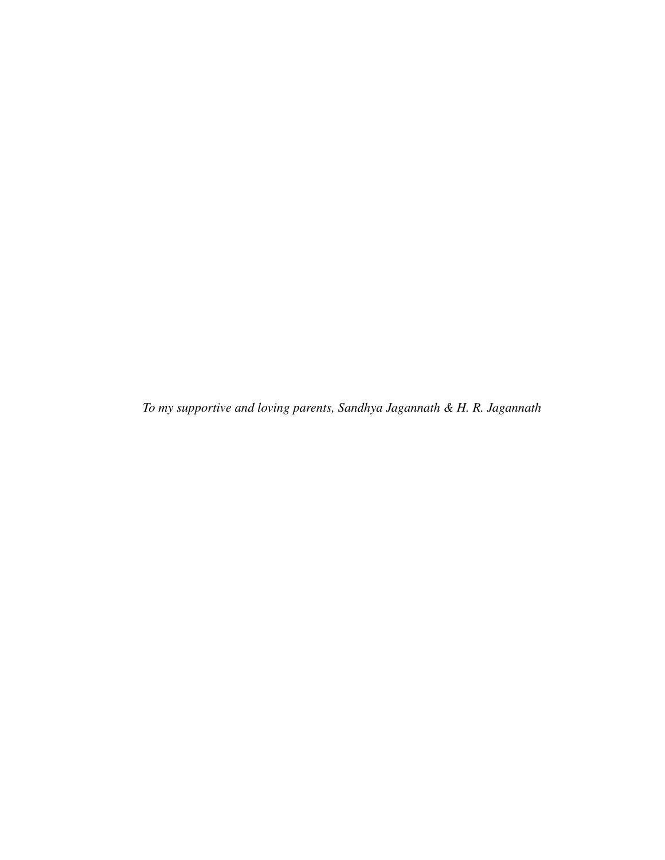*To my supportive and loving parents, Sandhya Jagannath & H. R. Jagannath*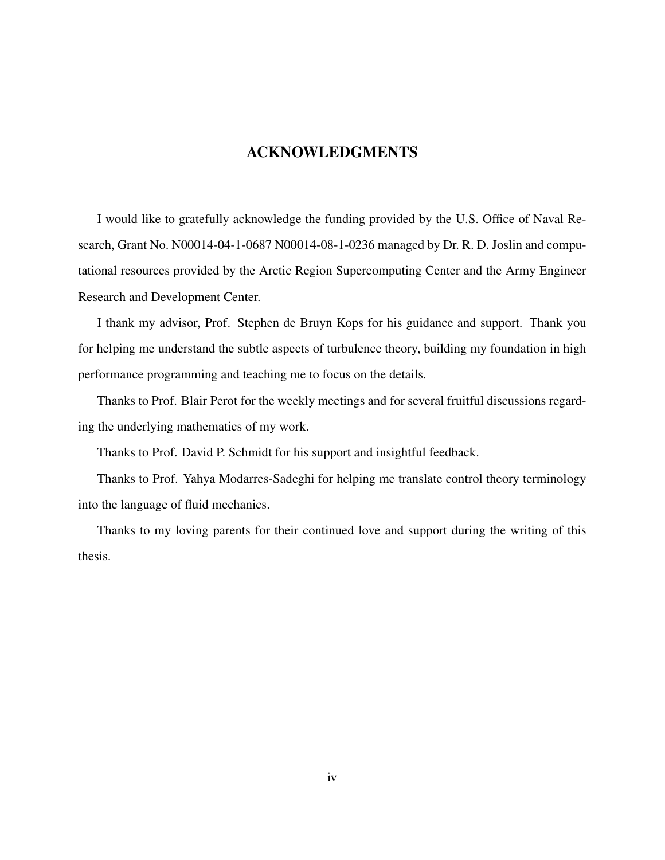#### ACKNOWLEDGMENTS

I would like to gratefully acknowledge the funding provided by the U.S. Office of Naval Research, Grant No. N00014-04-1-0687 N00014-08-1-0236 managed by Dr. R. D. Joslin and computational resources provided by the Arctic Region Supercomputing Center and the Army Engineer Research and Development Center.

I thank my advisor, Prof. Stephen de Bruyn Kops for his guidance and support. Thank you for helping me understand the subtle aspects of turbulence theory, building my foundation in high performance programming and teaching me to focus on the details.

Thanks to Prof. Blair Perot for the weekly meetings and for several fruitful discussions regarding the underlying mathematics of my work.

Thanks to Prof. David P. Schmidt for his support and insightful feedback.

Thanks to Prof. Yahya Modarres-Sadeghi for helping me translate control theory terminology into the language of fluid mechanics.

Thanks to my loving parents for their continued love and support during the writing of this thesis.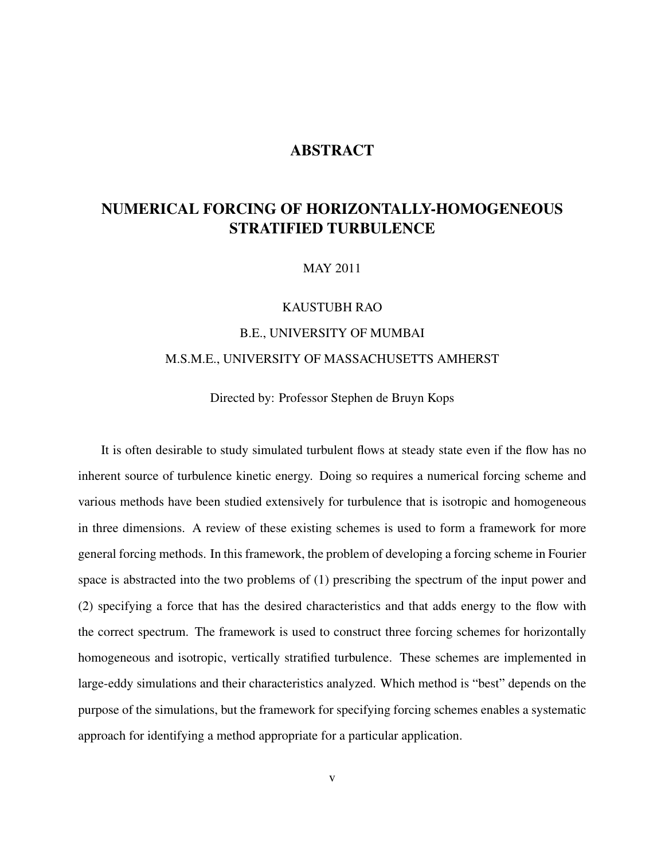### **ABSTRACT**

## NUMERICAL FORCING OF HORIZONTALLY-HOMOGENEOUS STRATIFIED TURBULENCE

MAY 2011

# KAUSTUBH RAO B.E., UNIVERSITY OF MUMBAI M.S.M.E., UNIVERSITY OF MASSACHUSETTS AMHERST

Directed by: Professor Stephen de Bruyn Kops

It is often desirable to study simulated turbulent flows at steady state even if the flow has no inherent source of turbulence kinetic energy. Doing so requires a numerical forcing scheme and various methods have been studied extensively for turbulence that is isotropic and homogeneous in three dimensions. A review of these existing schemes is used to form a framework for more general forcing methods. In this framework, the problem of developing a forcing scheme in Fourier space is abstracted into the two problems of (1) prescribing the spectrum of the input power and (2) specifying a force that has the desired characteristics and that adds energy to the flow with the correct spectrum. The framework is used to construct three forcing schemes for horizontally homogeneous and isotropic, vertically stratified turbulence. These schemes are implemented in large-eddy simulations and their characteristics analyzed. Which method is "best" depends on the purpose of the simulations, but the framework for specifying forcing schemes enables a systematic approach for identifying a method appropriate for a particular application.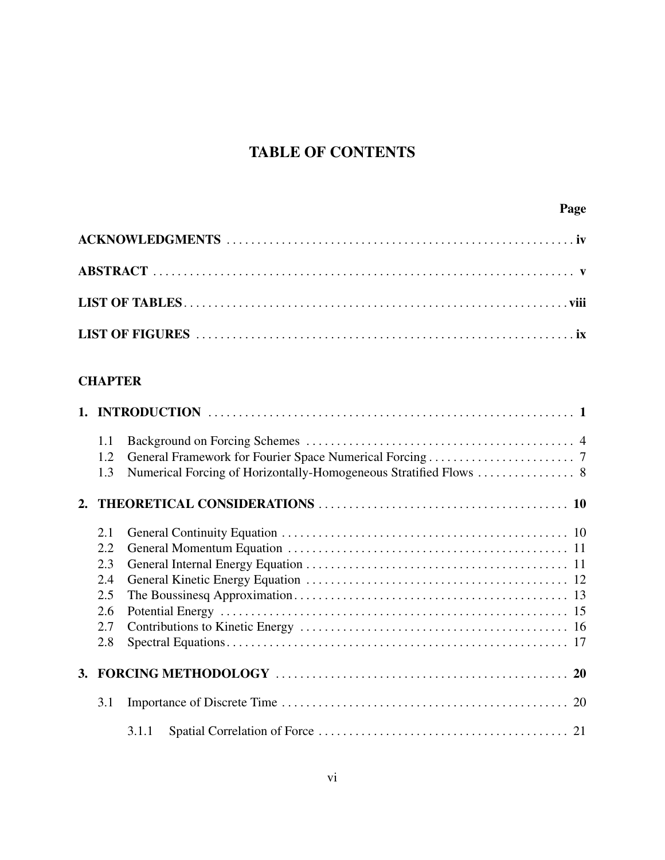# TABLE OF CONTENTS

## **CHAPTER**

|           | 1.1 |       |
|-----------|-----|-------|
|           | 1.2 |       |
|           | 1.3 |       |
|           |     |       |
|           | 2.1 |       |
|           | 2.2 |       |
|           |     |       |
|           | 2.3 |       |
|           | 2.4 |       |
|           | 2.5 |       |
|           | 2.6 |       |
|           | 2.7 |       |
|           | 2.8 |       |
| <b>3.</b> |     |       |
|           | 3.1 |       |
|           |     | 3.1.1 |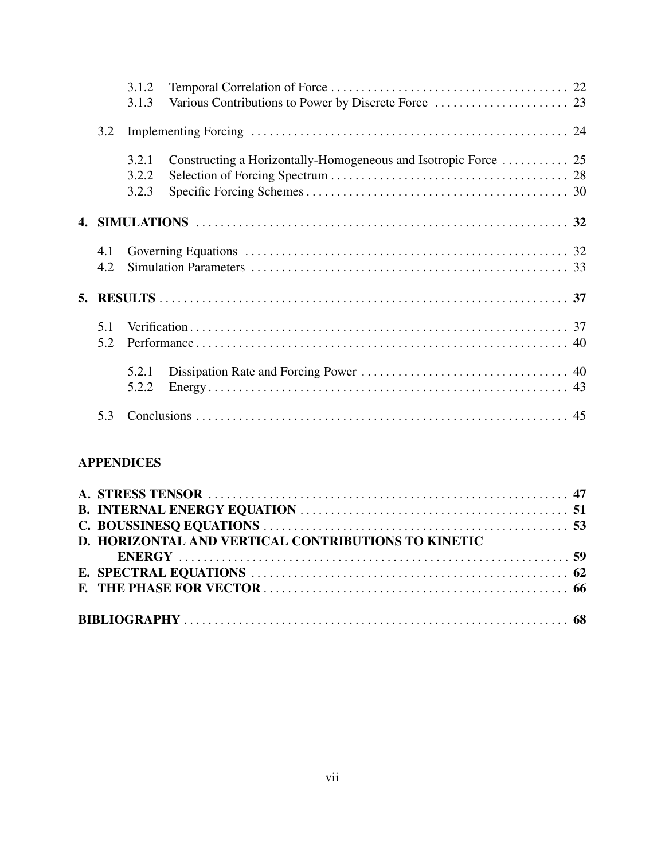|            | 3.1.2<br>3.1.3          |                                                                 |  |  |
|------------|-------------------------|-----------------------------------------------------------------|--|--|
| 3.2        |                         |                                                                 |  |  |
|            | 3.2.1<br>3.2.2<br>3.2.3 | Constructing a Horizontally-Homogeneous and Isotropic Force  25 |  |  |
|            |                         |                                                                 |  |  |
| 4.1<br>4.2 |                         |                                                                 |  |  |
|            |                         |                                                                 |  |  |
| 5.1<br>5.2 |                         |                                                                 |  |  |
|            | 5.2.1<br>5.2.2          |                                                                 |  |  |
| 5.3        |                         |                                                                 |  |  |

## APPENDICES

| D. HORIZONTAL AND VERTICAL CONTRIBUTIONS TO KINETIC |  |
|-----------------------------------------------------|--|
|                                                     |  |
|                                                     |  |
|                                                     |  |
|                                                     |  |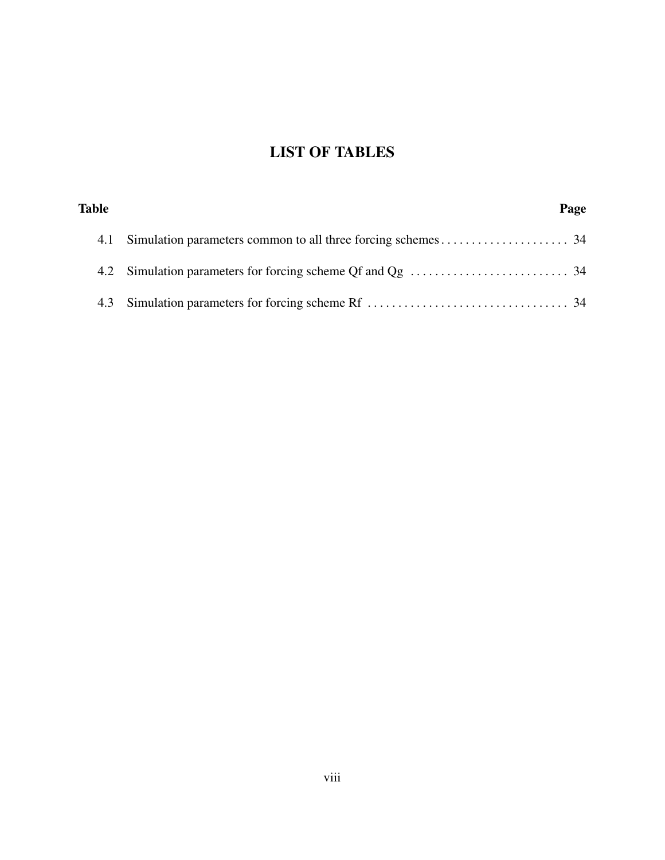# LIST OF TABLES

| Table | Page |  |
|-------|------|--|
|       |      |  |
|       |      |  |
|       |      |  |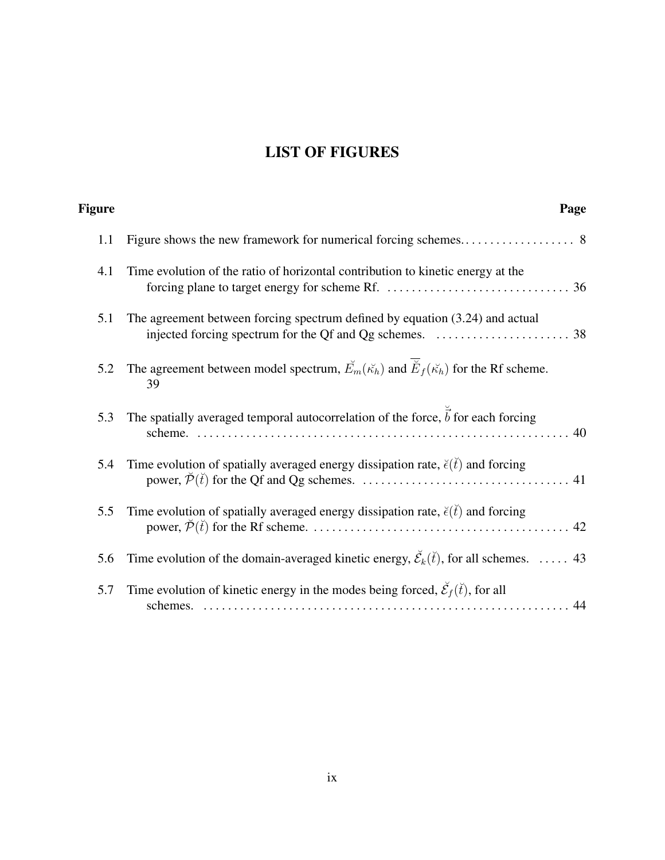# LIST OF FIGURES

| Page                                                                                                                         | Figure |
|------------------------------------------------------------------------------------------------------------------------------|--------|
|                                                                                                                              | 1.1    |
| Time evolution of the ratio of horizontal contribution to kinetic energy at the                                              | 4.1    |
| The agreement between forcing spectrum defined by equation (3.24) and actual                                                 | 5.1    |
| The agreement between model spectrum, $\mathbf{E}_m(\mathbf{K}_h)$ and $\mathbf{E}_f(\mathbf{K}_h)$ for the Rf scheme.<br>39 | 5.2    |
| The spatially averaged temporal autocorrelation of the force, $\vec{b}$ for each forcing                                     | 5.3    |
| Time evolution of spatially averaged energy dissipation rate, $\breve{\epsilon}(t)$ and forcing                              | 5.4    |
| Time evolution of spatially averaged energy dissipation rate, $\breve{\epsilon}(t)$ and forcing                              | 5.5    |
| Time evolution of the domain-averaged kinetic energy, $\check{\mathcal{E}}_k(\check{t})$ , for all schemes.  43              | 5.6    |
| Time evolution of kinetic energy in the modes being forced, $\check{\mathcal{E}}_f(\check{t})$ , for all<br>schemes.         | 5.7    |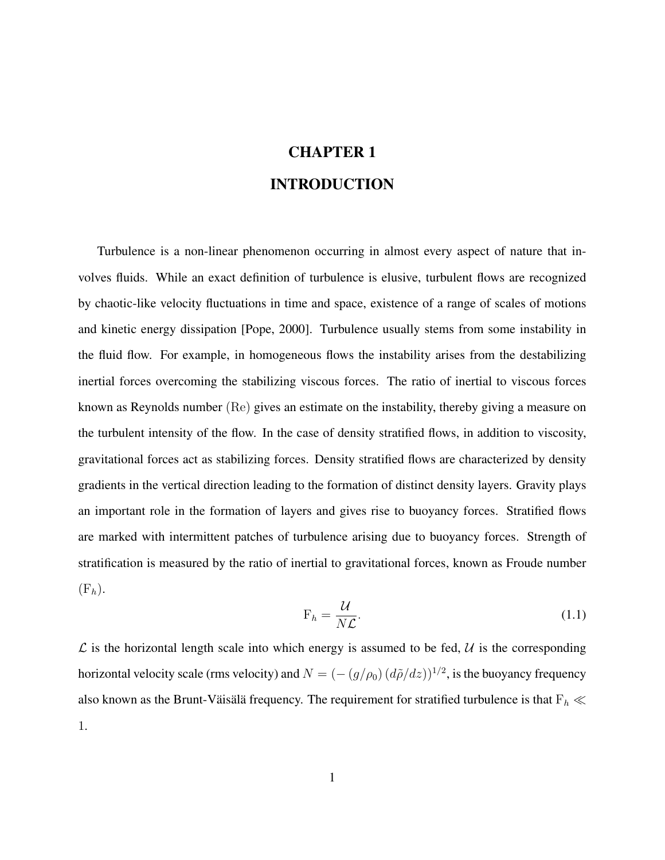# CHAPTER 1 INTRODUCTION

Turbulence is a non-linear phenomenon occurring in almost every aspect of nature that involves fluids. While an exact definition of turbulence is elusive, turbulent flows are recognized by chaotic-like velocity fluctuations in time and space, existence of a range of scales of motions and kinetic energy dissipation [Pope, 2000]. Turbulence usually stems from some instability in the fluid flow. For example, in homogeneous flows the instability arises from the destabilizing inertial forces overcoming the stabilizing viscous forces. The ratio of inertial to viscous forces known as Reynolds number (Re) gives an estimate on the instability, thereby giving a measure on the turbulent intensity of the flow. In the case of density stratified flows, in addition to viscosity, gravitational forces act as stabilizing forces. Density stratified flows are characterized by density gradients in the vertical direction leading to the formation of distinct density layers. Gravity plays an important role in the formation of layers and gives rise to buoyancy forces. Stratified flows are marked with intermittent patches of turbulence arising due to buoyancy forces. Strength of stratification is measured by the ratio of inertial to gravitational forces, known as Froude number  $(F_h)$ .

$$
F_h = \frac{\mathcal{U}}{N\mathcal{L}}.\tag{1.1}
$$

 $\mathcal L$  is the horizontal length scale into which energy is assumed to be fed,  $\mathcal U$  is the corresponding horizontal velocity scale (rms velocity) and  $N = (- (g/\rho_0) (d\tilde{\rho}/dz))^{1/2}$ , is the buoyancy frequency also known as the Brunt-Väisälä frequency. The requirement for stratified turbulence is that  $F_h \ll$ 1.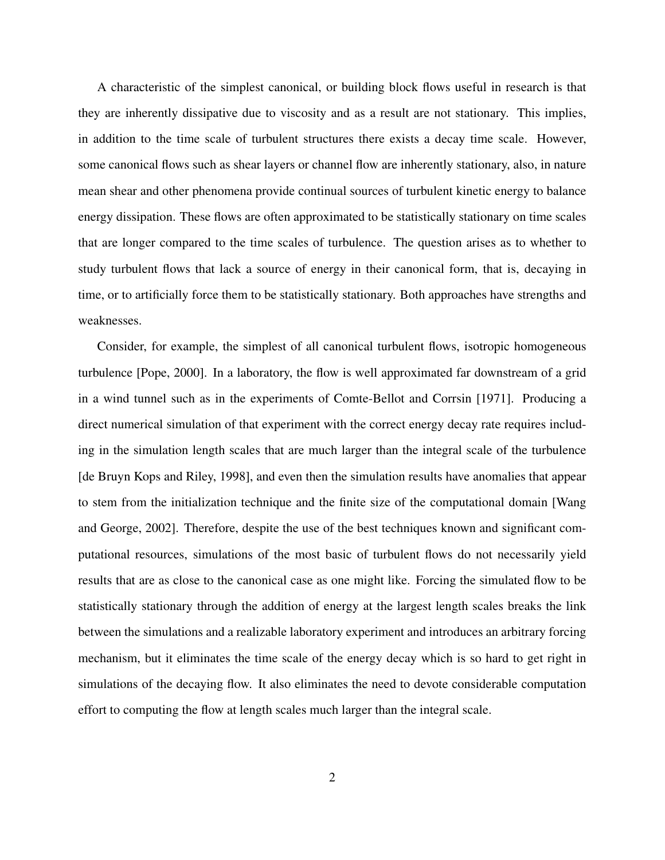A characteristic of the simplest canonical, or building block flows useful in research is that they are inherently dissipative due to viscosity and as a result are not stationary. This implies, in addition to the time scale of turbulent structures there exists a decay time scale. However, some canonical flows such as shear layers or channel flow are inherently stationary, also, in nature mean shear and other phenomena provide continual sources of turbulent kinetic energy to balance energy dissipation. These flows are often approximated to be statistically stationary on time scales that are longer compared to the time scales of turbulence. The question arises as to whether to study turbulent flows that lack a source of energy in their canonical form, that is, decaying in time, or to artificially force them to be statistically stationary. Both approaches have strengths and weaknesses.

Consider, for example, the simplest of all canonical turbulent flows, isotropic homogeneous turbulence [Pope, 2000]. In a laboratory, the flow is well approximated far downstream of a grid in a wind tunnel such as in the experiments of Comte-Bellot and Corrsin [1971]. Producing a direct numerical simulation of that experiment with the correct energy decay rate requires including in the simulation length scales that are much larger than the integral scale of the turbulence [de Bruyn Kops and Riley, 1998], and even then the simulation results have anomalies that appear to stem from the initialization technique and the finite size of the computational domain [Wang and George, 2002]. Therefore, despite the use of the best techniques known and significant computational resources, simulations of the most basic of turbulent flows do not necessarily yield results that are as close to the canonical case as one might like. Forcing the simulated flow to be statistically stationary through the addition of energy at the largest length scales breaks the link between the simulations and a realizable laboratory experiment and introduces an arbitrary forcing mechanism, but it eliminates the time scale of the energy decay which is so hard to get right in simulations of the decaying flow. It also eliminates the need to devote considerable computation effort to computing the flow at length scales much larger than the integral scale.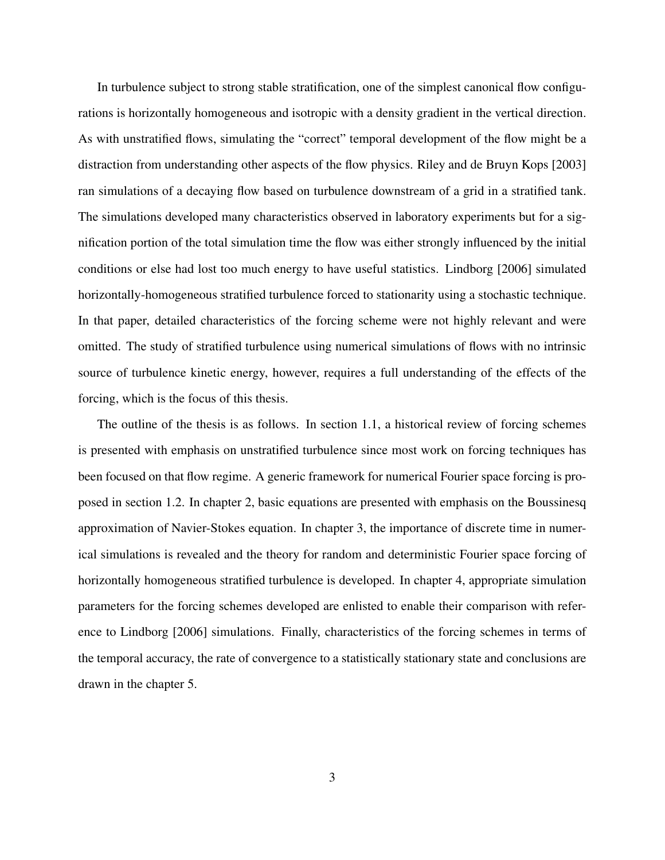In turbulence subject to strong stable stratification, one of the simplest canonical flow configurations is horizontally homogeneous and isotropic with a density gradient in the vertical direction. As with unstratified flows, simulating the "correct" temporal development of the flow might be a distraction from understanding other aspects of the flow physics. Riley and de Bruyn Kops [2003] ran simulations of a decaying flow based on turbulence downstream of a grid in a stratified tank. The simulations developed many characteristics observed in laboratory experiments but for a signification portion of the total simulation time the flow was either strongly influenced by the initial conditions or else had lost too much energy to have useful statistics. Lindborg [2006] simulated horizontally-homogeneous stratified turbulence forced to stationarity using a stochastic technique. In that paper, detailed characteristics of the forcing scheme were not highly relevant and were omitted. The study of stratified turbulence using numerical simulations of flows with no intrinsic source of turbulence kinetic energy, however, requires a full understanding of the effects of the forcing, which is the focus of this thesis.

The outline of the thesis is as follows. In section 1.1, a historical review of forcing schemes is presented with emphasis on unstratified turbulence since most work on forcing techniques has been focused on that flow regime. A generic framework for numerical Fourier space forcing is proposed in section 1.2. In chapter 2, basic equations are presented with emphasis on the Boussinesq approximation of Navier-Stokes equation. In chapter 3, the importance of discrete time in numerical simulations is revealed and the theory for random and deterministic Fourier space forcing of horizontally homogeneous stratified turbulence is developed. In chapter 4, appropriate simulation parameters for the forcing schemes developed are enlisted to enable their comparison with reference to Lindborg [2006] simulations. Finally, characteristics of the forcing schemes in terms of the temporal accuracy, the rate of convergence to a statistically stationary state and conclusions are drawn in the chapter 5.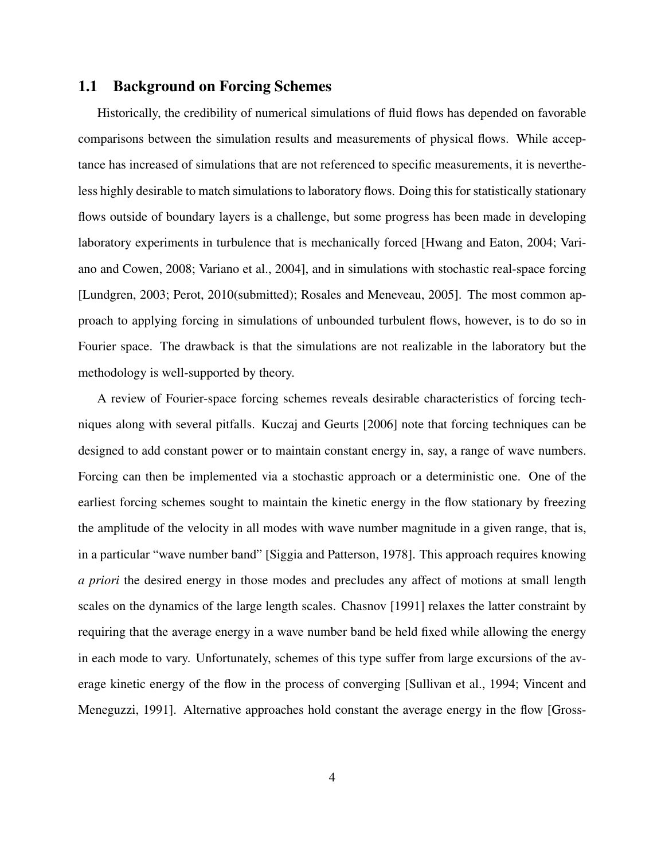#### 1.1 Background on Forcing Schemes

Historically, the credibility of numerical simulations of fluid flows has depended on favorable comparisons between the simulation results and measurements of physical flows. While acceptance has increased of simulations that are not referenced to specific measurements, it is nevertheless highly desirable to match simulations to laboratory flows. Doing this for statistically stationary flows outside of boundary layers is a challenge, but some progress has been made in developing laboratory experiments in turbulence that is mechanically forced [Hwang and Eaton, 2004; Variano and Cowen, 2008; Variano et al., 2004], and in simulations with stochastic real-space forcing [Lundgren, 2003; Perot, 2010(submitted); Rosales and Meneveau, 2005]. The most common approach to applying forcing in simulations of unbounded turbulent flows, however, is to do so in Fourier space. The drawback is that the simulations are not realizable in the laboratory but the methodology is well-supported by theory.

A review of Fourier-space forcing schemes reveals desirable characteristics of forcing techniques along with several pitfalls. Kuczaj and Geurts [2006] note that forcing techniques can be designed to add constant power or to maintain constant energy in, say, a range of wave numbers. Forcing can then be implemented via a stochastic approach or a deterministic one. One of the earliest forcing schemes sought to maintain the kinetic energy in the flow stationary by freezing the amplitude of the velocity in all modes with wave number magnitude in a given range, that is, in a particular "wave number band" [Siggia and Patterson, 1978]. This approach requires knowing *a priori* the desired energy in those modes and precludes any affect of motions at small length scales on the dynamics of the large length scales. Chasnov [1991] relaxes the latter constraint by requiring that the average energy in a wave number band be held fixed while allowing the energy in each mode to vary. Unfortunately, schemes of this type suffer from large excursions of the average kinetic energy of the flow in the process of converging [Sullivan et al., 1994; Vincent and Meneguzzi, 1991]. Alternative approaches hold constant the average energy in the flow [Gross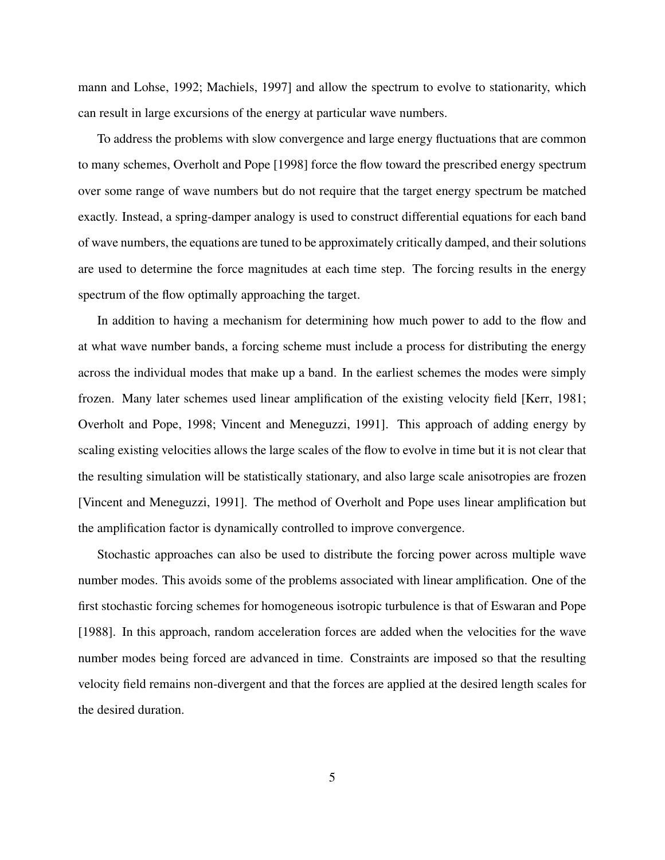mann and Lohse, 1992; Machiels, 1997] and allow the spectrum to evolve to stationarity, which can result in large excursions of the energy at particular wave numbers.

To address the problems with slow convergence and large energy fluctuations that are common to many schemes, Overholt and Pope [1998] force the flow toward the prescribed energy spectrum over some range of wave numbers but do not require that the target energy spectrum be matched exactly. Instead, a spring-damper analogy is used to construct differential equations for each band of wave numbers, the equations are tuned to be approximately critically damped, and their solutions are used to determine the force magnitudes at each time step. The forcing results in the energy spectrum of the flow optimally approaching the target.

In addition to having a mechanism for determining how much power to add to the flow and at what wave number bands, a forcing scheme must include a process for distributing the energy across the individual modes that make up a band. In the earliest schemes the modes were simply frozen. Many later schemes used linear amplification of the existing velocity field [Kerr, 1981; Overholt and Pope, 1998; Vincent and Meneguzzi, 1991]. This approach of adding energy by scaling existing velocities allows the large scales of the flow to evolve in time but it is not clear that the resulting simulation will be statistically stationary, and also large scale anisotropies are frozen [Vincent and Meneguzzi, 1991]. The method of Overholt and Pope uses linear amplification but the amplification factor is dynamically controlled to improve convergence.

Stochastic approaches can also be used to distribute the forcing power across multiple wave number modes. This avoids some of the problems associated with linear amplification. One of the first stochastic forcing schemes for homogeneous isotropic turbulence is that of Eswaran and Pope [1988]. In this approach, random acceleration forces are added when the velocities for the wave number modes being forced are advanced in time. Constraints are imposed so that the resulting velocity field remains non-divergent and that the forces are applied at the desired length scales for the desired duration.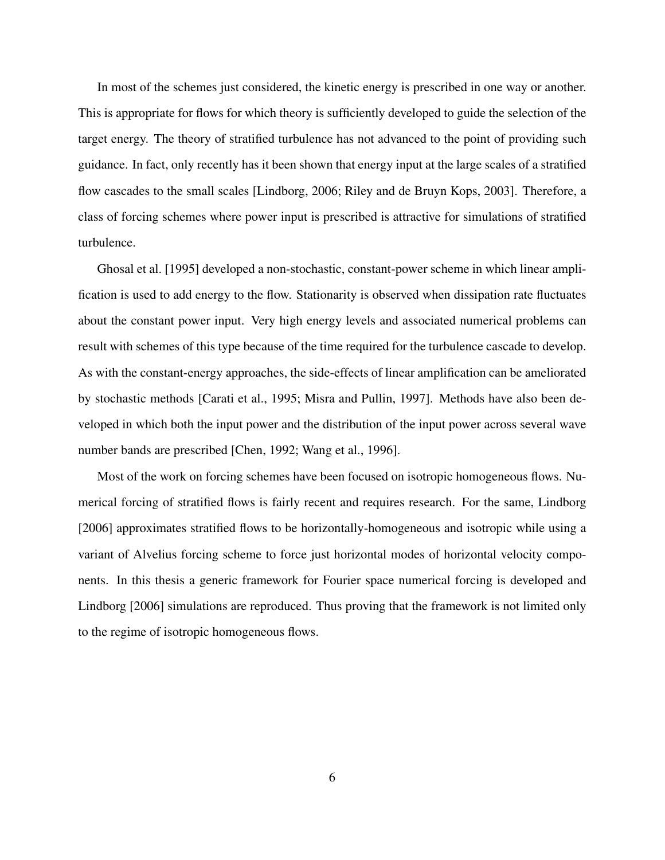In most of the schemes just considered, the kinetic energy is prescribed in one way or another. This is appropriate for flows for which theory is sufficiently developed to guide the selection of the target energy. The theory of stratified turbulence has not advanced to the point of providing such guidance. In fact, only recently has it been shown that energy input at the large scales of a stratified flow cascades to the small scales [Lindborg, 2006; Riley and de Bruyn Kops, 2003]. Therefore, a class of forcing schemes where power input is prescribed is attractive for simulations of stratified turbulence.

Ghosal et al. [1995] developed a non-stochastic, constant-power scheme in which linear amplification is used to add energy to the flow. Stationarity is observed when dissipation rate fluctuates about the constant power input. Very high energy levels and associated numerical problems can result with schemes of this type because of the time required for the turbulence cascade to develop. As with the constant-energy approaches, the side-effects of linear amplification can be ameliorated by stochastic methods [Carati et al., 1995; Misra and Pullin, 1997]. Methods have also been developed in which both the input power and the distribution of the input power across several wave number bands are prescribed [Chen, 1992; Wang et al., 1996].

Most of the work on forcing schemes have been focused on isotropic homogeneous flows. Numerical forcing of stratified flows is fairly recent and requires research. For the same, Lindborg [2006] approximates stratified flows to be horizontally-homogeneous and isotropic while using a variant of Alvelius forcing scheme to force just horizontal modes of horizontal velocity components. In this thesis a generic framework for Fourier space numerical forcing is developed and Lindborg [2006] simulations are reproduced. Thus proving that the framework is not limited only to the regime of isotropic homogeneous flows.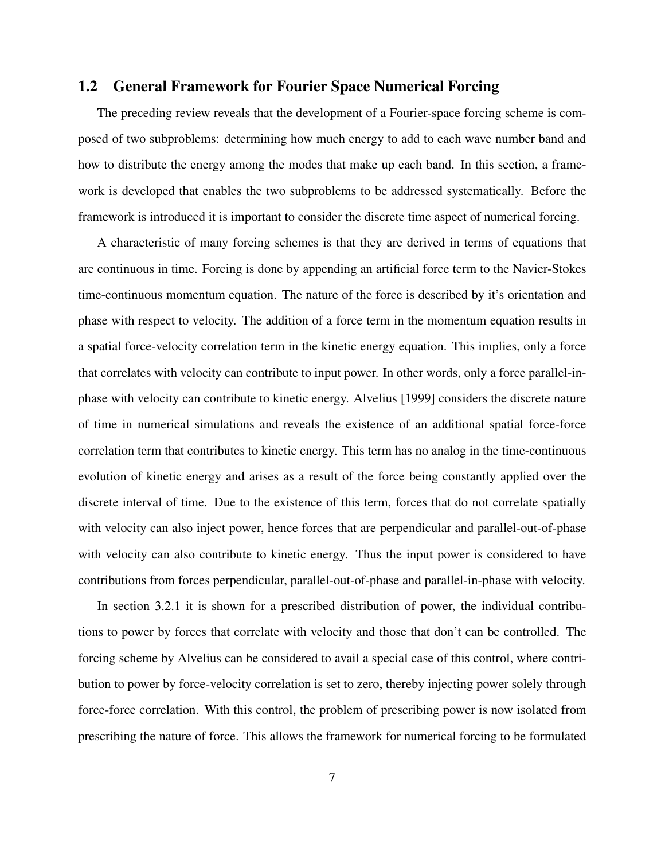#### 1.2 General Framework for Fourier Space Numerical Forcing

The preceding review reveals that the development of a Fourier-space forcing scheme is composed of two subproblems: determining how much energy to add to each wave number band and how to distribute the energy among the modes that make up each band. In this section, a framework is developed that enables the two subproblems to be addressed systematically. Before the framework is introduced it is important to consider the discrete time aspect of numerical forcing.

A characteristic of many forcing schemes is that they are derived in terms of equations that are continuous in time. Forcing is done by appending an artificial force term to the Navier-Stokes time-continuous momentum equation. The nature of the force is described by it's orientation and phase with respect to velocity. The addition of a force term in the momentum equation results in a spatial force-velocity correlation term in the kinetic energy equation. This implies, only a force that correlates with velocity can contribute to input power. In other words, only a force parallel-inphase with velocity can contribute to kinetic energy. Alvelius [1999] considers the discrete nature of time in numerical simulations and reveals the existence of an additional spatial force-force correlation term that contributes to kinetic energy. This term has no analog in the time-continuous evolution of kinetic energy and arises as a result of the force being constantly applied over the discrete interval of time. Due to the existence of this term, forces that do not correlate spatially with velocity can also inject power, hence forces that are perpendicular and parallel-out-of-phase with velocity can also contribute to kinetic energy. Thus the input power is considered to have contributions from forces perpendicular, parallel-out-of-phase and parallel-in-phase with velocity.

In section 3.2.1 it is shown for a prescribed distribution of power, the individual contributions to power by forces that correlate with velocity and those that don't can be controlled. The forcing scheme by Alvelius can be considered to avail a special case of this control, where contribution to power by force-velocity correlation is set to zero, thereby injecting power solely through force-force correlation. With this control, the problem of prescribing power is now isolated from prescribing the nature of force. This allows the framework for numerical forcing to be formulated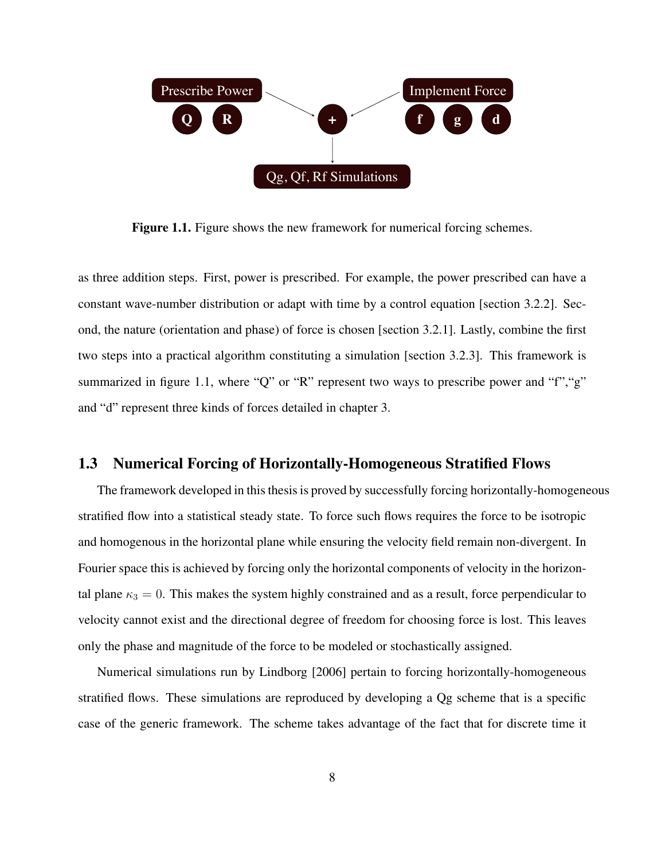

Figure 1.1. Figure shows the new framework for numerical forcing schemes.

as three addition steps. First, power is prescribed. For example, the power prescribed can have a constant wave-number distribution or adapt with time by a control equation [section 3.2.2]. Second, the nature (orientation and phase) of force is chosen [section 3.2.1]. Lastly, combine the first two steps into a practical algorithm constituting a simulation [section 3.2.3]. This framework is summarized in figure 1.1, where "Q" or "R" represent two ways to prescribe power and "f","g" and "d" represent three kinds of forces detailed in chapter 3.

#### 1.3 Numerical Forcing of Horizontally-Homogeneous Stratified Flows

The framework developed in this thesis is proved by successfully forcing horizontally-homogeneous stratified flow into a statistical steady state. To force such flows requires the force to be isotropic and homogenous in the horizontal plane while ensuring the velocity field remain non-divergent. In Fourier space this is achieved by forcing only the horizontal components of velocity in the horizontal plane  $\kappa_3 = 0$ . This makes the system highly constrained and as a result, force perpendicular to velocity cannot exist and the directional degree of freedom for choosing force is lost. This leaves only the phase and magnitude of the force to be modeled or stochastically assigned.

Numerical simulations run by Lindborg [2006] pertain to forcing horizontally-homogeneous stratified flows. These simulations are reproduced by developing a Qg scheme that is a specific case of the generic framework. The scheme takes advantage of the fact that for discrete time it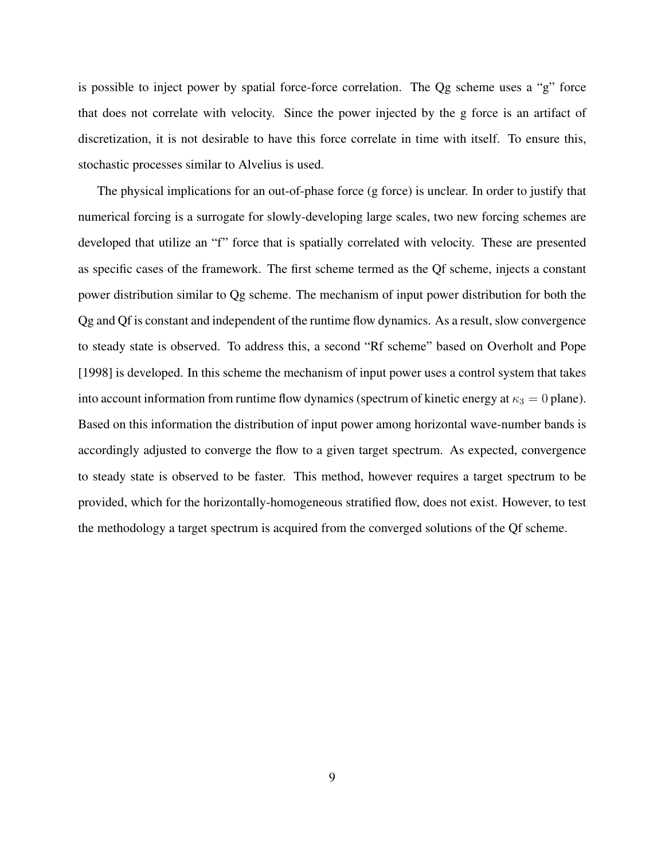is possible to inject power by spatial force-force correlation. The Qg scheme uses a "g" force that does not correlate with velocity. Since the power injected by the g force is an artifact of discretization, it is not desirable to have this force correlate in time with itself. To ensure this, stochastic processes similar to Alvelius is used.

The physical implications for an out-of-phase force (g force) is unclear. In order to justify that numerical forcing is a surrogate for slowly-developing large scales, two new forcing schemes are developed that utilize an "f" force that is spatially correlated with velocity. These are presented as specific cases of the framework. The first scheme termed as the Qf scheme, injects a constant power distribution similar to Qg scheme. The mechanism of input power distribution for both the Qg and Qf is constant and independent of the runtime flow dynamics. As a result, slow convergence to steady state is observed. To address this, a second "Rf scheme" based on Overholt and Pope [1998] is developed. In this scheme the mechanism of input power uses a control system that takes into account information from runtime flow dynamics (spectrum of kinetic energy at  $\kappa_3 = 0$  plane). Based on this information the distribution of input power among horizontal wave-number bands is accordingly adjusted to converge the flow to a given target spectrum. As expected, convergence to steady state is observed to be faster. This method, however requires a target spectrum to be provided, which for the horizontally-homogeneous stratified flow, does not exist. However, to test the methodology a target spectrum is acquired from the converged solutions of the Qf scheme.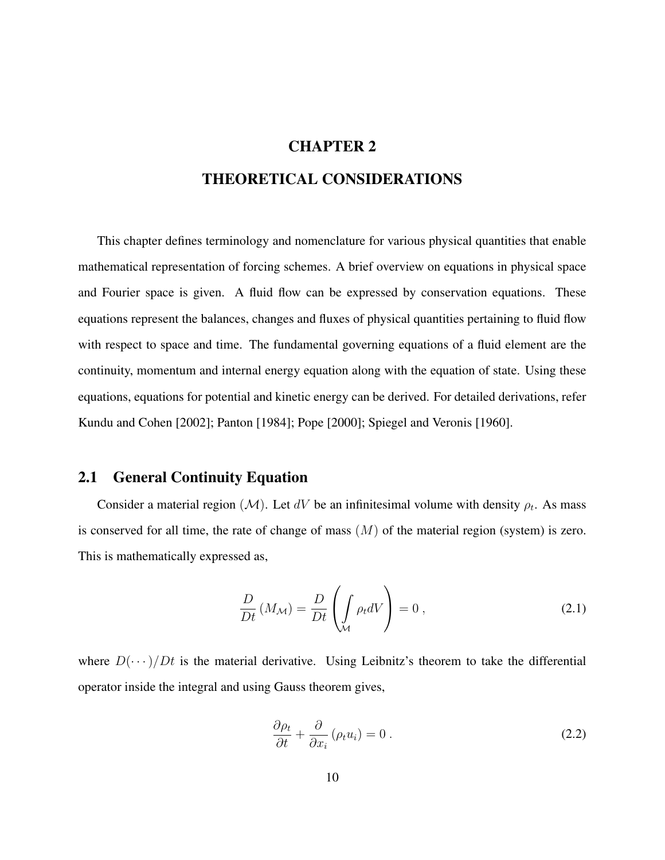#### CHAPTER 2

## THEORETICAL CONSIDERATIONS

This chapter defines terminology and nomenclature for various physical quantities that enable mathematical representation of forcing schemes. A brief overview on equations in physical space and Fourier space is given. A fluid flow can be expressed by conservation equations. These equations represent the balances, changes and fluxes of physical quantities pertaining to fluid flow with respect to space and time. The fundamental governing equations of a fluid element are the continuity, momentum and internal energy equation along with the equation of state. Using these equations, equations for potential and kinetic energy can be derived. For detailed derivations, refer Kundu and Cohen [2002]; Panton [1984]; Pope [2000]; Spiegel and Veronis [1960].

#### 2.1 General Continuity Equation

Consider a material region ( $\mathcal{M}$ ). Let dV be an infinitesimal volume with density  $\rho_t$ . As mass is conserved for all time, the rate of change of mass  $(M)$  of the material region (system) is zero. This is mathematically expressed as,

$$
\frac{D}{Dt}(M_{\mathcal{M}}) = \frac{D}{Dt}\left(\int_{\mathcal{M}} \rho_t dV\right) = 0,
$$
\n(2.1)

where  $D(\cdots)/Dt$  is the material derivative. Using Leibnitz's theorem to take the differential operator inside the integral and using Gauss theorem gives,

$$
\frac{\partial \rho_t}{\partial t} + \frac{\partial}{\partial x_i} (\rho_t u_i) = 0.
$$
\n(2.2)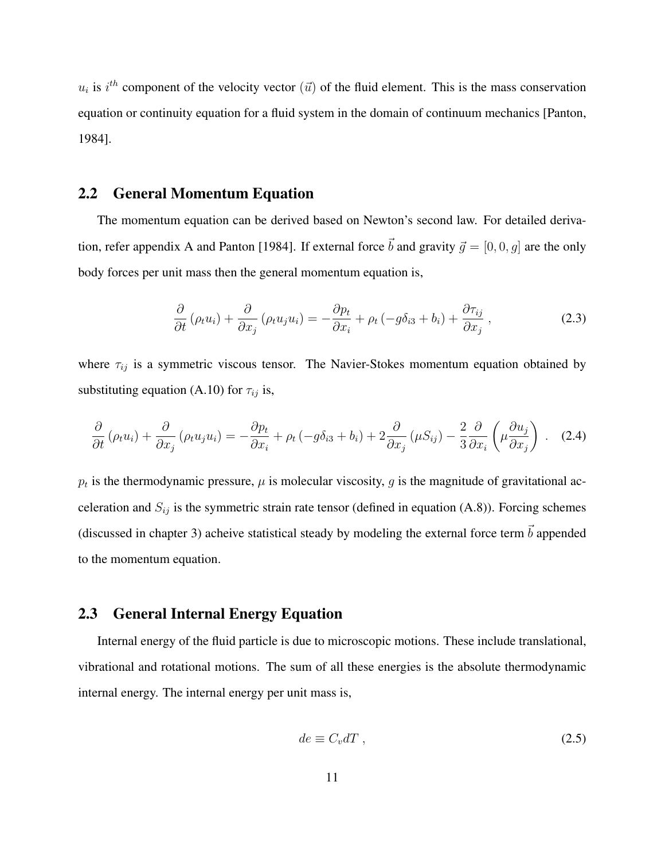$u_i$  is  $i^{th}$  component of the velocity vector  $(\vec{u})$  of the fluid element. This is the mass conservation equation or continuity equation for a fluid system in the domain of continuum mechanics [Panton, 1984].

## 2.2 General Momentum Equation

The momentum equation can be derived based on Newton's second law. For detailed derivation, refer appendix A and Panton [1984]. If external force  $\vec{b}$  and gravity  $\vec{g} = [0, 0, g]$  are the only body forces per unit mass then the general momentum equation is,

$$
\frac{\partial}{\partial t} \left( \rho_t u_i \right) + \frac{\partial}{\partial x_j} \left( \rho_t u_j u_i \right) = -\frac{\partial p_t}{\partial x_i} + \rho_t \left( -g \delta_{i3} + b_i \right) + \frac{\partial \tau_{ij}}{\partial x_j}, \tag{2.3}
$$

where  $\tau_{ij}$  is a symmetric viscous tensor. The Navier-Stokes momentum equation obtained by substituting equation (A.10) for  $\tau_{ij}$  is,

$$
\frac{\partial}{\partial t} \left( \rho_t u_i \right) + \frac{\partial}{\partial x_j} \left( \rho_t u_j u_i \right) = -\frac{\partial p_t}{\partial x_i} + \rho_t \left( -g \delta_{i3} + b_i \right) + 2 \frac{\partial}{\partial x_j} \left( \mu S_{ij} \right) - \frac{2}{3} \frac{\partial}{\partial x_i} \left( \mu \frac{\partial u_j}{\partial x_j} \right) . \tag{2.4}
$$

 $p_t$  is the thermodynamic pressure,  $\mu$  is molecular viscosity, g is the magnitude of gravitational acceleration and  $S_{ij}$  is the symmetric strain rate tensor (defined in equation (A.8)). Forcing schemes (discussed in chapter 3) acheive statistical steady by modeling the external force term  $\vec{b}$  appended to the momentum equation.

#### 2.3 General Internal Energy Equation

Internal energy of the fluid particle is due to microscopic motions. These include translational, vibrational and rotational motions. The sum of all these energies is the absolute thermodynamic internal energy. The internal energy per unit mass is,

$$
de \equiv C_v dT , \qquad (2.5)
$$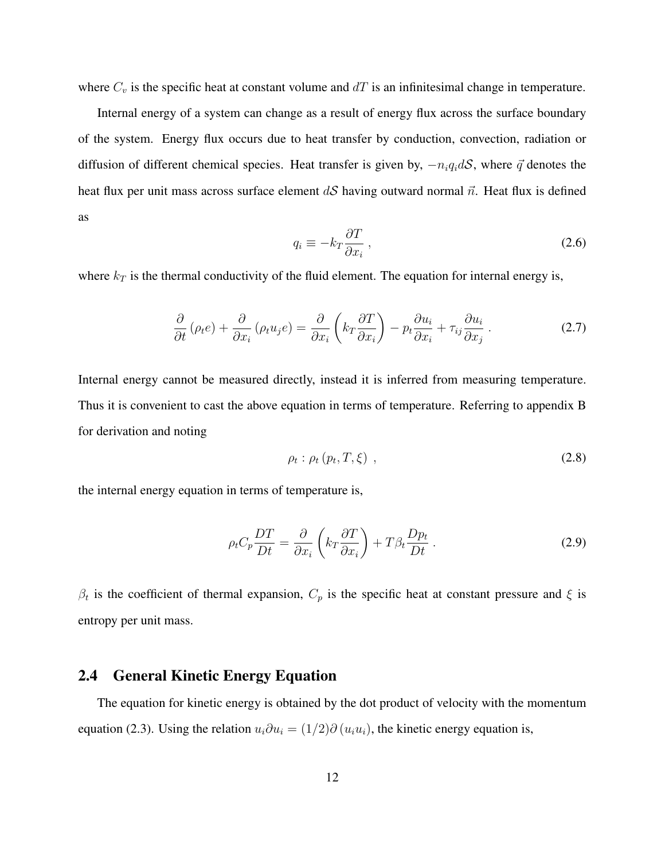where  $C_v$  is the specific heat at constant volume and  $dT$  is an infinitesimal change in temperature.

Internal energy of a system can change as a result of energy flux across the surface boundary of the system. Energy flux occurs due to heat transfer by conduction, convection, radiation or diffusion of different chemical species. Heat transfer is given by,  $-n_iq_idS$ , where  $\vec{q}$  denotes the heat flux per unit mass across surface element dS having outward normal  $\vec{n}$ . Heat flux is defined as

$$
q_i \equiv -k_T \frac{\partial T}{\partial x_i} \,, \tag{2.6}
$$

where  $k_T$  is the thermal conductivity of the fluid element. The equation for internal energy is,

$$
\frac{\partial}{\partial t} \left( \rho_t e \right) + \frac{\partial}{\partial x_i} \left( \rho_t u_j e \right) = \frac{\partial}{\partial x_i} \left( k_T \frac{\partial T}{\partial x_i} \right) - p_t \frac{\partial u_i}{\partial x_i} + \tau_{ij} \frac{\partial u_i}{\partial x_j} \,. \tag{2.7}
$$

Internal energy cannot be measured directly, instead it is inferred from measuring temperature. Thus it is convenient to cast the above equation in terms of temperature. Referring to appendix B for derivation and noting

$$
\rho_t : \rho_t \left( p_t, T, \xi \right) \,, \tag{2.8}
$$

the internal energy equation in terms of temperature is,

$$
\rho_t C_p \frac{DT}{Dt} = \frac{\partial}{\partial x_i} \left( k_T \frac{\partial T}{\partial x_i} \right) + T \beta_t \frac{D p_t}{Dt} \,. \tag{2.9}
$$

 $\beta_t$  is the coefficient of thermal expansion,  $C_p$  is the specific heat at constant pressure and  $\xi$  is entropy per unit mass.

#### 2.4 General Kinetic Energy Equation

The equation for kinetic energy is obtained by the dot product of velocity with the momentum equation (2.3). Using the relation  $u_i \partial u_i = (1/2) \partial (u_i u_i)$ , the kinetic energy equation is,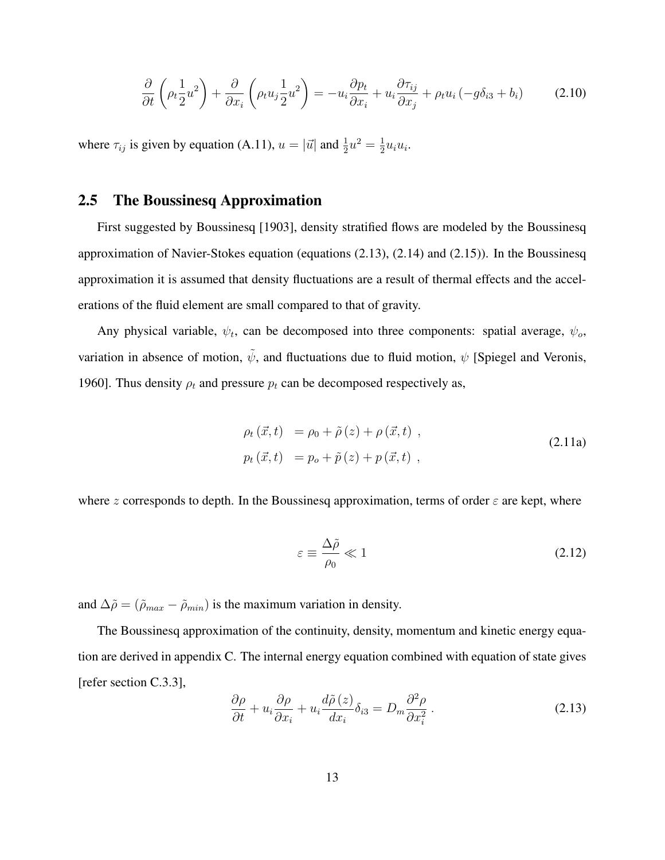$$
\frac{\partial}{\partial t}\left(\rho_t \frac{1}{2}u^2\right) + \frac{\partial}{\partial x_i}\left(\rho_t u_j \frac{1}{2}u^2\right) = -u_i \frac{\partial p_t}{\partial x_i} + u_i \frac{\partial \tau_{ij}}{\partial x_j} + \rho_t u_i \left(-g\delta_{i3} + b_i\right) \tag{2.10}
$$

where  $\tau_{ij}$  is given by equation (A.11),  $u = |\vec{u}|$  and  $\frac{1}{2}u^2 = \frac{1}{2}$  $\frac{1}{2}u_iu_i.$ 

## 2.5 The Boussinesq Approximation

First suggested by Boussinesq [1903], density stratified flows are modeled by the Boussinesq approximation of Navier-Stokes equation (equations (2.13), (2.14) and (2.15)). In the Boussinesq approximation it is assumed that density fluctuations are a result of thermal effects and the accelerations of the fluid element are small compared to that of gravity.

Any physical variable,  $\psi_t$ , can be decomposed into three components: spatial average,  $\psi_o$ , variation in absence of motion,  $\tilde{\psi}$ , and fluctuations due to fluid motion,  $\psi$  [Spiegel and Veronis, 1960]. Thus density  $\rho_t$  and pressure  $p_t$  can be decomposed respectively as,

$$
\rho_t(\vec{x},t) = \rho_0 + \tilde{\rho}(z) + \rho(\vec{x},t) ,
$$
  
\n
$$
p_t(\vec{x},t) = p_o + \tilde{p}(z) + p(\vec{x},t) ,
$$
\n(2.11a)

where z corresponds to depth. In the Boussinesq approximation, terms of order  $\varepsilon$  are kept, where

$$
\varepsilon \equiv \frac{\Delta \tilde{\rho}}{\rho_0} \ll 1 \tag{2.12}
$$

and  $\Delta \tilde{\rho} = (\tilde{\rho}_{max} - \tilde{\rho}_{min})$  is the maximum variation in density.

The Boussinesq approximation of the continuity, density, momentum and kinetic energy equation are derived in appendix C. The internal energy equation combined with equation of state gives [refer section C.3.3],

$$
\frac{\partial \rho}{\partial t} + u_i \frac{\partial \rho}{\partial x_i} + u_i \frac{d\tilde{\rho}(z)}{dx_i} \delta_{i3} = D_m \frac{\partial^2 \rho}{\partial x_i^2} \,. \tag{2.13}
$$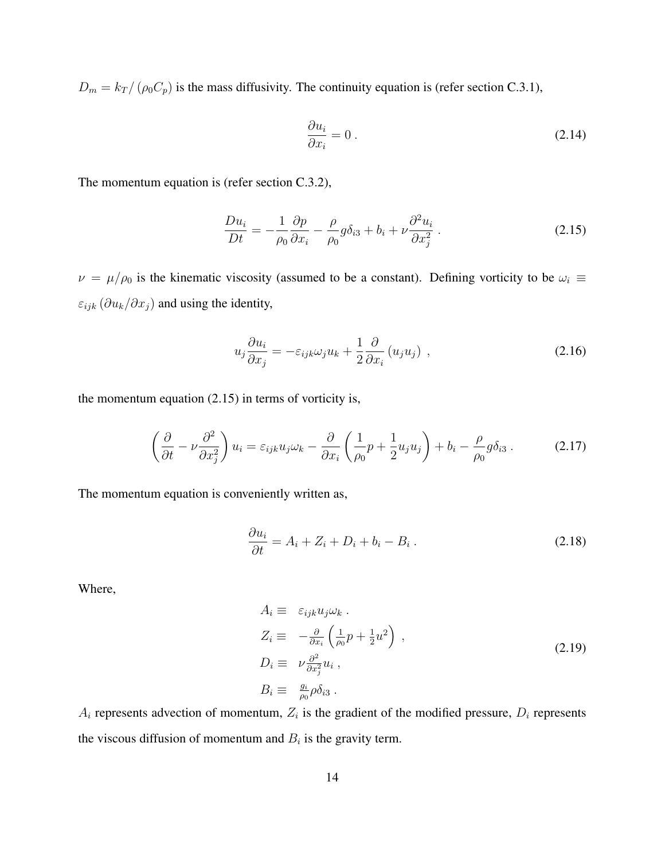$D_m = k_T / (\rho_0 C_p)$  is the mass diffusivity. The continuity equation is (refer section C.3.1),

$$
\frac{\partial u_i}{\partial x_i} = 0 \tag{2.14}
$$

The momentum equation is (refer section C.3.2),

$$
\frac{Du_i}{Dt} = -\frac{1}{\rho_0} \frac{\partial p}{\partial x_i} - \frac{\rho}{\rho_0} g \delta_{i3} + b_i + \nu \frac{\partial^2 u_i}{\partial x_j^2} \,. \tag{2.15}
$$

 $\nu = \mu/\rho_0$  is the kinematic viscosity (assumed to be a constant). Defining vorticity to be  $\omega_i \equiv$  $\varepsilon_{ijk}$  ( $\partial u_k/\partial x_j$ ) and using the identity,

$$
u_j \frac{\partial u_i}{\partial x_j} = -\varepsilon_{ijk} \omega_j u_k + \frac{1}{2} \frac{\partial}{\partial x_i} (u_j u_j) , \qquad (2.16)
$$

the momentum equation  $(2.15)$  in terms of vorticity is,

$$
\left(\frac{\partial}{\partial t} - \nu \frac{\partial^2}{\partial x_j^2}\right) u_i = \varepsilon_{ijk} u_j \omega_k - \frac{\partial}{\partial x_i} \left(\frac{1}{\rho_0} p + \frac{1}{2} u_j u_j\right) + b_i - \frac{\rho}{\rho_0} g \delta_{i3}.
$$
 (2.17)

The momentum equation is conveniently written as,

$$
\frac{\partial u_i}{\partial t} = A_i + Z_i + D_i + b_i - B_i \,. \tag{2.18}
$$

Where,

$$
A_i \equiv \varepsilon_{ijk} u_j \omega_k .
$$
  
\n
$$
Z_i \equiv -\frac{\partial}{\partial x_i} \left( \frac{1}{\rho_0} p + \frac{1}{2} u^2 \right) ,
$$
  
\n
$$
D_i \equiv \nu \frac{\partial^2}{\partial x_j^2} u_i ,
$$
  
\n
$$
B_i \equiv \frac{g_i}{\rho_0} \rho \delta_{i3} .
$$
\n(2.19)

 $A_i$  represents advection of momentum,  $Z_i$  is the gradient of the modified pressure,  $D_i$  represents the viscous diffusion of momentum and  $B_i$  is the gravity term.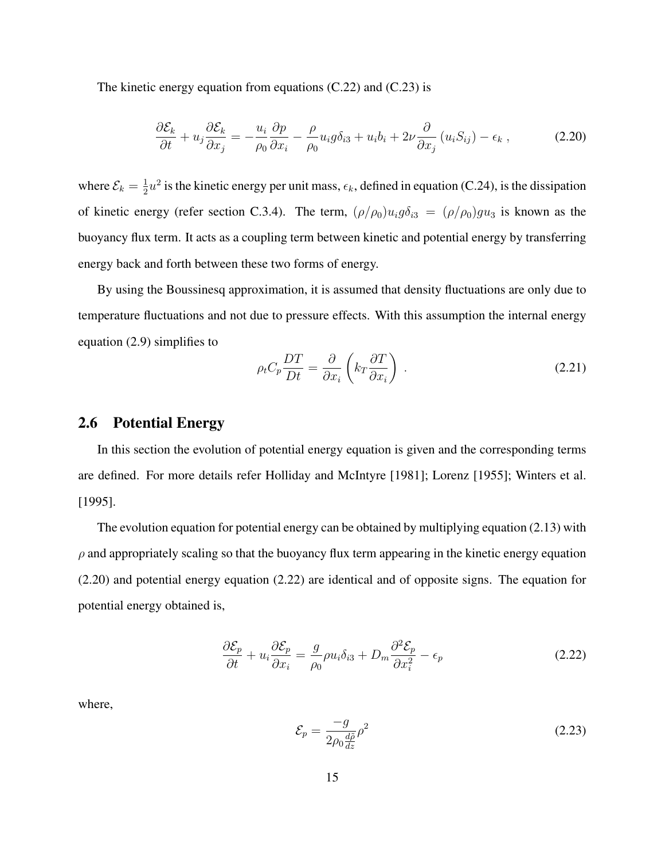The kinetic energy equation from equations  $(C.22)$  and  $(C.23)$  is

$$
\frac{\partial \mathcal{E}_k}{\partial t} + u_j \frac{\partial \mathcal{E}_k}{\partial x_j} = -\frac{u_i}{\rho_0} \frac{\partial p}{\partial x_i} - \frac{\rho}{\rho_0} u_i g \delta_{i3} + u_i b_i + 2\nu \frac{\partial}{\partial x_j} (u_i S_{ij}) - \epsilon_k ,
$$
\n(2.20)

where  $\mathcal{E}_k = \frac{1}{2}$  $\frac{1}{2}u^2$  is the kinetic energy per unit mass,  $\epsilon_k$ , defined in equation (C.24), is the dissipation of kinetic energy (refer section C.3.4). The term,  $(\rho/\rho_0)u_ig\delta_{i3} = (\rho/\rho_0)gu_3$  is known as the buoyancy flux term. It acts as a coupling term between kinetic and potential energy by transferring energy back and forth between these two forms of energy.

By using the Boussinesq approximation, it is assumed that density fluctuations are only due to temperature fluctuations and not due to pressure effects. With this assumption the internal energy equation (2.9) simplifies to

$$
\rho_t C_p \frac{DT}{Dt} = \frac{\partial}{\partial x_i} \left( k_T \frac{\partial T}{\partial x_i} \right) . \tag{2.21}
$$

#### 2.6 Potential Energy

In this section the evolution of potential energy equation is given and the corresponding terms are defined. For more details refer Holliday and McIntyre [1981]; Lorenz [1955]; Winters et al. [1995].

The evolution equation for potential energy can be obtained by multiplying equation (2.13) with  $\rho$  and appropriately scaling so that the buoyancy flux term appearing in the kinetic energy equation (2.20) and potential energy equation (2.22) are identical and of opposite signs. The equation for potential energy obtained is,

$$
\frac{\partial \mathcal{E}_p}{\partial t} + u_i \frac{\partial \mathcal{E}_p}{\partial x_i} = \frac{g}{\rho_0} \rho u_i \delta_{i3} + D_m \frac{\partial^2 \mathcal{E}_p}{\partial x_i^2} - \epsilon_p \tag{2.22}
$$

where,

$$
\mathcal{E}_p = \frac{-g}{2\rho_0 \frac{d\tilde{\rho}}{dz}} \rho^2 \tag{2.23}
$$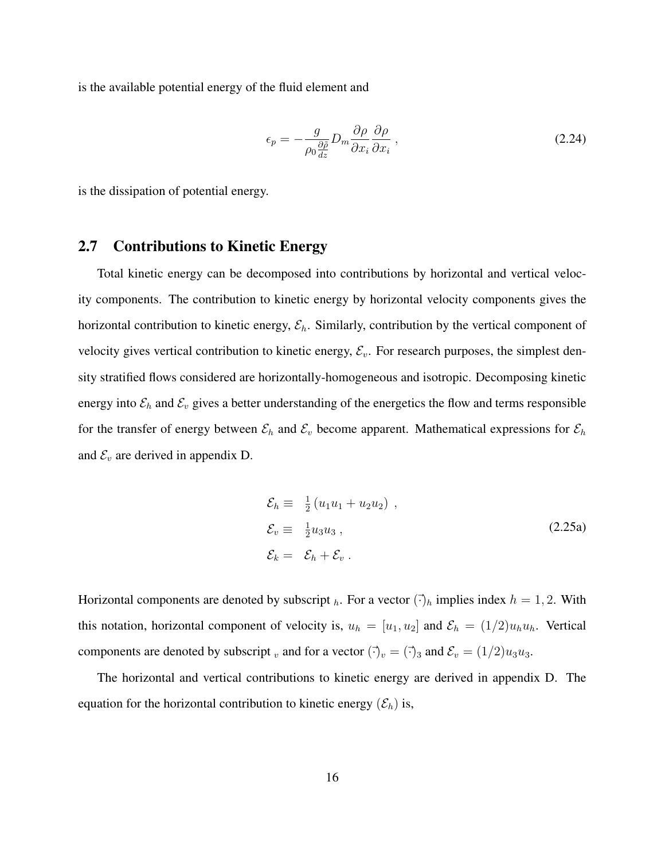is the available potential energy of the fluid element and

$$
\epsilon_p = -\frac{g}{\rho_0 \frac{\partial \tilde{\rho}}{dz}} D_m \frac{\partial \rho}{\partial x_i} \frac{\partial \rho}{\partial x_i}, \qquad (2.24)
$$

is the dissipation of potential energy.

## 2.7 Contributions to Kinetic Energy

Total kinetic energy can be decomposed into contributions by horizontal and vertical velocity components. The contribution to kinetic energy by horizontal velocity components gives the horizontal contribution to kinetic energy,  $\mathcal{E}_h$ . Similarly, contribution by the vertical component of velocity gives vertical contribution to kinetic energy,  $\mathcal{E}_v$ . For research purposes, the simplest density stratified flows considered are horizontally-homogeneous and isotropic. Decomposing kinetic energy into  $\mathcal{E}_h$  and  $\mathcal{E}_v$  gives a better understanding of the energetics the flow and terms responsible for the transfer of energy between  $\mathcal{E}_h$  and  $\mathcal{E}_v$  become apparent. Mathematical expressions for  $\mathcal{E}_h$ and  $\mathcal{E}_v$  are derived in appendix D.

$$
\mathcal{E}_h \equiv \frac{1}{2} (u_1 u_1 + u_2 u_2) ,
$$
  
\n
$$
\mathcal{E}_v \equiv \frac{1}{2} u_3 u_3 ,
$$
  
\n
$$
\mathcal{E}_k = \mathcal{E}_h + \mathcal{E}_v .
$$
\n(2.25a)

Horizontal components are denoted by subscript  $_h$ . For a vector  $(\vec{\cdot})_h$  implies index  $h = 1, 2$ . With this notation, horizontal component of velocity is,  $u_h = [u_1, u_2]$  and  $\mathcal{E}_h = (1/2)u_hu_h$ . Vertical components are denoted by subscript v and for a vector  $(\vec{\cdot})_v = (\vec{\cdot})_3$  and  $\mathcal{E}_v = (1/2)u_3u_3$ .

The horizontal and vertical contributions to kinetic energy are derived in appendix D. The equation for the horizontal contribution to kinetic energy  $(\mathcal{E}_h)$  is,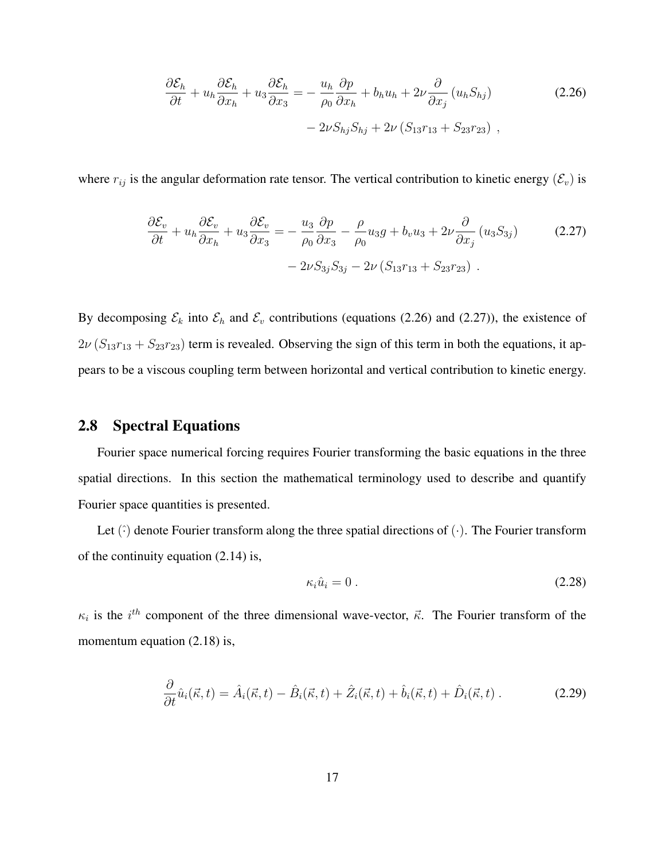$$
\frac{\partial \mathcal{E}_h}{\partial t} + u_h \frac{\partial \mathcal{E}_h}{\partial x_h} + u_3 \frac{\partial \mathcal{E}_h}{\partial x_3} = -\frac{u_h}{\rho_0} \frac{\partial p}{\partial x_h} + b_h u_h + 2\nu \frac{\partial}{\partial x_j} (u_h S_{hj})
$$
\n
$$
-2\nu S_{hj} S_{hj} + 2\nu (S_{13} r_{13} + S_{23} r_{23}),
$$
\n(2.26)

where  $r_{ij}$  is the angular deformation rate tensor. The vertical contribution to kinetic energy  $(\mathcal{E}_v)$  is

$$
\frac{\partial \mathcal{E}_v}{\partial t} + u_h \frac{\partial \mathcal{E}_v}{\partial x_h} + u_3 \frac{\partial \mathcal{E}_v}{\partial x_3} = -\frac{u_3}{\rho_0} \frac{\partial p}{\partial x_3} - \frac{\rho}{\rho_0} u_3 g + b_v u_3 + 2\nu \frac{\partial}{\partial x_j} (u_3 S_{3j})
$$
\n
$$
-2\nu S_{3j} S_{3j} - 2\nu (S_{13} r_{13} + S_{23} r_{23}).
$$
\n(2.27)

By decomposing  $\mathcal{E}_k$  into  $\mathcal{E}_h$  and  $\mathcal{E}_v$  contributions (equations (2.26) and (2.27)), the existence of  $2\nu (S_{13}r_{13} + S_{23}r_{23})$  term is revealed. Observing the sign of this term in both the equations, it appears to be a viscous coupling term between horizontal and vertical contribution to kinetic energy.

#### 2.8 Spectral Equations

Fourier space numerical forcing requires Fourier transforming the basic equations in the three spatial directions. In this section the mathematical terminology used to describe and quantify Fourier space quantities is presented.

Let  $(\cdot)$  denote Fourier transform along the three spatial directions of  $(\cdot)$ . The Fourier transform of the continuity equation (2.14) is,

$$
\kappa_i \hat{u}_i = 0 \tag{2.28}
$$

 $\kappa_i$  is the  $i^{th}$  component of the three dimensional wave-vector,  $\vec{\kappa}$ . The Fourier transform of the momentum equation  $(2.18)$  is,

$$
\frac{\partial}{\partial t}\hat{u}_i(\vec{\kappa},t) = \hat{A}_i(\vec{\kappa},t) - \hat{B}_i(\vec{\kappa},t) + \hat{Z}_i(\vec{\kappa},t) + \hat{b}_i(\vec{\kappa},t) + \hat{D}_i(\vec{\kappa},t) \,. \tag{2.29}
$$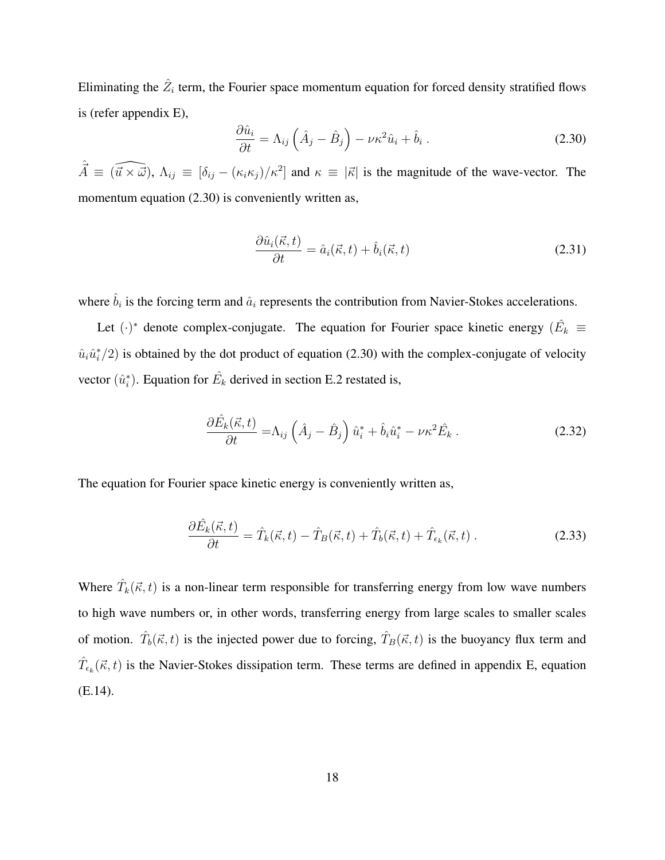Eliminating the  $\hat{Z}_i$  term, the Fourier space momentum equation for forced density stratified flows is (refer appendix E),

$$
\frac{\partial \hat{u}_i}{\partial t} = \Lambda_{ij} \left( \hat{A}_j - \hat{B}_j \right) - \nu \kappa^2 \hat{u}_i + \hat{b}_i \,. \tag{2.30}
$$

 $\hat{\vec{A}} \equiv (\widehat{\vec{u} \times \vec{\omega}}), \, \Lambda_{ij} \equiv [\delta_{ij} - (\kappa_i \kappa_j)/\kappa^2]$  and  $\kappa \equiv |\vec{\kappa}|$  is the magnitude of the wave-vector. The momentum equation (2.30) is conveniently written as,

$$
\frac{\partial \hat{u}_i(\vec{\kappa},t)}{\partial t} = \hat{a}_i(\vec{\kappa},t) + \hat{b}_i(\vec{\kappa},t)
$$
\n(2.31)

where  $\hat{b}_i$  is the forcing term and  $\hat{a}_i$  represents the contribution from Navier-Stokes accelerations.

Let  $(\cdot)^*$  denote complex-conjugate. The equation for Fourier space kinetic energy  $(\hat{E}_k)$  $\hat{u}_i \hat{u}_i^*/2$  is obtained by the dot product of equation (2.30) with the complex-conjugate of velocity vector  $(\hat{u}_i^*)$ . Equation for  $\hat{E}_k$  derived in section E.2 restated is,

$$
\frac{\partial \hat{E}_k(\vec{\kappa},t)}{\partial t} = \Lambda_{ij} \left(\hat{A}_j - \hat{B}_j\right) \hat{u}_i^* + \hat{b}_i \hat{u}_i^* - \nu \kappa^2 \hat{E}_k . \tag{2.32}
$$

The equation for Fourier space kinetic energy is conveniently written as,

$$
\frac{\partial \hat{E}_k(\vec{\kappa},t)}{\partial t} = \hat{T}_k(\vec{\kappa},t) - \hat{T}_B(\vec{\kappa},t) + \hat{T}_b(\vec{\kappa},t) + \hat{T}_{\epsilon_k}(\vec{\kappa},t) \,. \tag{2.33}
$$

Where  $\hat{T}_k(\vec{\kappa}, t)$  is a non-linear term responsible for transferring energy from low wave numbers to high wave numbers or, in other words, transferring energy from large scales to smaller scales of motion.  $\hat{T}_b(\vec{\kappa}, t)$  is the injected power due to forcing,  $\hat{T}_B(\vec{\kappa}, t)$  is the buoyancy flux term and  $\hat{T}_{\epsilon_k}(\vec{\kappa},t)$  is the Navier-Stokes dissipation term. These terms are defined in appendix E, equation (E.14).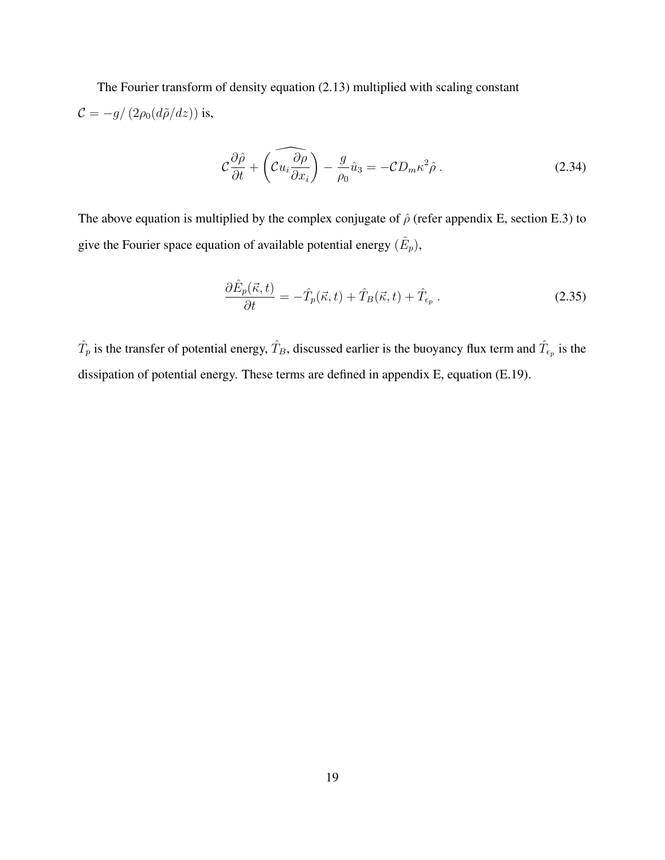The Fourier transform of density equation (2.13) multiplied with scaling constant  $\mathcal{C} = -g/\left(2\rho_0(d\tilde{\rho}/dz)\right)$  is,

$$
\mathcal{C}\frac{\partial\hat{\rho}}{\partial t} + \left(\widehat{\mathcal{C}u_i\frac{\partial\rho}{\partial x_i}}\right) - \frac{g}{\rho_0}\hat{u}_3 = -\mathcal{C}D_m\kappa^2\hat{\rho} \,. \tag{2.34}
$$

The above equation is multiplied by the complex conjugate of  $\hat{\rho}$  (refer appendix E, section E.3) to give the Fourier space equation of available potential energy  $(\hat{E}_p)$ ,

$$
\frac{\partial \hat{E}_p(\vec{\kappa},t)}{\partial t} = -\hat{T}_p(\vec{\kappa},t) + \hat{T}_B(\vec{\kappa},t) + \hat{T}_{\epsilon_p} \,. \tag{2.35}
$$

 $\hat{T}_p$  is the transfer of potential energy,  $\hat{T}_B$ , discussed earlier is the buoyancy flux term and  $\hat{T}_{\epsilon_p}$  is the dissipation of potential energy. These terms are defined in appendix E, equation (E.19).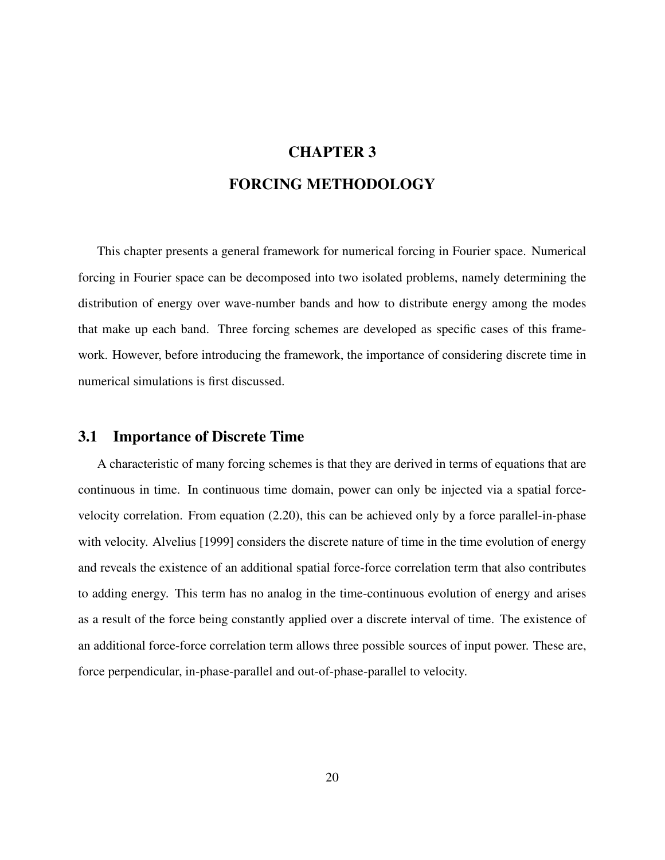# CHAPTER 3

### FORCING METHODOLOGY

This chapter presents a general framework for numerical forcing in Fourier space. Numerical forcing in Fourier space can be decomposed into two isolated problems, namely determining the distribution of energy over wave-number bands and how to distribute energy among the modes that make up each band. Three forcing schemes are developed as specific cases of this framework. However, before introducing the framework, the importance of considering discrete time in numerical simulations is first discussed.

## 3.1 Importance of Discrete Time

A characteristic of many forcing schemes is that they are derived in terms of equations that are continuous in time. In continuous time domain, power can only be injected via a spatial forcevelocity correlation. From equation (2.20), this can be achieved only by a force parallel-in-phase with velocity. Alvelius [1999] considers the discrete nature of time in the time evolution of energy and reveals the existence of an additional spatial force-force correlation term that also contributes to adding energy. This term has no analog in the time-continuous evolution of energy and arises as a result of the force being constantly applied over a discrete interval of time. The existence of an additional force-force correlation term allows three possible sources of input power. These are, force perpendicular, in-phase-parallel and out-of-phase-parallel to velocity.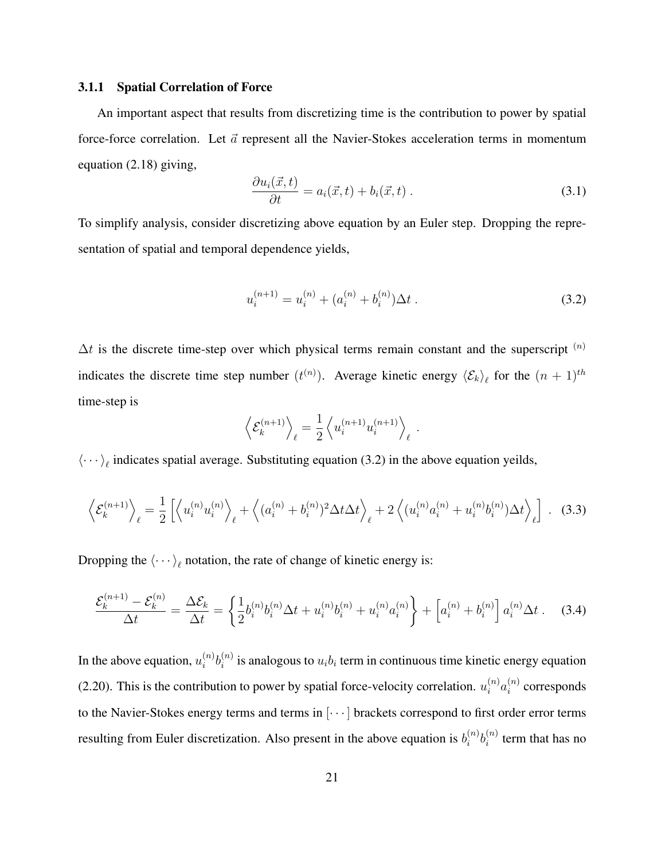#### 3.1.1 Spatial Correlation of Force

An important aspect that results from discretizing time is the contribution to power by spatial force-force correlation. Let  $\vec{a}$  represent all the Navier-Stokes acceleration terms in momentum equation (2.18) giving,

$$
\frac{\partial u_i(\vec{x},t)}{\partial t} = a_i(\vec{x},t) + b_i(\vec{x},t) \tag{3.1}
$$

To simplify analysis, consider discretizing above equation by an Euler step. Dropping the representation of spatial and temporal dependence yields,

$$
u_i^{(n+1)} = u_i^{(n)} + (a_i^{(n)} + b_i^{(n)})\Delta t. \tag{3.2}
$$

 $\Delta t$  is the discrete time-step over which physical terms remain constant and the superscript  $(n)$ indicates the discrete time step number  $(t^{(n)})$ . Average kinetic energy  $\langle \mathcal{E}_k \rangle_\ell$  for the  $(n + 1)^{th}$ time-step is

$$
\left\langle \mathcal{E}_k^{(n+1)} \right\rangle_{\ell} = \frac{1}{2} \left\langle u_i^{(n+1)} u_i^{(n+1)} \right\rangle_{\ell} .
$$

 $\langle \cdots \rangle_{\ell}$  indicates spatial average. Substituting equation (3.2) in the above equation yeilds,

$$
\left\langle \mathcal{E}_k^{(n+1)} \right\rangle_{\ell} = \frac{1}{2} \left[ \left\langle u_i^{(n)} u_i^{(n)} \right\rangle_{\ell} + \left\langle (a_i^{(n)} + b_i^{(n)})^2 \Delta t \Delta t \right\rangle_{\ell} + 2 \left\langle (u_i^{(n)} a_i^{(n)} + u_i^{(n)} b_i^{(n)}) \Delta t \right\rangle_{\ell} \right] \ . \tag{3.3}
$$

Dropping the  $\langle \cdots \rangle_{\ell}$  notation, the rate of change of kinetic energy is:

$$
\frac{\mathcal{E}_k^{(n+1)} - \mathcal{E}_k^{(n)}}{\Delta t} = \frac{\Delta \mathcal{E}_k}{\Delta t} = \left\{ \frac{1}{2} b_i^{(n)} b_i^{(n)} \Delta t + u_i^{(n)} b_i^{(n)} + u_i^{(n)} a_i^{(n)} \right\} + \left[ a_i^{(n)} + b_i^{(n)} \right] a_i^{(n)} \Delta t \,. \tag{3.4}
$$

In the above equation,  $u_i^{(n)}$  $\binom{n}{i}b_i^{(n)}$  $i^{(n)}$  is analogous to  $u_i b_i$  term in continuous time kinetic energy equation (2.20). This is the contribution to power by spatial force-velocity correlation.  $u_i^{(n)} a_i^{(n)}$  $i^{(n)}$  corresponds to the Navier-Stokes energy terms and terms in [· · · ] brackets correspond to first order error terms resulting from Euler discretization. Also present in the above equation is  $b_i^{(n)}$  $\binom{n}{i}b_i^{(n)}$  $i^{(n)}$  term that has no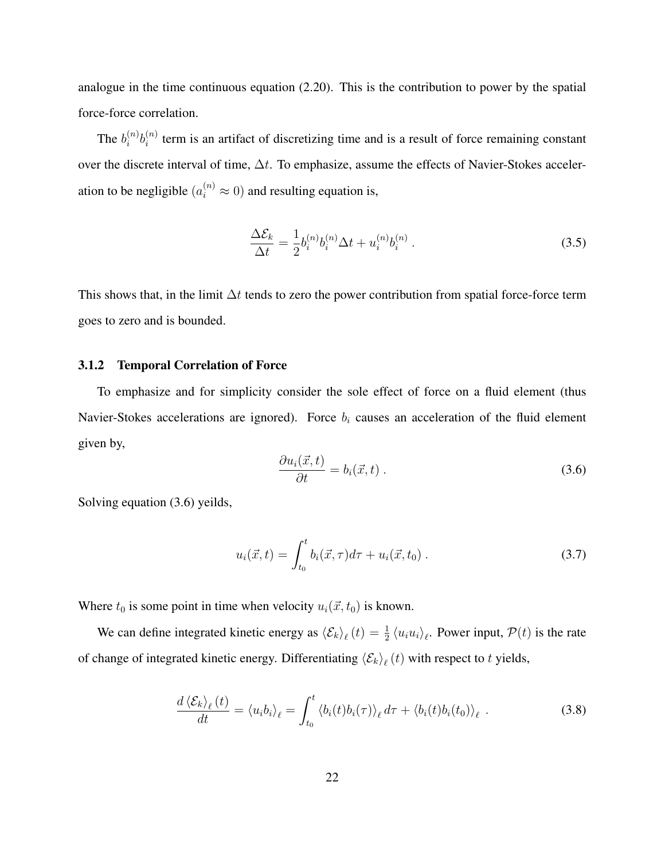analogue in the time continuous equation (2.20). This is the contribution to power by the spatial force-force correlation.

The  $b_i^{(n)}$  $\binom{n}{i}b_i^{(n)}$  $\sum_{i=1}^{n}$  term is an artifact of discretizing time and is a result of force remaining constant over the discrete interval of time, ∆t. To emphasize, assume the effects of Navier-Stokes acceleration to be negligible  $(a_i^{(n)} \approx 0)$  and resulting equation is,

$$
\frac{\Delta \mathcal{E}_k}{\Delta t} = \frac{1}{2} b_i^{(n)} b_i^{(n)} \Delta t + u_i^{(n)} b_i^{(n)} . \tag{3.5}
$$

This shows that, in the limit  $\Delta t$  tends to zero the power contribution from spatial force-force term goes to zero and is bounded.

#### 3.1.2 Temporal Correlation of Force

To emphasize and for simplicity consider the sole effect of force on a fluid element (thus Navier-Stokes accelerations are ignored). Force  $b_i$  causes an acceleration of the fluid element given by,

$$
\frac{\partial u_i(\vec{x},t)}{\partial t} = b_i(\vec{x},t) \tag{3.6}
$$

Solving equation (3.6) yeilds,

$$
u_i(\vec{x},t) = \int_{t_0}^t b_i(\vec{x},\tau)d\tau + u_i(\vec{x},t_0).
$$
 (3.7)

Where  $t_0$  is some point in time when velocity  $u_i(\vec{x}, t_0)$  is known.

We can define integrated kinetic energy as  $\langle \mathcal{E}_k \rangle_\ell(t) = \frac{1}{2} \langle u_i u_i \rangle_\ell$ . Power input,  $\mathcal{P}(t)$  is the rate of change of integrated kinetic energy. Differentiating  $\langle \mathcal{E}_k \rangle_{\ell}(t)$  with respect to t yields,

$$
\frac{d\left\langle \mathcal{E}_{k}\right\rangle_{\ell}(t)}{dt} = \left\langle u_{i}b_{i}\right\rangle_{\ell} = \int_{t_{0}}^{t} \left\langle b_{i}(t)b_{i}(\tau)\right\rangle_{\ell} d\tau + \left\langle b_{i}(t)b_{i}(t_{0})\right\rangle_{\ell} . \tag{3.8}
$$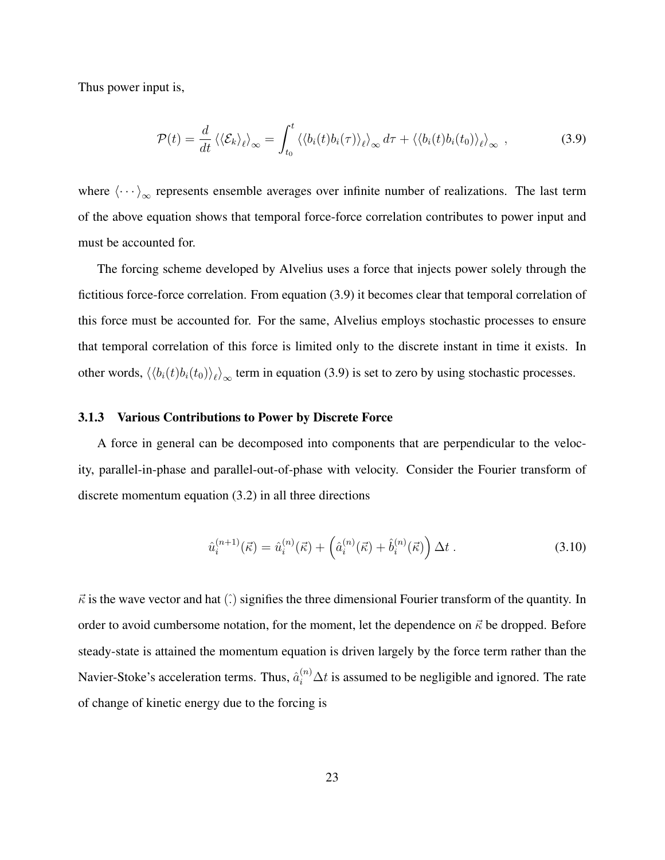Thus power input is,

$$
\mathcal{P}(t) = \frac{d}{dt} \left\langle \left\langle \mathcal{E}_k \right\rangle_\ell \right\rangle_\infty = \int_{t_0}^t \left\langle \left\langle b_i(t) b_i(\tau) \right\rangle_\ell \right\rangle_\infty d\tau + \left\langle \left\langle b_i(t) b_i(t_0) \right\rangle_\ell \right\rangle_\infty , \tag{3.9}
$$

where  $\langle \cdots \rangle_{\infty}$  represents ensemble averages over infinite number of realizations. The last term of the above equation shows that temporal force-force correlation contributes to power input and must be accounted for.

The forcing scheme developed by Alvelius uses a force that injects power solely through the fictitious force-force correlation. From equation (3.9) it becomes clear that temporal correlation of this force must be accounted for. For the same, Alvelius employs stochastic processes to ensure that temporal correlation of this force is limited only to the discrete instant in time it exists. In other words,  $\langle\langle b_i(t)b_i(t_0)\rangle_\ell\rangle_\infty$  term in equation (3.9) is set to zero by using stochastic processes.

#### 3.1.3 Various Contributions to Power by Discrete Force

A force in general can be decomposed into components that are perpendicular to the velocity, parallel-in-phase and parallel-out-of-phase with velocity. Consider the Fourier transform of discrete momentum equation (3.2) in all three directions

$$
\hat{u}_i^{(n+1)}(\vec{\kappa}) = \hat{u}_i^{(n)}(\vec{\kappa}) + \left(\hat{a}_i^{(n)}(\vec{\kappa}) + \hat{b}_i^{(n)}(\vec{\kappa})\right)\Delta t \,. \tag{3.10}
$$

 $\vec{\kappa}$  is the wave vector and hat ( $\hat{\cdot}$ ) signifies the three dimensional Fourier transform of the quantity. In order to avoid cumbersome notation, for the moment, let the dependence on  $\vec{\kappa}$  be dropped. Before steady-state is attained the momentum equation is driven largely by the force term rather than the Navier-Stoke's acceleration terms. Thus,  $\hat{a}_i^{(n)} \Delta t$  is assumed to be negligible and ignored. The rate of change of kinetic energy due to the forcing is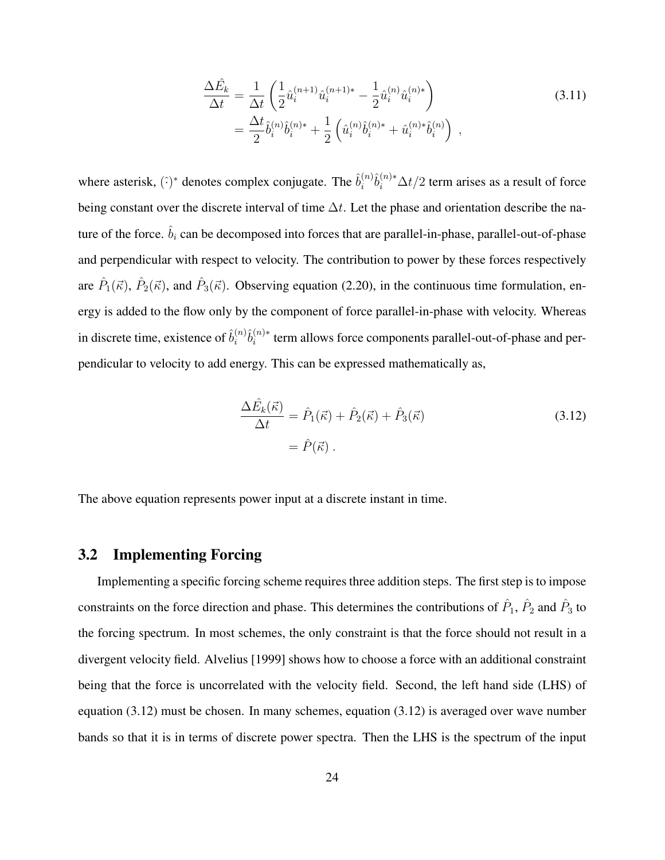$$
\frac{\Delta \hat{E}_k}{\Delta t} = \frac{1}{\Delta t} \left( \frac{1}{2} \hat{u}_i^{(n+1)} \hat{u}_i^{(n+1)*} - \frac{1}{2} \hat{u}_i^{(n)} \hat{u}_i^{(n)*} \right) \n= \frac{\Delta t}{2} \hat{b}_i^{(n)} \hat{b}_i^{(n)*} + \frac{1}{2} \left( \hat{u}_i^{(n)} \hat{b}_i^{(n)*} + \hat{u}_i^{(n)*} \hat{b}_i^{(n)} \right) ,
$$
\n(3.11)

where asterisk,  $(\hat{\cdot})^*$  denotes complex conjugate. The  $\hat{b}_i^{(n)}$  $\hat{b}_i^{(n)}\hat{b}_i^{(n)*}\Delta t/2$  term arises as a result of force being constant over the discrete interval of time  $\Delta t$ . Let the phase and orientation describe the nature of the force.  $\hat{b}_i$  can be decomposed into forces that are parallel-in-phase, parallel-out-of-phase and perpendicular with respect to velocity. The contribution to power by these forces respectively are  $\hat{P}_1(\vec{\kappa})$ ,  $\hat{P}_2(\vec{\kappa})$ , and  $\hat{P}_3(\vec{\kappa})$ . Observing equation (2.20), in the continuous time formulation, energy is added to the flow only by the component of force parallel-in-phase with velocity. Whereas in discrete time, existence of  $\hat{b}_i^{(n)}$  $\hat{b}_i^{(n)}\hat{b}_i^{(n)*}$  $t_i^{(n)*}$  term allows force components parallel-out-of-phase and perpendicular to velocity to add energy. This can be expressed mathematically as,

$$
\frac{\Delta \hat{E}_k(\vec{\kappa})}{\Delta t} = \hat{P}_1(\vec{\kappa}) + \hat{P}_2(\vec{\kappa}) + \hat{P}_3(\vec{\kappa})
$$
\n
$$
= \hat{P}(\vec{\kappa}) .
$$
\n(3.12)

The above equation represents power input at a discrete instant in time.

#### 3.2 Implementing Forcing

Implementing a specific forcing scheme requires three addition steps. The first step is to impose constraints on the force direction and phase. This determines the contributions of  $\hat{P}_1$ ,  $\hat{P}_2$  and  $\hat{P}_3$  to the forcing spectrum. In most schemes, the only constraint is that the force should not result in a divergent velocity field. Alvelius [1999] shows how to choose a force with an additional constraint being that the force is uncorrelated with the velocity field. Second, the left hand side (LHS) of equation (3.12) must be chosen. In many schemes, equation (3.12) is averaged over wave number bands so that it is in terms of discrete power spectra. Then the LHS is the spectrum of the input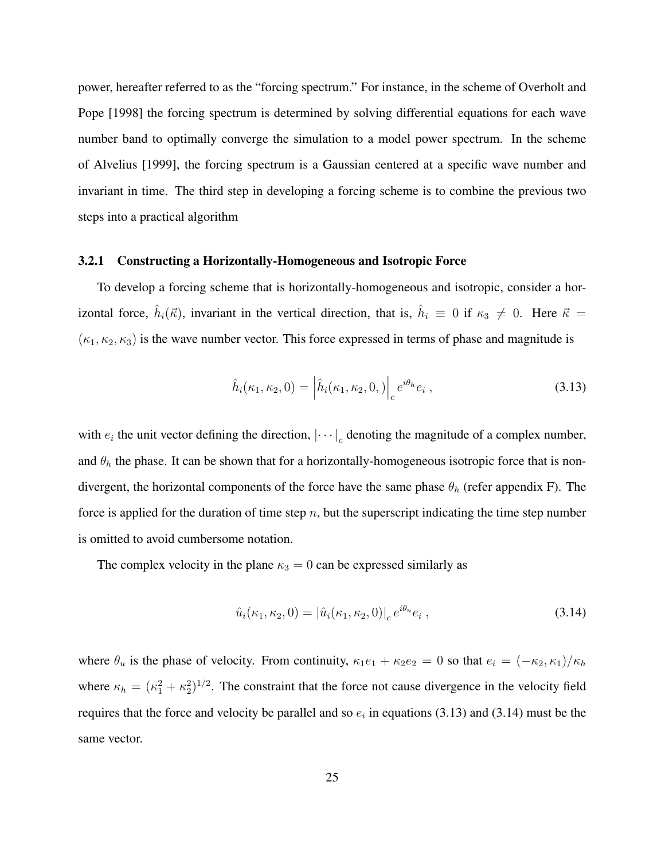power, hereafter referred to as the "forcing spectrum." For instance, in the scheme of Overholt and Pope [1998] the forcing spectrum is determined by solving differential equations for each wave number band to optimally converge the simulation to a model power spectrum. In the scheme of Alvelius [1999], the forcing spectrum is a Gaussian centered at a specific wave number and invariant in time. The third step in developing a forcing scheme is to combine the previous two steps into a practical algorithm

#### 3.2.1 Constructing a Horizontally-Homogeneous and Isotropic Force

To develop a forcing scheme that is horizontally-homogeneous and isotropic, consider a horizontal force,  $\hat{h}_i(\vec{\kappa})$ , invariant in the vertical direction, that is,  $\hat{h}_i \equiv 0$  if  $\kappa_3 \neq 0$ . Here  $\vec{\kappa} =$  $(\kappa_1, \kappa_2, \kappa_3)$  is the wave number vector. This force expressed in terms of phase and magnitude is

$$
\hat{h}_i(\kappa_1, \kappa_2, 0) = \left| \hat{h}_i(\kappa_1, \kappa_2, 0,)\right|_c e^{i\theta_h} e_i , \qquad (3.13)
$$

with  $e_i$  the unit vector defining the direction,  $|\cdots|_c$  denoting the magnitude of a complex number, and  $\theta_h$  the phase. It can be shown that for a horizontally-homogeneous isotropic force that is nondivergent, the horizontal components of the force have the same phase  $\theta_h$  (refer appendix F). The force is applied for the duration of time step  $n$ , but the superscript indicating the time step number is omitted to avoid cumbersome notation.

The complex velocity in the plane  $\kappa_3 = 0$  can be expressed similarly as

$$
\hat{u}_i(\kappa_1, \kappa_2, 0) = |\hat{u}_i(\kappa_1, \kappa_2, 0)|_c e^{i\theta_u} e_i , \qquad (3.14)
$$

where  $\theta_u$  is the phase of velocity. From continuity,  $\kappa_1e_1 + \kappa_2e_2 = 0$  so that  $e_i = (-\kappa_2, \kappa_1)/\kappa_h$ where  $\kappa_h = (\kappa_1^2 + \kappa_2^2)^{1/2}$ . The constraint that the force not cause divergence in the velocity field requires that the force and velocity be parallel and so  $e_i$  in equations (3.13) and (3.14) must be the same vector.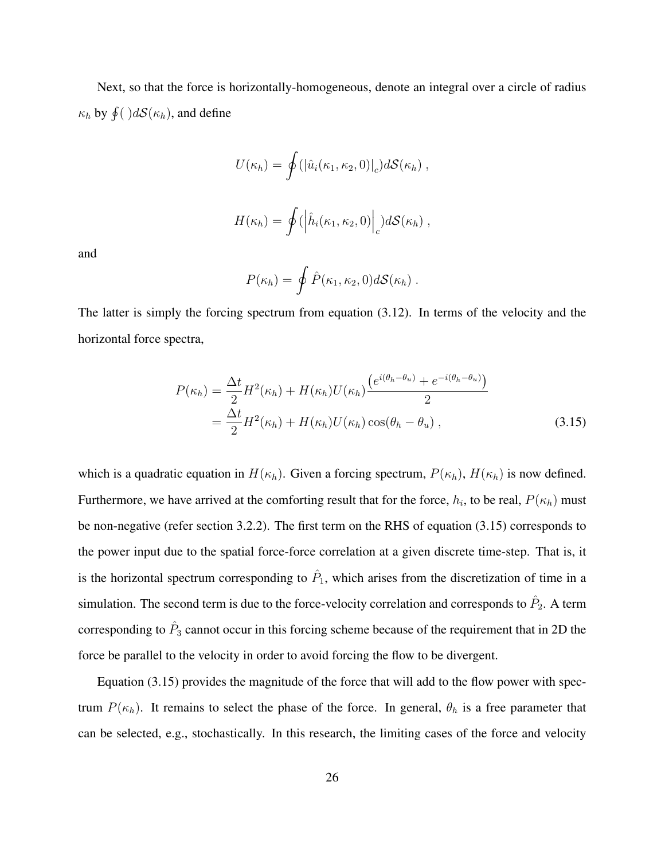Next, so that the force is horizontally-homogeneous, denote an integral over a circle of radius  $\kappa_h$  by  $\oint$  ( ) $d\mathcal{S}(\kappa_h)$ , and define

$$
U(\kappa_h) = \oint (|\hat{u}_i(\kappa_1, \kappa_2, 0)|_c) d\mathcal{S}(\kappa_h) ,
$$

$$
H(\kappa_h) = \oint (\left| \hat{h}_i(\kappa_1, \kappa_2, 0) \right|_c) d\mathcal{S}(\kappa_h) ,
$$

and

$$
P(\kappa_h) = \oint \hat{P}(\kappa_1, \kappa_2, 0) d\mathcal{S}(\kappa_h) .
$$

The latter is simply the forcing spectrum from equation (3.12). In terms of the velocity and the horizontal force spectra,

$$
P(\kappa_h) = \frac{\Delta t}{2} H^2(\kappa_h) + H(\kappa_h) U(\kappa_h) \frac{\left(e^{i(\theta_h - \theta_u)} + e^{-i(\theta_h - \theta_u)}\right)}{2}
$$
  
= 
$$
\frac{\Delta t}{2} H^2(\kappa_h) + H(\kappa_h) U(\kappa_h) \cos(\theta_h - \theta_u) ,
$$
 (3.15)

which is a quadratic equation in  $H(\kappa_h)$ . Given a forcing spectrum,  $P(\kappa_h)$ ,  $H(\kappa_h)$  is now defined. Furthermore, we have arrived at the comforting result that for the force,  $h_i$ , to be real,  $P(\kappa_h)$  must be non-negative (refer section 3.2.2). The first term on the RHS of equation (3.15) corresponds to the power input due to the spatial force-force correlation at a given discrete time-step. That is, it is the horizontal spectrum corresponding to  $\hat{P}_1$ , which arises from the discretization of time in a simulation. The second term is due to the force-velocity correlation and corresponds to  $\hat{P}_2$ . A term corresponding to  $\hat{P}_3$  cannot occur in this forcing scheme because of the requirement that in 2D the force be parallel to the velocity in order to avoid forcing the flow to be divergent.

Equation (3.15) provides the magnitude of the force that will add to the flow power with spectrum  $P(\kappa_h)$ . It remains to select the phase of the force. In general,  $\theta_h$  is a free parameter that can be selected, e.g., stochastically. In this research, the limiting cases of the force and velocity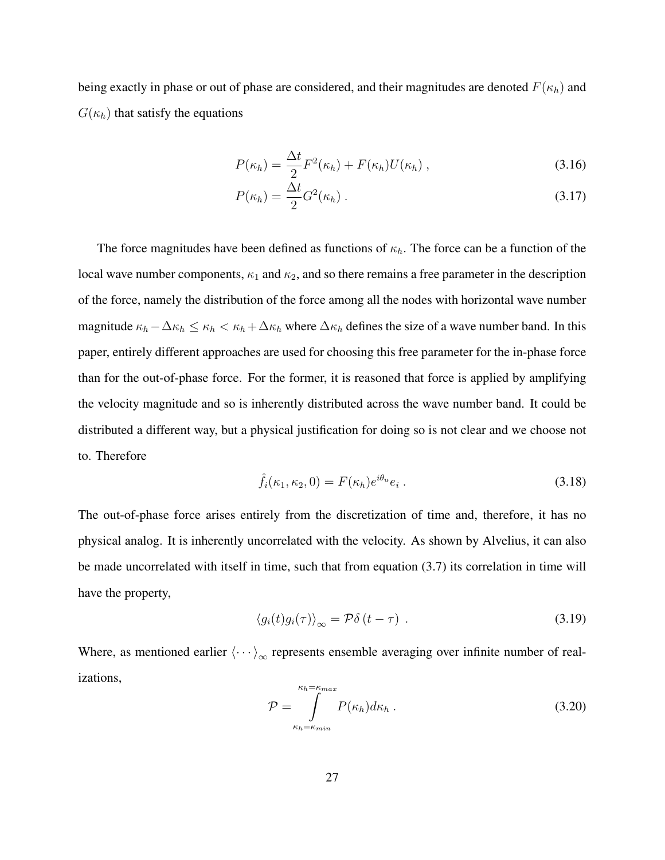being exactly in phase or out of phase are considered, and their magnitudes are denoted  $F(\kappa_h)$  and  $G(\kappa_h)$  that satisfy the equations

$$
P(\kappa_h) = \frac{\Delta t}{2} F^2(\kappa_h) + F(\kappa_h) U(\kappa_h) , \qquad (3.16)
$$

$$
P(\kappa_h) = \frac{\Delta t}{2} G^2(\kappa_h) \,. \tag{3.17}
$$

The force magnitudes have been defined as functions of  $\kappa_h$ . The force can be a function of the local wave number components,  $\kappa_1$  and  $\kappa_2$ , and so there remains a free parameter in the description of the force, namely the distribution of the force among all the nodes with horizontal wave number magnitude  $\kappa_h-\Delta\kappa_h \leq \kappa_h < \kappa_h+\Delta\kappa_h$  where  $\Delta\kappa_h$  defines the size of a wave number band. In this paper, entirely different approaches are used for choosing this free parameter for the in-phase force than for the out-of-phase force. For the former, it is reasoned that force is applied by amplifying the velocity magnitude and so is inherently distributed across the wave number band. It could be distributed a different way, but a physical justification for doing so is not clear and we choose not to. Therefore

$$
\hat{f}_i(\kappa_1, \kappa_2, 0) = F(\kappa_h) e^{i\theta_u} e_i.
$$
\n(3.18)

The out-of-phase force arises entirely from the discretization of time and, therefore, it has no physical analog. It is inherently uncorrelated with the velocity. As shown by Alvelius, it can also be made uncorrelated with itself in time, such that from equation (3.7) its correlation in time will have the property,

$$
\langle g_i(t)g_i(\tau)\rangle_{\infty} = \mathcal{P}\delta(t-\tau) \tag{3.19}
$$

Where, as mentioned earlier  $\langle \cdots \rangle_{\infty}$  represents ensemble averaging over infinite number of realizations,

$$
\mathcal{P} = \int_{\kappa_h = \kappa_{min}}^{\kappa_h = \kappa_{max}} P(\kappa_h) d\kappa_h . \qquad (3.20)
$$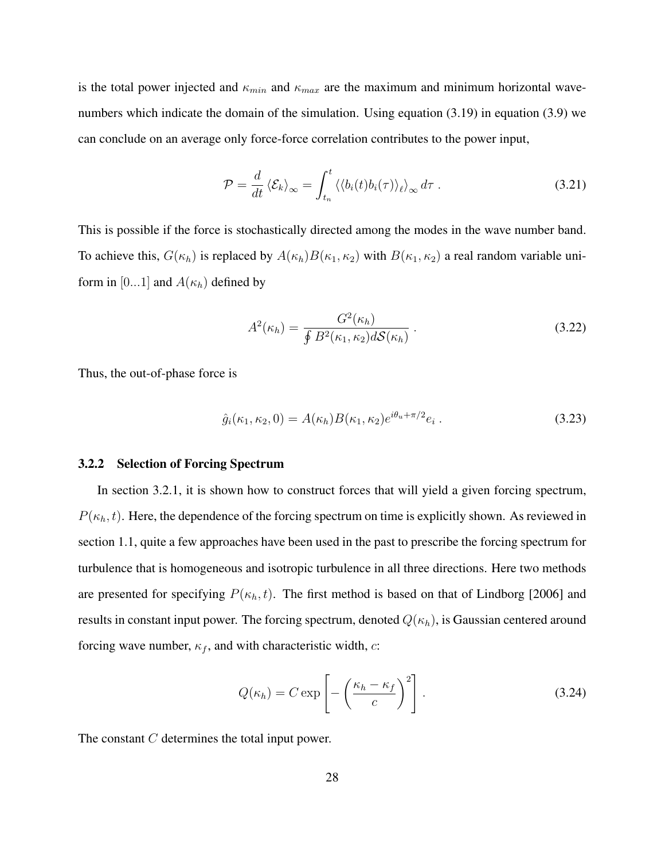is the total power injected and  $\kappa_{min}$  and  $\kappa_{max}$  are the maximum and minimum horizontal wavenumbers which indicate the domain of the simulation. Using equation (3.19) in equation (3.9) we can conclude on an average only force-force correlation contributes to the power input,

$$
\mathcal{P} = \frac{d}{dt} \left\langle \mathcal{E}_k \right\rangle_{\infty} = \int_{t_n}^t \left\langle \left\langle b_i(t) b_i(\tau) \right\rangle_{\ell} \right\rangle_{\infty} d\tau \ . \tag{3.21}
$$

This is possible if the force is stochastically directed among the modes in the wave number band. To achieve this,  $G(\kappa_h)$  is replaced by  $A(\kappa_h)B(\kappa_1, \kappa_2)$  with  $B(\kappa_1, \kappa_2)$  a real random variable uniform in [0...1] and  $A(\kappa_h)$  defined by

$$
A^{2}(\kappa_{h}) = \frac{G^{2}(\kappa_{h})}{\oint B^{2}(\kappa_{1}, \kappa_{2})dS(\kappa_{h})}.
$$
\n(3.22)

Thus, the out-of-phase force is

$$
\hat{g}_i(\kappa_1, \kappa_2, 0) = A(\kappa_h) B(\kappa_1, \kappa_2) e^{i\theta_u + \pi/2} e_i.
$$
\n(3.23)

#### 3.2.2 Selection of Forcing Spectrum

In section 3.2.1, it is shown how to construct forces that will yield a given forcing spectrum,  $P(\kappa_h, t)$ . Here, the dependence of the forcing spectrum on time is explicitly shown. As reviewed in section 1.1, quite a few approaches have been used in the past to prescribe the forcing spectrum for turbulence that is homogeneous and isotropic turbulence in all three directions. Here two methods are presented for specifying  $P(\kappa_h, t)$ . The first method is based on that of Lindborg [2006] and results in constant input power. The forcing spectrum, denoted  $Q(\kappa_h)$ , is Gaussian centered around forcing wave number,  $\kappa_f$ , and with characteristic width, c:

$$
Q(\kappa_h) = C \exp\left[-\left(\frac{\kappa_h - \kappa_f}{c}\right)^2\right].
$$
 (3.24)

The constant C determines the total input power.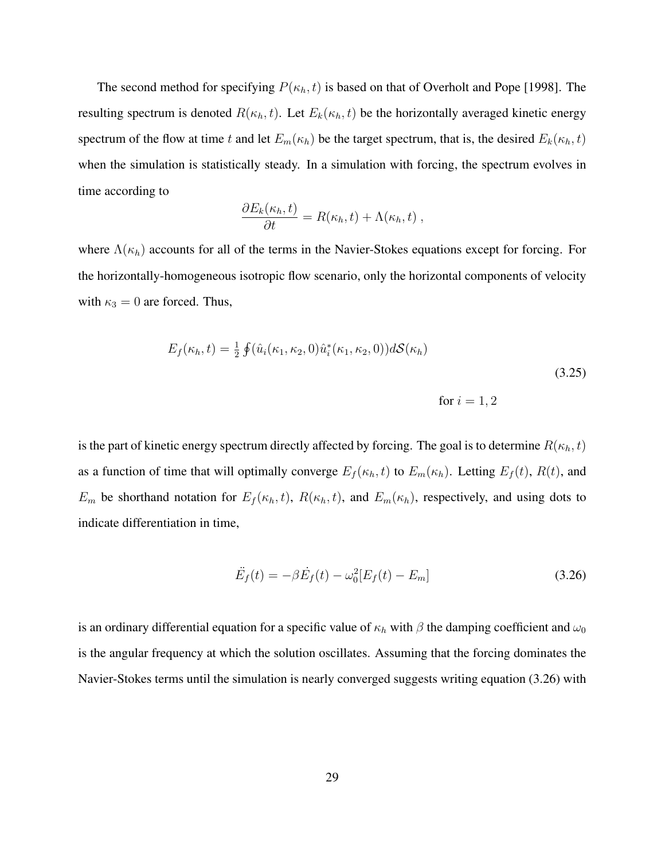The second method for specifying  $P(\kappa_h, t)$  is based on that of Overholt and Pope [1998]. The resulting spectrum is denoted  $R(\kappa_h, t)$ . Let  $E_k(\kappa_h, t)$  be the horizontally averaged kinetic energy spectrum of the flow at time t and let  $E_m(\kappa_h)$  be the target spectrum, that is, the desired  $E_k(\kappa_h, t)$ when the simulation is statistically steady. In a simulation with forcing, the spectrum evolves in time according to

$$
\frac{\partial E_k(\kappa_h,t)}{\partial t} = R(\kappa_h,t) + \Lambda(\kappa_h,t) ,
$$

where  $\Lambda(\kappa_h)$  accounts for all of the terms in the Navier-Stokes equations except for forcing. For the horizontally-homogeneous isotropic flow scenario, only the horizontal components of velocity with  $\kappa_3 = 0$  are forced. Thus,

$$
E_f(\kappa_h, t) = \frac{1}{2} \oint (\hat{u}_i(\kappa_1, \kappa_2, 0) \hat{u}_i^*(\kappa_1, \kappa_2, 0)) dS(\kappa_h)
$$
\n(3.25)

\nfor  $i = 1, 2$ 

is the part of kinetic energy spectrum directly affected by forcing. The goal is to determine  $R(\kappa_h,t)$ as a function of time that will optimally converge  $E_f(\kappa_h, t)$  to  $E_m(\kappa_h)$ . Letting  $E_f(t)$ ,  $R(t)$ , and  $E_m$  be shorthand notation for  $E_f(\kappa_h, t)$ ,  $R(\kappa_h, t)$ , and  $E_m(\kappa_h)$ , respectively, and using dots to indicate differentiation in time,

$$
\ddot{E}_f(t) = -\beta \dot{E}_f(t) - \omega_0^2 [E_f(t) - E_m]
$$
\n(3.26)

is an ordinary differential equation for a specific value of  $\kappa_h$  with  $\beta$  the damping coefficient and  $\omega_0$ is the angular frequency at which the solution oscillates. Assuming that the forcing dominates the Navier-Stokes terms until the simulation is nearly converged suggests writing equation (3.26) with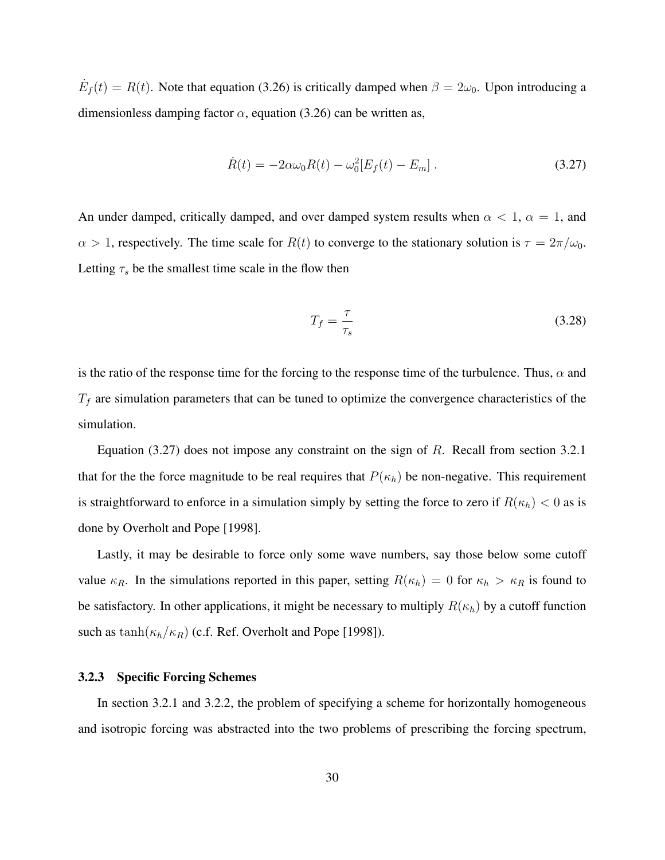$\dot{E}_f(t) = R(t)$ . Note that equation (3.26) is critically damped when  $\beta = 2\omega_0$ . Upon introducing a dimensionless damping factor  $\alpha$ , equation (3.26) can be written as,

$$
\dot{R}(t) = -2\alpha\omega_0 R(t) - \omega_0^2 [E_f(t) - E_m].
$$
\n(3.27)

An under damped, critically damped, and over damped system results when  $\alpha < 1$ ,  $\alpha = 1$ , and  $\alpha > 1$ , respectively. The time scale for  $R(t)$  to converge to the stationary solution is  $\tau = 2\pi/\omega_0$ . Letting  $\tau_s$  be the smallest time scale in the flow then

$$
T_f = \frac{\tau}{\tau_s} \tag{3.28}
$$

is the ratio of the response time for the forcing to the response time of the turbulence. Thus,  $\alpha$  and  $T_f$  are simulation parameters that can be tuned to optimize the convergence characteristics of the simulation.

Equation  $(3.27)$  does not impose any constraint on the sign of R. Recall from section 3.2.1 that for the the force magnitude to be real requires that  $P(\kappa_h)$  be non-negative. This requirement is straightforward to enforce in a simulation simply by setting the force to zero if  $R(\kappa_h) < 0$  as is done by Overholt and Pope [1998].

Lastly, it may be desirable to force only some wave numbers, say those below some cutoff value  $\kappa_R$ . In the simulations reported in this paper, setting  $R(\kappa_h) = 0$  for  $\kappa_h > \kappa_R$  is found to be satisfactory. In other applications, it might be necessary to multiply  $R(\kappa_h)$  by a cutoff function such as  $\tanh(\kappa_h/\kappa_R)$  (c.f. Ref. Overholt and Pope [1998]).

#### 3.2.3 Specific Forcing Schemes

In section 3.2.1 and 3.2.2, the problem of specifying a scheme for horizontally homogeneous and isotropic forcing was abstracted into the two problems of prescribing the forcing spectrum,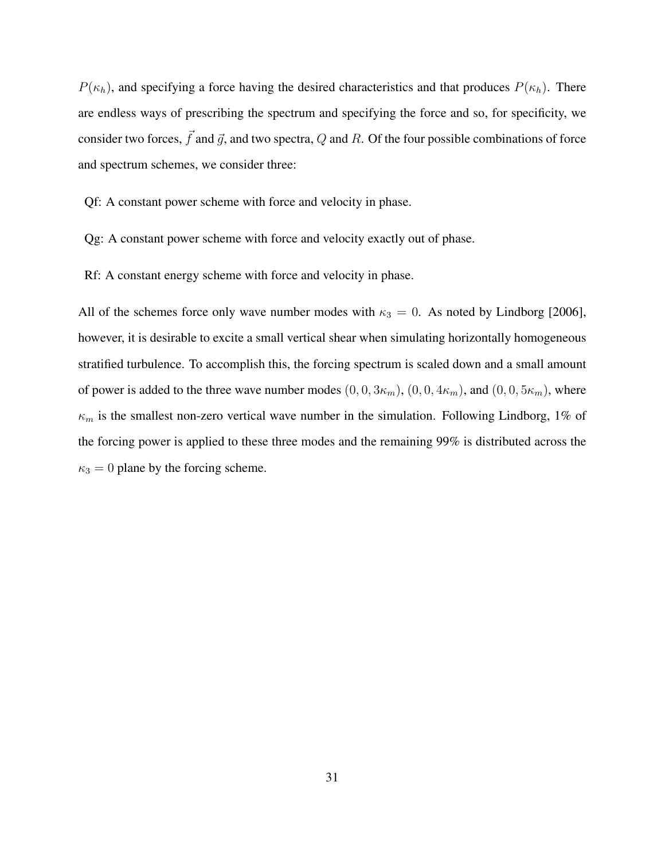$P(\kappa_h)$ , and specifying a force having the desired characteristics and that produces  $P(\kappa_h)$ . There are endless ways of prescribing the spectrum and specifying the force and so, for specificity, we consider two forces,  $\vec{f}$  and  $\vec{g}$ , and two spectra, Q and R. Of the four possible combinations of force and spectrum schemes, we consider three:

Qf: A constant power scheme with force and velocity in phase.

Qg: A constant power scheme with force and velocity exactly out of phase.

Rf: A constant energy scheme with force and velocity in phase.

All of the schemes force only wave number modes with  $\kappa_3 = 0$ . As noted by Lindborg [2006], however, it is desirable to excite a small vertical shear when simulating horizontally homogeneous stratified turbulence. To accomplish this, the forcing spectrum is scaled down and a small amount of power is added to the three wave number modes  $(0, 0, 3\kappa_m)$ ,  $(0, 0, 4\kappa_m)$ , and  $(0, 0, 5\kappa_m)$ , where  $\kappa_m$  is the smallest non-zero vertical wave number in the simulation. Following Lindborg, 1% of the forcing power is applied to these three modes and the remaining 99% is distributed across the  $\kappa_3 = 0$  plane by the forcing scheme.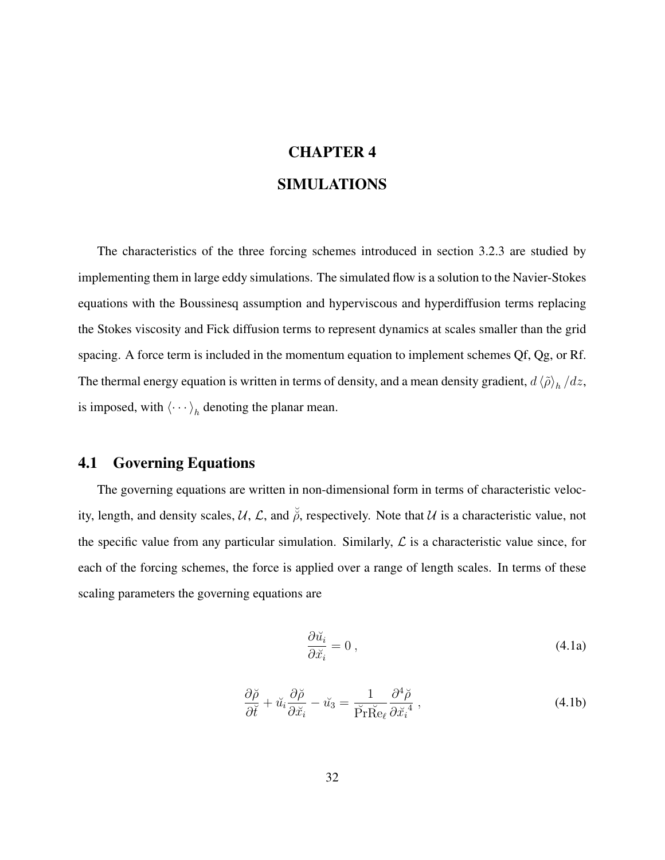# CHAPTER 4 SIMULATIONS

The characteristics of the three forcing schemes introduced in section 3.2.3 are studied by implementing them in large eddy simulations. The simulated flow is a solution to the Navier-Stokes equations with the Boussinesq assumption and hyperviscous and hyperdiffusion terms replacing the Stokes viscosity and Fick diffusion terms to represent dynamics at scales smaller than the grid spacing. A force term is included in the momentum equation to implement schemes Qf, Qg, or Rf. The thermal energy equation is written in terms of density, and a mean density gradient,  $d \langle \tilde{\rho} \rangle_h / dz$ , is imposed, with  $\langle \cdots \rangle_h$  denoting the planar mean.

### 4.1 Governing Equations

The governing equations are written in non-dimensional form in terms of characteristic velocity, length, and density scales, U, L, and  $\breve{\rho}$ , respectively. Note that U is a characteristic value, not the specific value from any particular simulation. Similarly,  $\mathcal L$  is a characteristic value since, for each of the forcing schemes, the force is applied over a range of length scales. In terms of these scaling parameters the governing equations are

$$
\frac{\partial \breve{u}_i}{\partial \breve{x}_i} = 0 \tag{4.1a}
$$

$$
\frac{\partial \breve{\rho}}{\partial \breve{t}} + \breve{u}_i \frac{\partial \breve{\rho}}{\partial \breve{x}_i} - \breve{u}_3 = \frac{1}{\breve{\Pr} \breve{\mathrm{Re}}_\ell} \frac{\partial^4 \breve{\rho}}{\partial \breve{x}_i^4} , \qquad (4.1b)
$$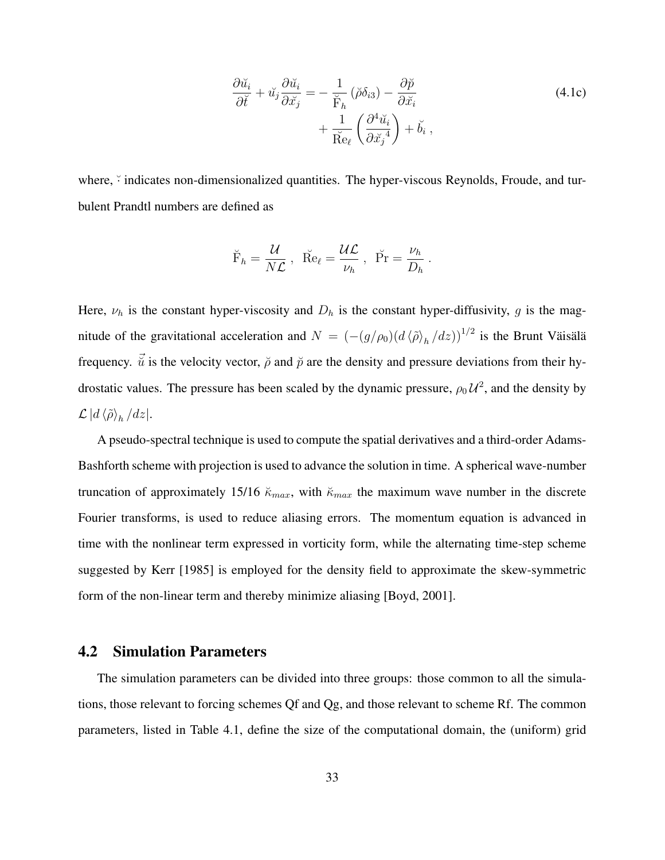$$
\frac{\partial \breve{u}_i}{\partial \breve{t}} + \breve{u}_j \frac{\partial \breve{u}_i}{\partial \breve{x}_j} = -\frac{1}{\breve{F}_h} (\breve{\rho} \delta_{i3}) - \frac{\partial \breve{p}}{\partial \breve{x}_i} \n+ \frac{1}{\breve{Re}_{\ell}} \left( \frac{\partial^4 \breve{u}_i}{\partial \breve{x}_j^4} \right) + \breve{b}_i ,
$$
\n(4.1c)

where,  $\check{\cdot}$  indicates non-dimensionalized quantities. The hyper-viscous Reynolds, Froude, and turbulent Prandtl numbers are defined as

$$
\breve{\mathbf{F}}_h = \frac{\mathcal{U}}{N\mathcal{L}}, \ \ \breve{\mathbf{R}}\mathbf{e}_{\ell} = \frac{\mathcal{U}\mathcal{L}}{\nu_h}, \ \ \breve{\mathbf{P}}\mathbf{r} = \frac{\nu_h}{D_h}.
$$

Here,  $\nu_h$  is the constant hyper-viscosity and  $D_h$  is the constant hyper-diffusivity, g is the magnitude of the gravitational acceleration and  $N = (-\frac{g}{\rho_0})\left(d\left\langle \tilde{\rho} \right\rangle_h/dz)\right)^{1/2}$  is the Brunt Väisälä frequency.  $\vec{u}$  is the velocity vector,  $\vec{\rho}$  and  $\vec{p}$  are the density and pressure deviations from their hydrostatic values. The pressure has been scaled by the dynamic pressure,  $\rho_0 U^2$ , and the density by  $\mathcal{L} \ket{d \braket{\tilde{\rho}}_h/dz}.$ 

A pseudo-spectral technique is used to compute the spatial derivatives and a third-order Adams-Bashforth scheme with projection is used to advance the solution in time. A spherical wave-number truncation of approximately 15/16  $\breve{\kappa}_{max}$ , with  $\breve{\kappa}_{max}$  the maximum wave number in the discrete Fourier transforms, is used to reduce aliasing errors. The momentum equation is advanced in time with the nonlinear term expressed in vorticity form, while the alternating time-step scheme suggested by Kerr [1985] is employed for the density field to approximate the skew-symmetric form of the non-linear term and thereby minimize aliasing [Boyd, 2001].

#### 4.2 Simulation Parameters

The simulation parameters can be divided into three groups: those common to all the simulations, those relevant to forcing schemes Qf and Qg, and those relevant to scheme Rf. The common parameters, listed in Table 4.1, define the size of the computational domain, the (uniform) grid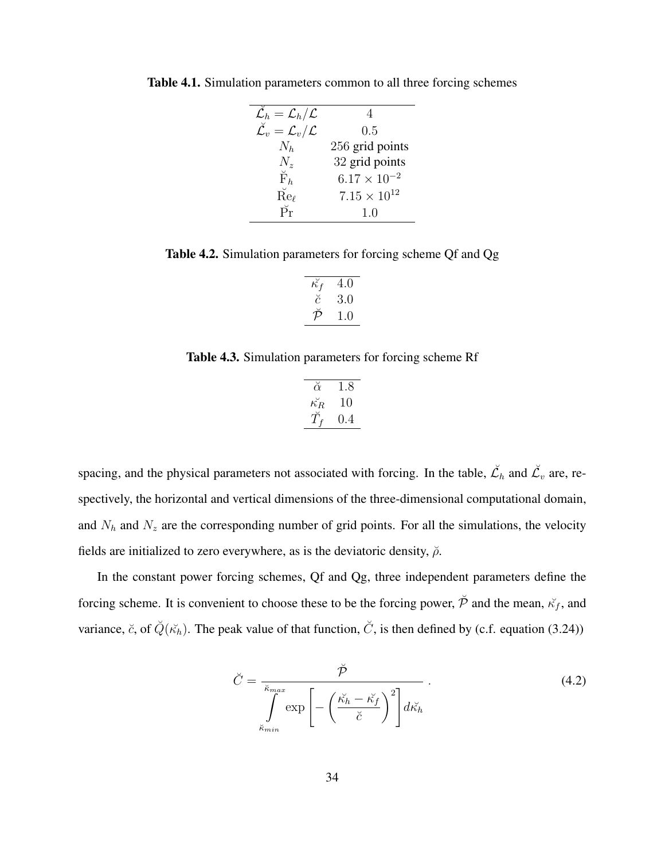| $\mathcal{L}_h = \mathcal{L}_h/\mathcal{L}$         |                       |
|-----------------------------------------------------|-----------------------|
| $\breve{\mathcal{L}_v} = \mathcal{L}_v/\mathcal{L}$ | 0.5                   |
| $N_h$                                               | 256 grid points       |
| $N_z$                                               | 32 grid points        |
| $\check{F}_h$                                       | $6.17 \times 10^{-2}$ |
| $\check{\mathrm{Re}}_\ell$                          | $7.15 \times 10^{12}$ |
| $\breve{\Pr}$                                       | 1.0                   |

Table 4.1. Simulation parameters common to all three forcing schemes

Table 4.2. Simulation parameters for forcing scheme Qf and Qg

| 4.0     |
|---------|
| 3.0     |
| $\pm$ 0 |
|         |

Table 4.3. Simulation parameters for forcing scheme Rf

| $\breve{\alpha}$   | 1.8 |
|--------------------|-----|
| $\breve{\kappa_R}$ | 10  |
|                    | 0.4 |

spacing, and the physical parameters not associated with forcing. In the table,  $\check{\mathcal{L}}_h$  and  $\check{\mathcal{L}}_v$  are, respectively, the horizontal and vertical dimensions of the three-dimensional computational domain, and  $N_h$  and  $N_z$  are the corresponding number of grid points. For all the simulations, the velocity fields are initialized to zero everywhere, as is the deviatoric density,  $\ddot{\rho}$ .

In the constant power forcing schemes, Qf and Qg, three independent parameters define the forcing scheme. It is convenient to choose these to be the forcing power,  $\check{\mathcal{P}}$  and the mean,  $\check{\kappa}_f$ , and variance, č, of  $\check{Q}(\check{\kappa_h})$ . The peak value of that function,  $\check{C}$ , is then defined by (c.f. equation (3.24))

$$
\check{C} = \frac{\check{\mathcal{P}}}{\int_{\check{\kappa}_{min}}^{\check{\kappa}_{max}} \exp\left[-\left(\frac{\check{\kappa_h} - \check{\kappa_f}}{\check{c}}\right)^2\right] d\check{\kappa_h}}.
$$
\n(4.2)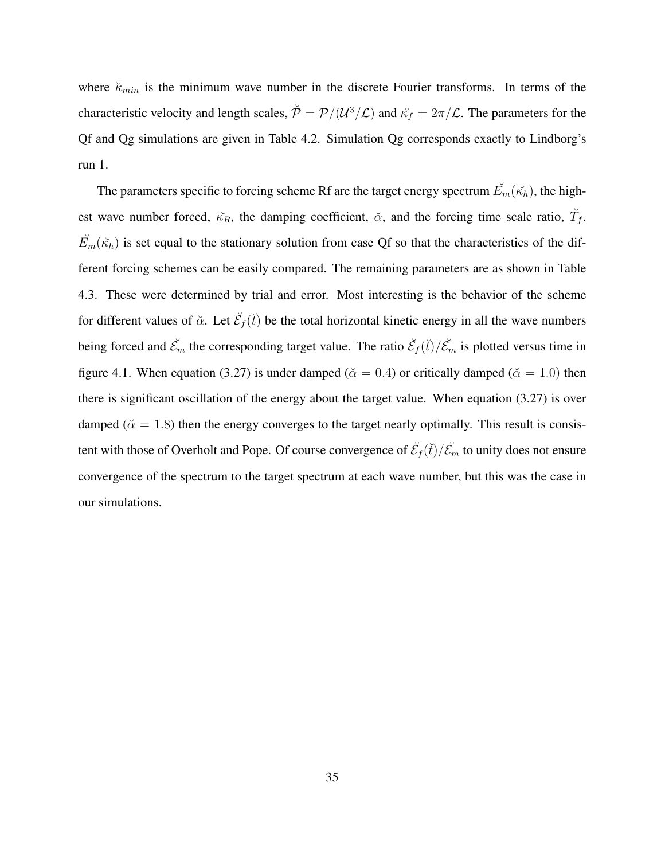where  $\breve{\kappa}_{min}$  is the minimum wave number in the discrete Fourier transforms. In terms of the characteristic velocity and length scales,  $\breve{\mathcal{P}} = \mathcal{P}/(\mathcal{U}^3/\mathcal{L})$  and  $\breve{\kappa}_f = 2\pi/\mathcal{L}$ . The parameters for the Qf and Qg simulations are given in Table 4.2. Simulation Qg corresponds exactly to Lindborg's run 1.

The parameters specific to forcing scheme Rf are the target energy spectrum  $\mathbf{E}_{m}(\mathbf{\vec{\kappa}}_{h})$ , the highest wave number forced,  $\breve{\kappa_R}$ , the damping coefficient,  $\breve{\alpha}$ , and the forcing time scale ratio,  $\breve{T}_f$ .  $\widetilde{E}_m(\widetilde{\kappa}_h)$  is set equal to the stationary solution from case Qf so that the characteristics of the different forcing schemes can be easily compared. The remaining parameters are as shown in Table 4.3. These were determined by trial and error. Most interesting is the behavior of the scheme for different values of  $\check{\alpha}$ . Let  $\check{\mathcal{E}}_f(\check{t})$  be the total horizontal kinetic energy in all the wave numbers being forced and  $\tilde{\mathcal{E}}_m$  the corresponding target value. The ratio  $\tilde{\mathcal{E}}_f(\tilde{t})/\tilde{\mathcal{E}}_m$  is plotted versus time in figure 4.1. When equation (3.27) is under damped ( $\alpha = 0.4$ ) or critically damped ( $\alpha = 1.0$ ) then there is significant oscillation of the energy about the target value. When equation (3.27) is over damped ( $\tilde{\alpha} = 1.8$ ) then the energy converges to the target nearly optimally. This result is consistent with those of Overholt and Pope. Of course convergence of  $\check{\mathcal{E}}_f(\check{t})/\check{\mathcal{E}}_m$  to unity does not ensure convergence of the spectrum to the target spectrum at each wave number, but this was the case in our simulations.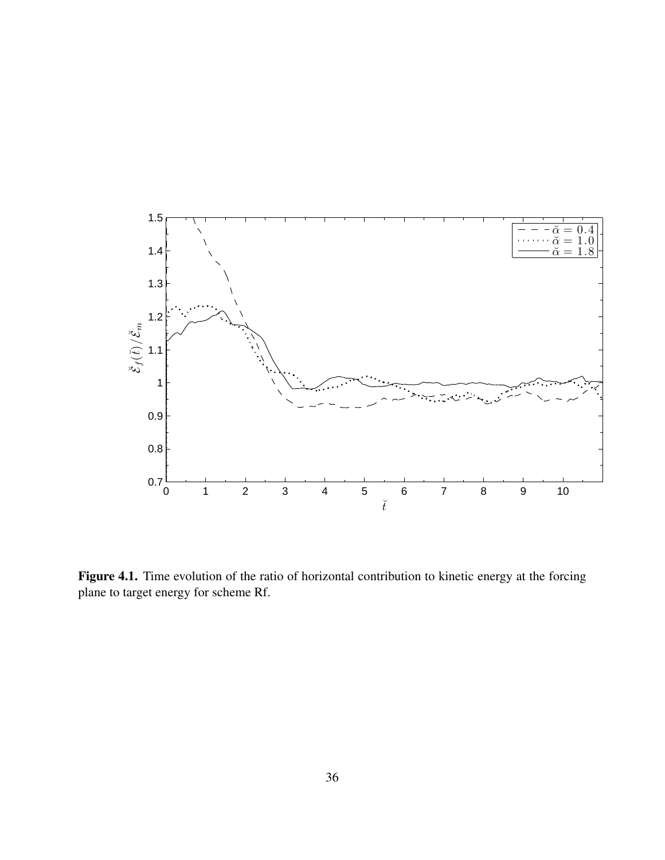

Figure 4.1. Time evolution of the ratio of horizontal contribution to kinetic energy at the forcing plane to target energy for scheme Rf.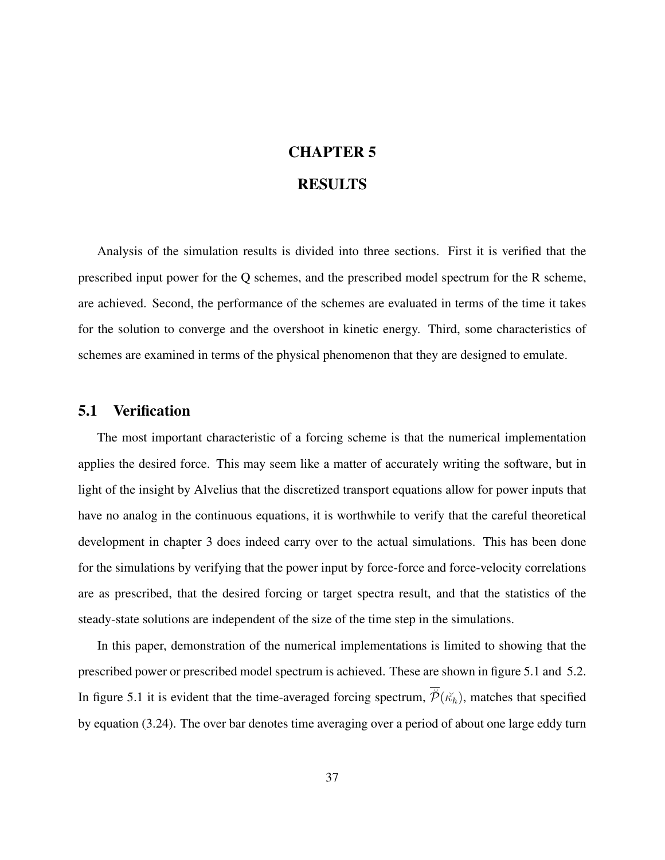# CHAPTER 5 RESULTS

Analysis of the simulation results is divided into three sections. First it is verified that the prescribed input power for the Q schemes, and the prescribed model spectrum for the R scheme, are achieved. Second, the performance of the schemes are evaluated in terms of the time it takes for the solution to converge and the overshoot in kinetic energy. Third, some characteristics of schemes are examined in terms of the physical phenomenon that they are designed to emulate.

#### 5.1 Verification

The most important characteristic of a forcing scheme is that the numerical implementation applies the desired force. This may seem like a matter of accurately writing the software, but in light of the insight by Alvelius that the discretized transport equations allow for power inputs that have no analog in the continuous equations, it is worthwhile to verify that the careful theoretical development in chapter 3 does indeed carry over to the actual simulations. This has been done for the simulations by verifying that the power input by force-force and force-velocity correlations are as prescribed, that the desired forcing or target spectra result, and that the statistics of the steady-state solutions are independent of the size of the time step in the simulations.

In this paper, demonstration of the numerical implementations is limited to showing that the prescribed power or prescribed model spectrum is achieved. These are shown in figure 5.1 and 5.2. In figure 5.1 it is evident that the time-averaged forcing spectrum,  $\overline{\phi}(\kappa_h)$ , matches that specified by equation (3.24). The over bar denotes time averaging over a period of about one large eddy turn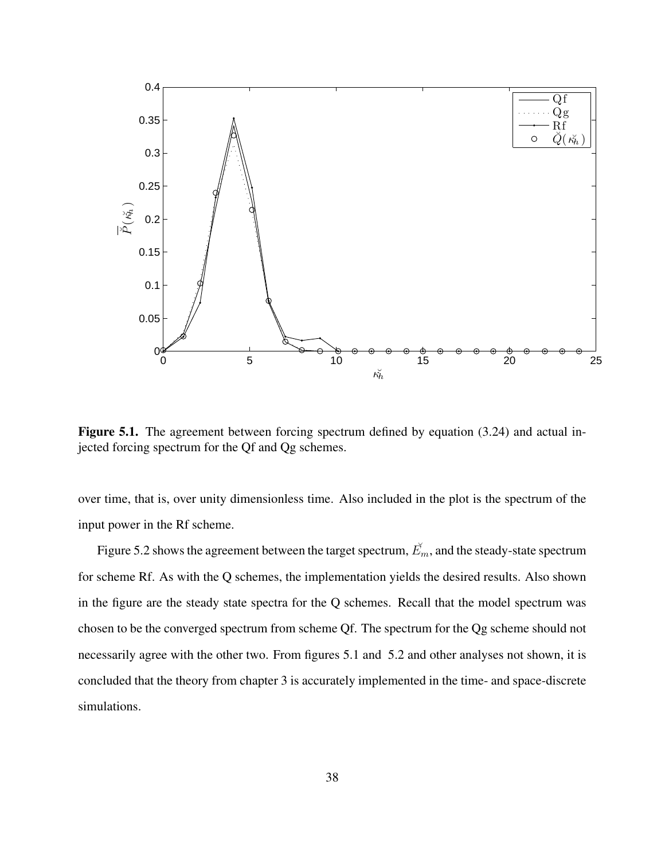

Figure 5.1. The agreement between forcing spectrum defined by equation (3.24) and actual injected forcing spectrum for the Qf and Qg schemes.

over time, that is, over unity dimensionless time. Also included in the plot is the spectrum of the input power in the Rf scheme.

Figure 5.2 shows the agreement between the target spectrum,  $\mathbf{E}_m$ , and the steady-state spectrum for scheme Rf. As with the Q schemes, the implementation yields the desired results. Also shown in the figure are the steady state spectra for the Q schemes. Recall that the model spectrum was chosen to be the converged spectrum from scheme Qf. The spectrum for the Qg scheme should not necessarily agree with the other two. From figures 5.1 and 5.2 and other analyses not shown, it is concluded that the theory from chapter 3 is accurately implemented in the time- and space-discrete simulations.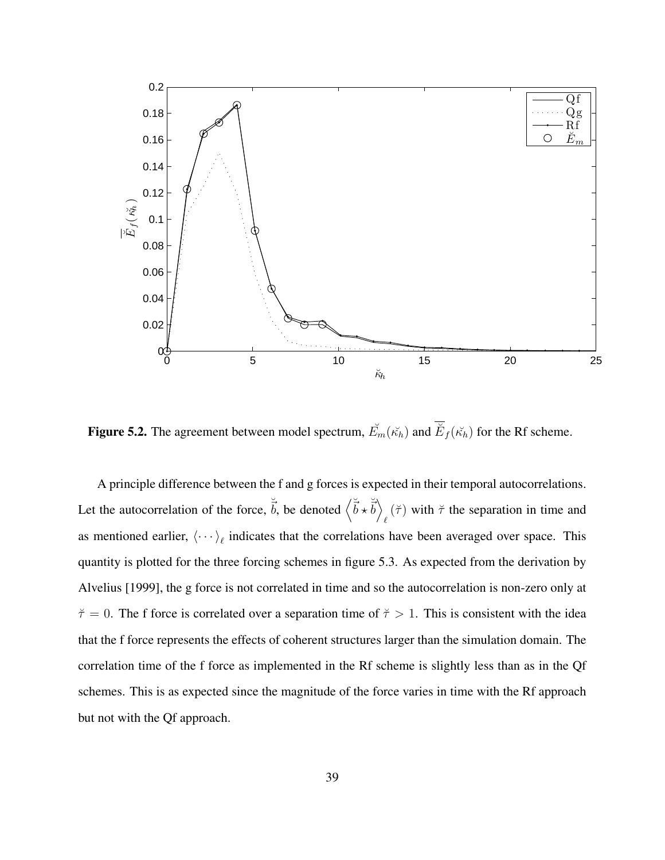

**Figure 5.2.** The agreement between model spectrum,  $\check{E}_m(\check{\kappa_h})$  and  $\check{E}_f(\check{\kappa_h})$  for the Rf scheme.

A principle difference between the f and g forces is expected in their temporal autocorrelations. Let the autocorrelation of the force,  $\vec{b}$ , be denoted  $\langle \vec{b} \times \vec{b} \rangle$  $\ell(\breve{\tau})$  with  $\breve{\tau}$  the separation in time and as mentioned earlier,  $\langle \cdots \rangle_{\ell}$  indicates that the correlations have been averaged over space. This quantity is plotted for the three forcing schemes in figure 5.3. As expected from the derivation by Alvelius [1999], the g force is not correlated in time and so the autocorrelation is non-zero only at  $\breve{\tau} = 0$ . The f force is correlated over a separation time of  $\breve{\tau} > 1$ . This is consistent with the idea that the f force represents the effects of coherent structures larger than the simulation domain. The correlation time of the f force as implemented in the Rf scheme is slightly less than as in the Qf schemes. This is as expected since the magnitude of the force varies in time with the Rf approach but not with the Qf approach.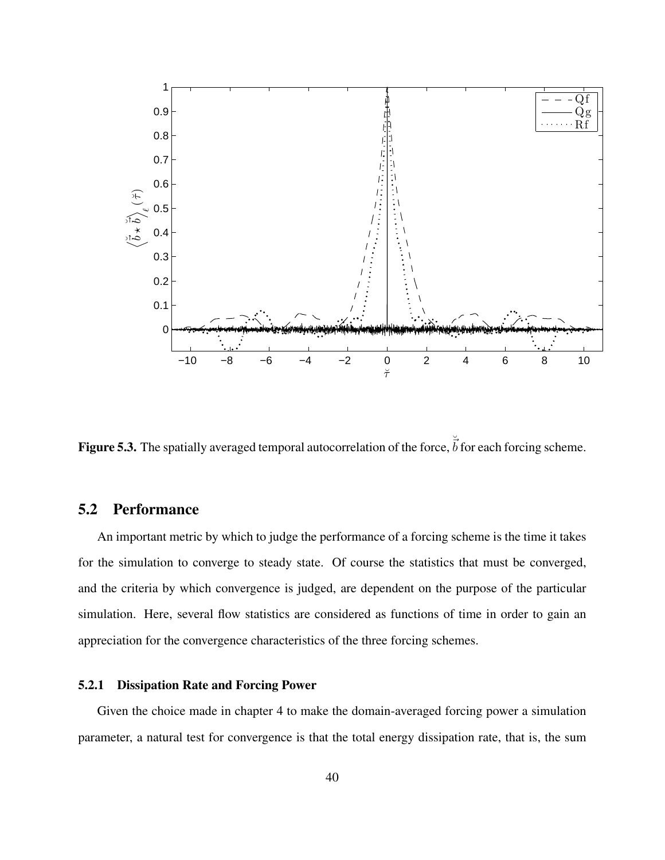

**Figure 5.3.** The spatially averaged temporal autocorrelation of the force,  $\overrightarrow{b}$  for each forcing scheme.

# 5.2 Performance

An important metric by which to judge the performance of a forcing scheme is the time it takes for the simulation to converge to steady state. Of course the statistics that must be converged, and the criteria by which convergence is judged, are dependent on the purpose of the particular simulation. Here, several flow statistics are considered as functions of time in order to gain an appreciation for the convergence characteristics of the three forcing schemes.

#### 5.2.1 Dissipation Rate and Forcing Power

Given the choice made in chapter 4 to make the domain-averaged forcing power a simulation parameter, a natural test for convergence is that the total energy dissipation rate, that is, the sum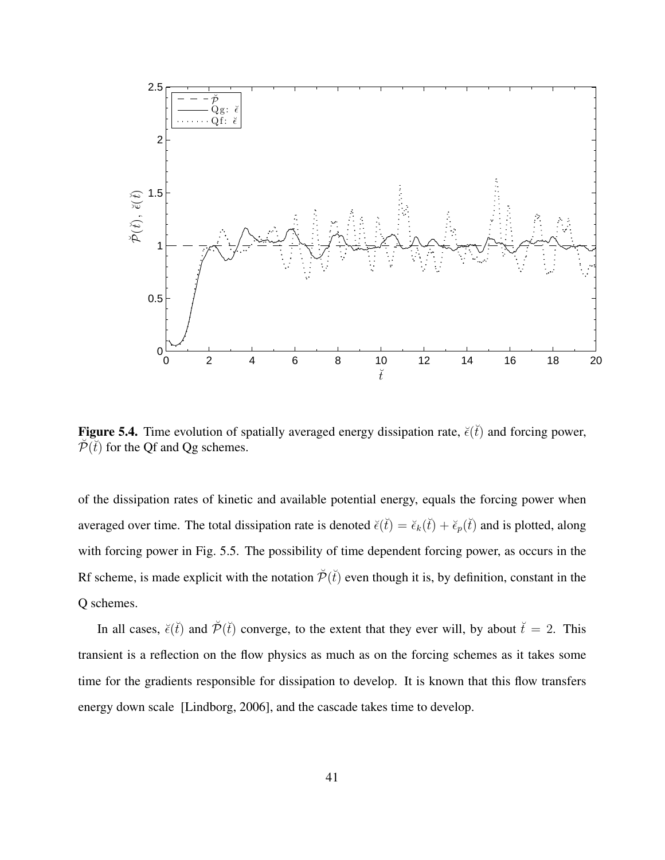

Figure 5.4. Time evolution of spatially averaged energy dissipation rate,  $\breve{\epsilon}(\breve{t})$  and forcing power,  $\tilde{\mathcal{P}}(\tilde{t})$  for the Qf and Qg schemes.

of the dissipation rates of kinetic and available potential energy, equals the forcing power when averaged over time. The total dissipation rate is denoted  $\breve{\epsilon}(t) = \breve{\epsilon}_k(t) + \breve{\epsilon}_p(t)$  and is plotted, along with forcing power in Fig. 5.5. The possibility of time dependent forcing power, as occurs in the Rf scheme, is made explicit with the notation  $\tilde{\mathcal{P}}(\tilde{t})$  even though it is, by definition, constant in the Q schemes.

In all cases,  $\breve{\epsilon}(\breve{t})$  and  $\breve{\mathcal{P}}(\breve{t})$  converge, to the extent that they ever will, by about  $\breve{t} = 2$ . This transient is a reflection on the flow physics as much as on the forcing schemes as it takes some time for the gradients responsible for dissipation to develop. It is known that this flow transfers energy down scale [Lindborg, 2006], and the cascade takes time to develop.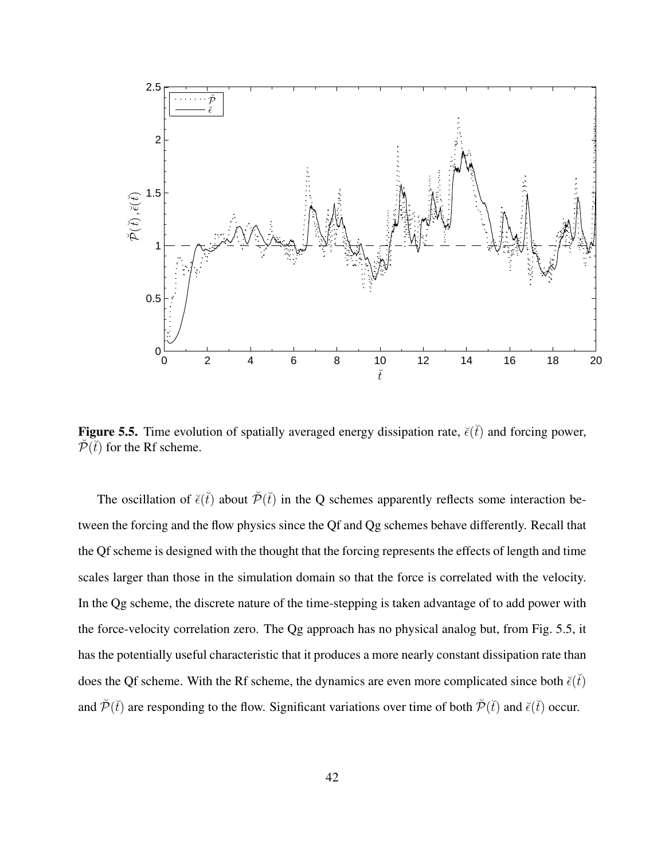

**Figure 5.5.** Time evolution of spatially averaged energy dissipation rate,  $\breve{\epsilon}(t)$  and forcing power,  $\tilde{\mathcal{P}}(\tilde{t})$  for the Rf scheme.

The oscillation of  $\breve{\epsilon}(t)$  about  $\breve{\mathcal{P}}(t)$  in the Q schemes apparently reflects some interaction between the forcing and the flow physics since the Qf and Qg schemes behave differently. Recall that the Qf scheme is designed with the thought that the forcing represents the effects of length and time scales larger than those in the simulation domain so that the force is correlated with the velocity. In the Qg scheme, the discrete nature of the time-stepping is taken advantage of to add power with the force-velocity correlation zero. The Qg approach has no physical analog but, from Fig. 5.5, it has the potentially useful characteristic that it produces a more nearly constant dissipation rate than does the Qf scheme. With the Rf scheme, the dynamics are even more complicated since both  $\breve{\epsilon}(\breve{t})$ and  $\tilde{\mathcal{P}}(\tilde{t})$  are responding to the flow. Significant variations over time of both  $\tilde{\mathcal{P}}(\tilde{t})$  and  $\tilde{\epsilon}(\tilde{t})$  occur.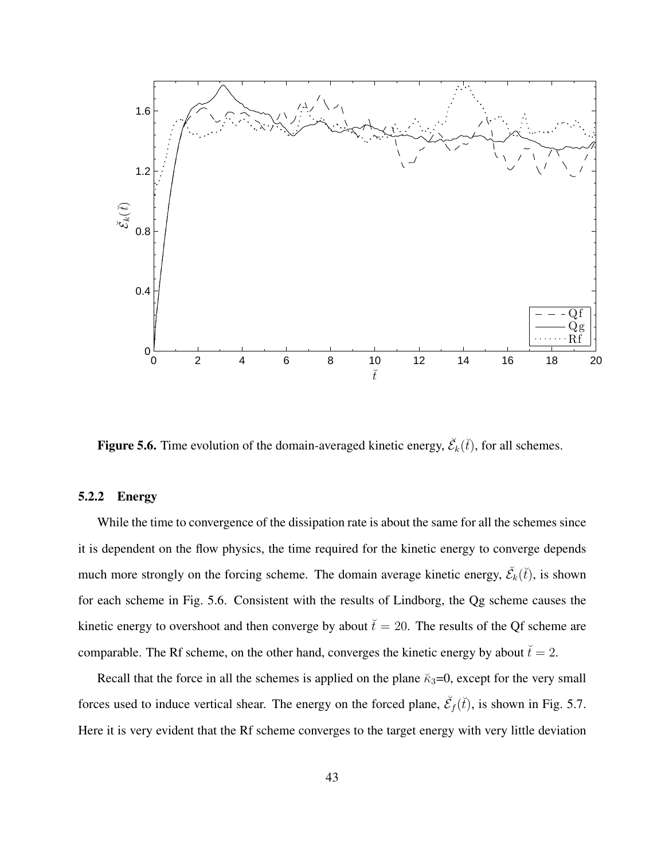

**Figure 5.6.** Time evolution of the domain-averaged kinetic energy,  $\check{\mathcal{E}}_k(\check{t})$ , for all schemes.

#### 5.2.2 Energy

While the time to convergence of the dissipation rate is about the same for all the schemes since it is dependent on the flow physics, the time required for the kinetic energy to converge depends much more strongly on the forcing scheme. The domain average kinetic energy,  $\check{\mathcal{E}}_k(\check{t})$ , is shown for each scheme in Fig. 5.6. Consistent with the results of Lindborg, the Qg scheme causes the kinetic energy to overshoot and then converge by about  $\check{t} = 20$ . The results of the Qf scheme are comparable. The Rf scheme, on the other hand, converges the kinetic energy by about  $\breve{t}=2$ .

Recall that the force in all the schemes is applied on the plane  $\kappa_3=0$ , except for the very small forces used to induce vertical shear. The energy on the forced plane,  $\check{\mathcal{E}}_f(\check{t})$ , is shown in Fig. 5.7. Here it is very evident that the Rf scheme converges to the target energy with very little deviation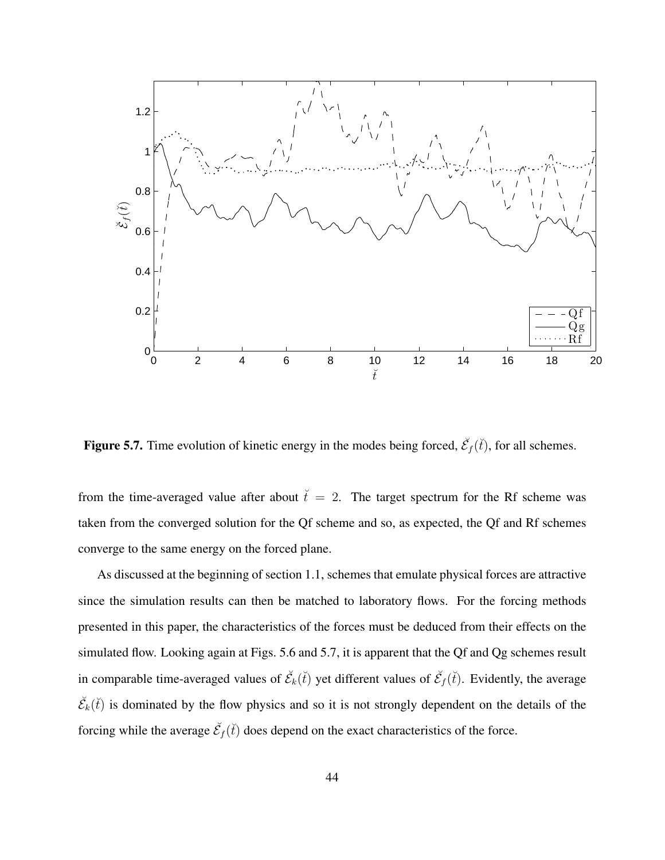

**Figure 5.7.** Time evolution of kinetic energy in the modes being forced,  $\check{\mathcal{E}}_f(\check{t})$ , for all schemes.

from the time-averaged value after about  $\check{t} = 2$ . The target spectrum for the Rf scheme was taken from the converged solution for the Qf scheme and so, as expected, the Qf and Rf schemes converge to the same energy on the forced plane.

As discussed at the beginning of section 1.1, schemes that emulate physical forces are attractive since the simulation results can then be matched to laboratory flows. For the forcing methods presented in this paper, the characteristics of the forces must be deduced from their effects on the simulated flow. Looking again at Figs. 5.6 and 5.7, it is apparent that the Qf and Qg schemes result in comparable time-averaged values of  $\check{\mathcal{E}}_k(\check{t})$  yet different values of  $\check{\mathcal{E}}_f(\check{t})$ . Evidently, the average  $\check{\mathcal{E}}_k(\check{t})$  is dominated by the flow physics and so it is not strongly dependent on the details of the forcing while the average  $\check{\mathcal{E}}_f(\check{t})$  does depend on the exact characteristics of the force.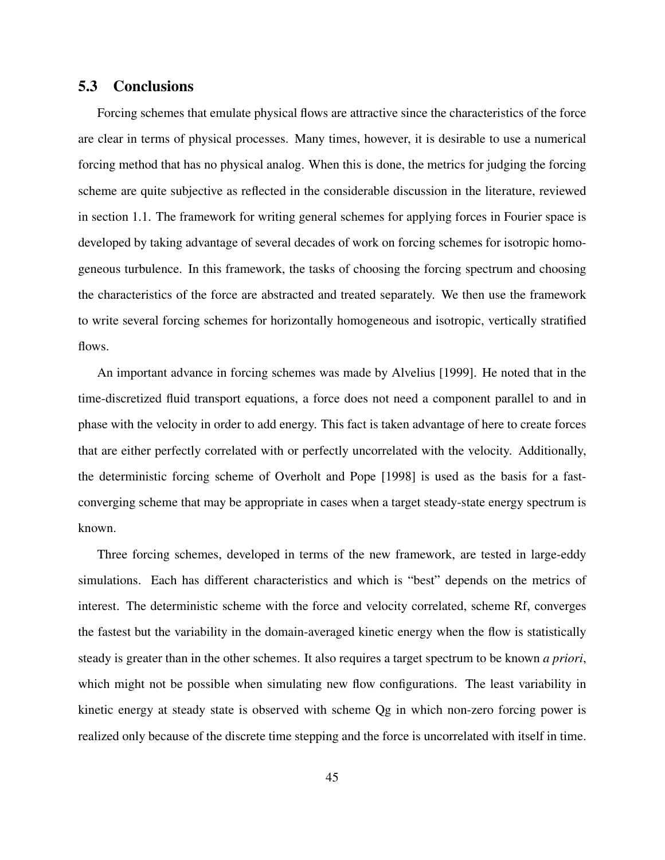### 5.3 Conclusions

Forcing schemes that emulate physical flows are attractive since the characteristics of the force are clear in terms of physical processes. Many times, however, it is desirable to use a numerical forcing method that has no physical analog. When this is done, the metrics for judging the forcing scheme are quite subjective as reflected in the considerable discussion in the literature, reviewed in section 1.1. The framework for writing general schemes for applying forces in Fourier space is developed by taking advantage of several decades of work on forcing schemes for isotropic homogeneous turbulence. In this framework, the tasks of choosing the forcing spectrum and choosing the characteristics of the force are abstracted and treated separately. We then use the framework to write several forcing schemes for horizontally homogeneous and isotropic, vertically stratified flows.

An important advance in forcing schemes was made by Alvelius [1999]. He noted that in the time-discretized fluid transport equations, a force does not need a component parallel to and in phase with the velocity in order to add energy. This fact is taken advantage of here to create forces that are either perfectly correlated with or perfectly uncorrelated with the velocity. Additionally, the deterministic forcing scheme of Overholt and Pope [1998] is used as the basis for a fastconverging scheme that may be appropriate in cases when a target steady-state energy spectrum is known.

Three forcing schemes, developed in terms of the new framework, are tested in large-eddy simulations. Each has different characteristics and which is "best" depends on the metrics of interest. The deterministic scheme with the force and velocity correlated, scheme Rf, converges the fastest but the variability in the domain-averaged kinetic energy when the flow is statistically steady is greater than in the other schemes. It also requires a target spectrum to be known *a priori*, which might not be possible when simulating new flow configurations. The least variability in kinetic energy at steady state is observed with scheme Qg in which non-zero forcing power is realized only because of the discrete time stepping and the force is uncorrelated with itself in time.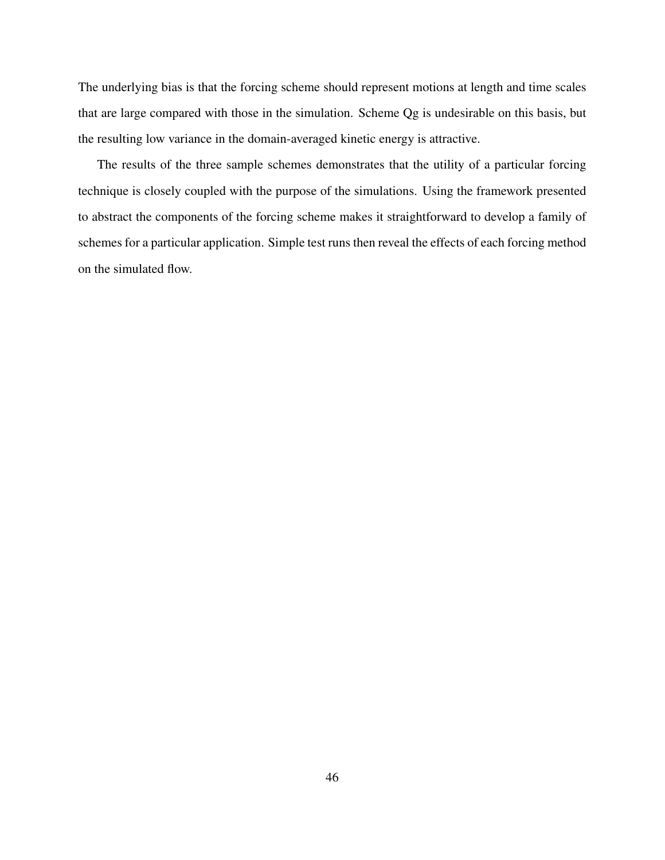The underlying bias is that the forcing scheme should represent motions at length and time scales that are large compared with those in the simulation. Scheme Qg is undesirable on this basis, but the resulting low variance in the domain-averaged kinetic energy is attractive.

The results of the three sample schemes demonstrates that the utility of a particular forcing technique is closely coupled with the purpose of the simulations. Using the framework presented to abstract the components of the forcing scheme makes it straightforward to develop a family of schemes for a particular application. Simple test runs then reveal the effects of each forcing method on the simulated flow.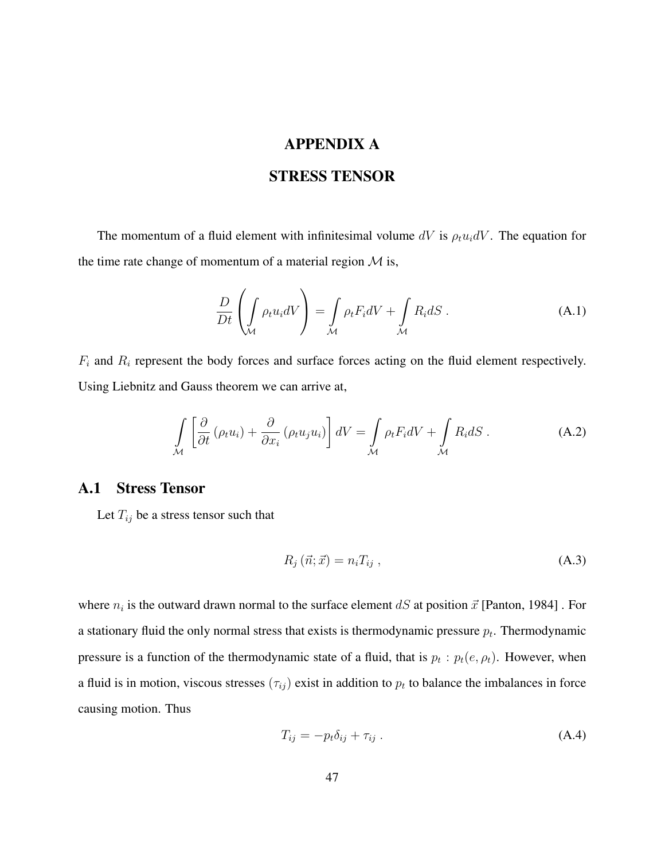# APPENDIX A

### STRESS TENSOR

The momentum of a fluid element with infinitesimal volume dV is  $\rho_t u_i dV$ . The equation for the time rate change of momentum of a material region  $M$  is,

$$
\frac{D}{Dt} \left( \int_{\mathcal{M}} \rho_t u_i dV \right) = \int_{\mathcal{M}} \rho_t F_i dV + \int_{\mathcal{M}} R_i dS \,. \tag{A.1}
$$

 $F_i$  and  $R_i$  represent the body forces and surface forces acting on the fluid element respectively. Using Liebnitz and Gauss theorem we can arrive at,

$$
\int_{\mathcal{M}} \left[ \frac{\partial}{\partial t} \left( \rho_t u_i \right) + \frac{\partial}{\partial x_i} \left( \rho_t u_j u_i \right) \right] dV = \int_{\mathcal{M}} \rho_t F_i dV + \int_{\mathcal{M}} R_i dS \,. \tag{A.2}
$$

### A.1 Stress Tensor

Let  $T_{ij}$  be a stress tensor such that

$$
R_j\left(\vec{n};\vec{x}\right) = n_i T_{ij} \,,\tag{A.3}
$$

where  $n_i$  is the outward drawn normal to the surface element  $dS$  at position  $\vec{x}$  [Panton, 1984]. For a stationary fluid the only normal stress that exists is thermodynamic pressure  $p_t$ . Thermodynamic pressure is a function of the thermodynamic state of a fluid, that is  $p_t : p_t(e, \rho_t)$ . However, when a fluid is in motion, viscous stresses  $(\tau_{ij})$  exist in addition to  $p_t$  to balance the imbalances in force causing motion. Thus

$$
T_{ij} = -p_t \delta_{ij} + \tau_{ij} \tag{A.4}
$$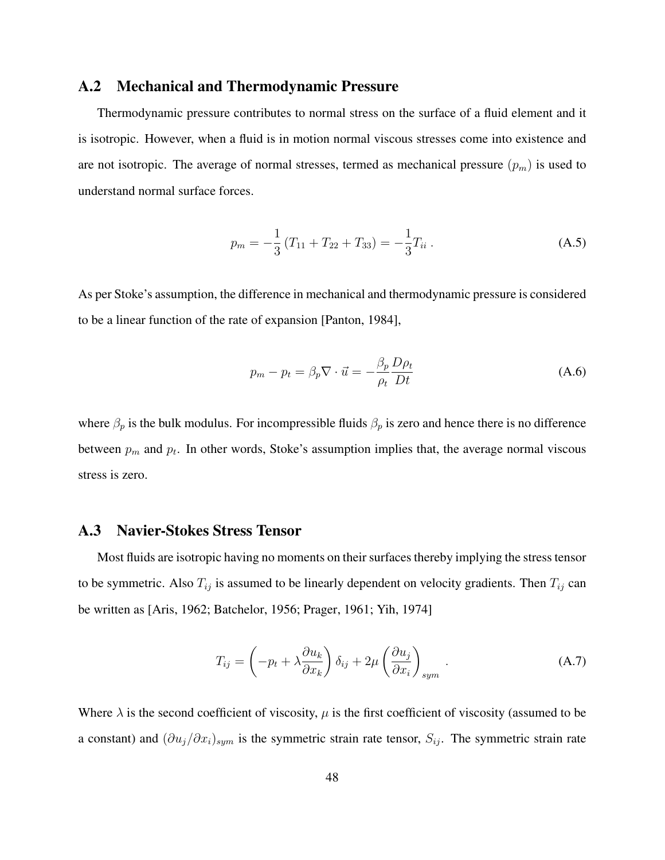### A.2 Mechanical and Thermodynamic Pressure

Thermodynamic pressure contributes to normal stress on the surface of a fluid element and it is isotropic. However, when a fluid is in motion normal viscous stresses come into existence and are not isotropic. The average of normal stresses, termed as mechanical pressure  $(p_m)$  is used to understand normal surface forces.

$$
p_m = -\frac{1}{3} \left( T_{11} + T_{22} + T_{33} \right) = -\frac{1}{3} T_{ii} \,. \tag{A.5}
$$

As per Stoke's assumption, the difference in mechanical and thermodynamic pressure is considered to be a linear function of the rate of expansion [Panton, 1984],

$$
p_m - p_t = \beta_p \nabla \cdot \vec{u} = -\frac{\beta_p}{\rho_t} \frac{D \rho_t}{Dt}
$$
 (A.6)

where  $\beta_p$  is the bulk modulus. For incompressible fluids  $\beta_p$  is zero and hence there is no difference between  $p_m$  and  $p_t$ . In other words, Stoke's assumption implies that, the average normal viscous stress is zero.

#### A.3 Navier-Stokes Stress Tensor

Most fluids are isotropic having no moments on their surfaces thereby implying the stress tensor to be symmetric. Also  $T_{ij}$  is assumed to be linearly dependent on velocity gradients. Then  $T_{ij}$  can be written as [Aris, 1962; Batchelor, 1956; Prager, 1961; Yih, 1974]

$$
T_{ij} = \left(-p_t + \lambda \frac{\partial u_k}{\partial x_k}\right) \delta_{ij} + 2\mu \left(\frac{\partial u_j}{\partial x_i}\right)_{sym}.
$$
 (A.7)

Where  $\lambda$  is the second coefficient of viscosity,  $\mu$  is the first coefficient of viscosity (assumed to be a constant) and  $(\partial u_j/\partial x_i)_{sym}$  is the symmetric strain rate tensor,  $S_{ij}$ . The symmetric strain rate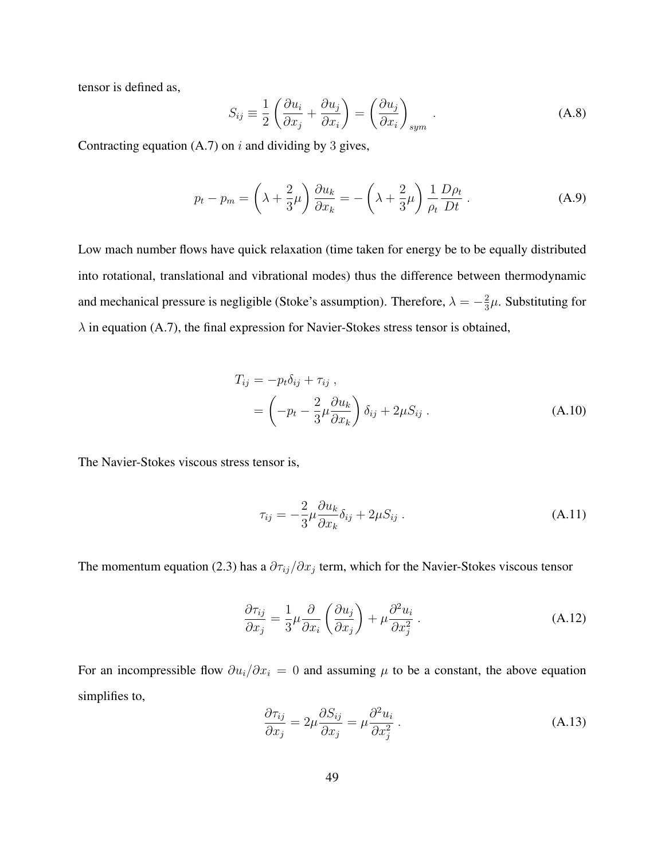tensor is defined as,

$$
S_{ij} \equiv \frac{1}{2} \left( \frac{\partial u_i}{\partial x_j} + \frac{\partial u_j}{\partial x_i} \right) = \left( \frac{\partial u_j}{\partial x_i} \right)_{sym} .
$$
 (A.8)

Contracting equation  $(A.7)$  on i and dividing by 3 gives,

$$
p_t - p_m = \left(\lambda + \frac{2}{3}\mu\right) \frac{\partial u_k}{\partial x_k} = -\left(\lambda + \frac{2}{3}\mu\right) \frac{1}{\rho_t} \frac{D\rho_t}{Dt} \,. \tag{A.9}
$$

Low mach number flows have quick relaxation (time taken for energy be to be equally distributed into rotational, translational and vibrational modes) thus the difference between thermodynamic and mechanical pressure is negligible (Stoke's assumption). Therefore,  $\lambda = -\frac{2}{3}$  $\frac{2}{3}\mu$ . Substituting for  $\lambda$  in equation (A.7), the final expression for Navier-Stokes stress tensor is obtained,

$$
T_{ij} = -p_t \delta_{ij} + \tau_{ij} ,
$$
  
=  $\left(-p_t - \frac{2}{3} \mu \frac{\partial u_k}{\partial x_k}\right) \delta_{ij} + 2\mu S_{ij} .$  (A.10)

The Navier-Stokes viscous stress tensor is,

$$
\tau_{ij} = -\frac{2}{3}\mu \frac{\partial u_k}{\partial x_k} \delta_{ij} + 2\mu S_{ij} . \tag{A.11}
$$

The momentum equation (2.3) has a  $\partial \tau_{ij}/\partial x_j$  term, which for the Navier-Stokes viscous tensor

$$
\frac{\partial \tau_{ij}}{\partial x_j} = \frac{1}{3} \mu \frac{\partial}{\partial x_i} \left( \frac{\partial u_j}{\partial x_j} \right) + \mu \frac{\partial^2 u_i}{\partial x_j^2} . \tag{A.12}
$$

For an incompressible flow  $\partial u_i/\partial x_i = 0$  and assuming  $\mu$  to be a constant, the above equation simplifies to,

$$
\frac{\partial \tau_{ij}}{\partial x_j} = 2\mu \frac{\partial S_{ij}}{\partial x_j} = \mu \frac{\partial^2 u_i}{\partial x_j^2} \,. \tag{A.13}
$$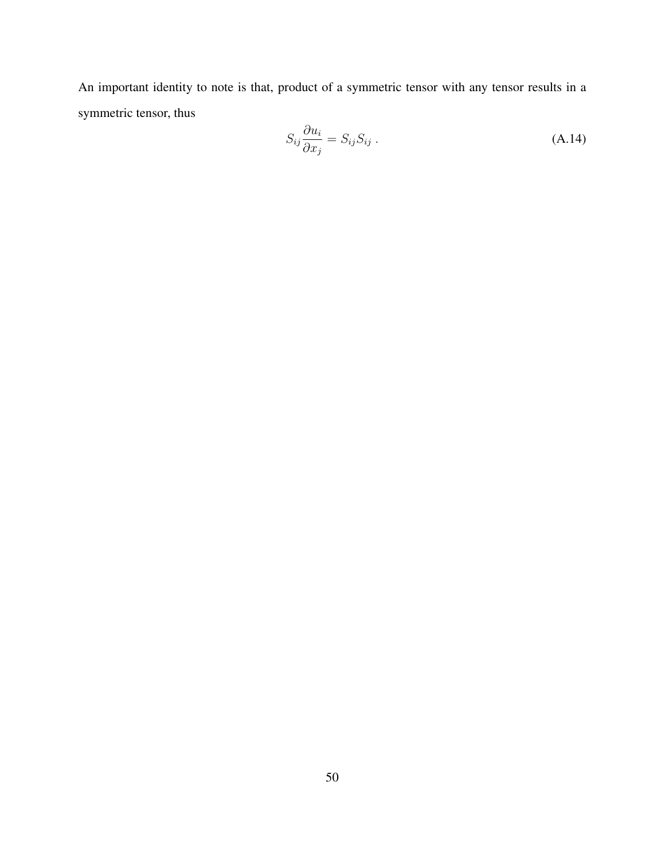An important identity to note is that, product of a symmetric tensor with any tensor results in a symmetric tensor, thus

$$
S_{ij}\frac{\partial u_i}{\partial x_j} = S_{ij}S_{ij} .
$$
 (A.14)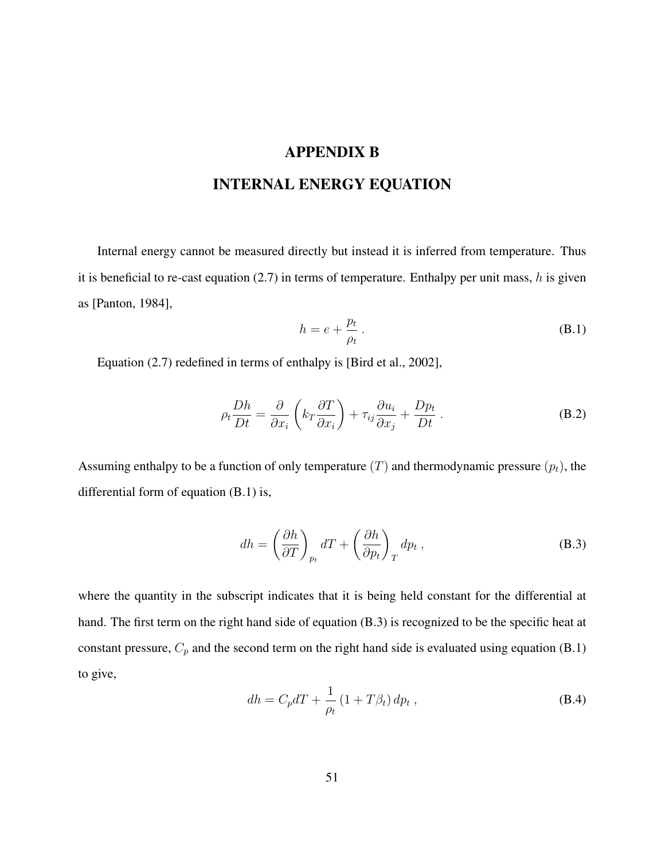# APPENDIX B

# INTERNAL ENERGY EQUATION

Internal energy cannot be measured directly but instead it is inferred from temperature. Thus it is beneficial to re-cast equation  $(2.7)$  in terms of temperature. Enthalpy per unit mass, h is given as [Panton, 1984],

$$
h = e + \frac{p_t}{\rho_t} \,. \tag{B.1}
$$

Equation (2.7) redefined in terms of enthalpy is [Bird et al., 2002],

$$
\rho_t \frac{Dh}{Dt} = \frac{\partial}{\partial x_i} \left( k_T \frac{\partial T}{\partial x_i} \right) + \tau_{ij} \frac{\partial u_i}{\partial x_j} + \frac{Dp_t}{Dt} . \tag{B.2}
$$

Assuming enthalpy to be a function of only temperature  $(T)$  and thermodynamic pressure  $(p_t)$ , the differential form of equation (B.1) is,

$$
dh = \left(\frac{\partial h}{\partial T}\right)_{p_t} dT + \left(\frac{\partial h}{\partial p_t}\right)_T dp_t , \qquad (B.3)
$$

where the quantity in the subscript indicates that it is being held constant for the differential at hand. The first term on the right hand side of equation (B.3) is recognized to be the specific heat at constant pressure,  $C_p$  and the second term on the right hand side is evaluated using equation (B.1) to give,

$$
dh = C_p dT + \frac{1}{\rho_t} \left( 1 + T\beta_t \right) dp_t , \qquad (B.4)
$$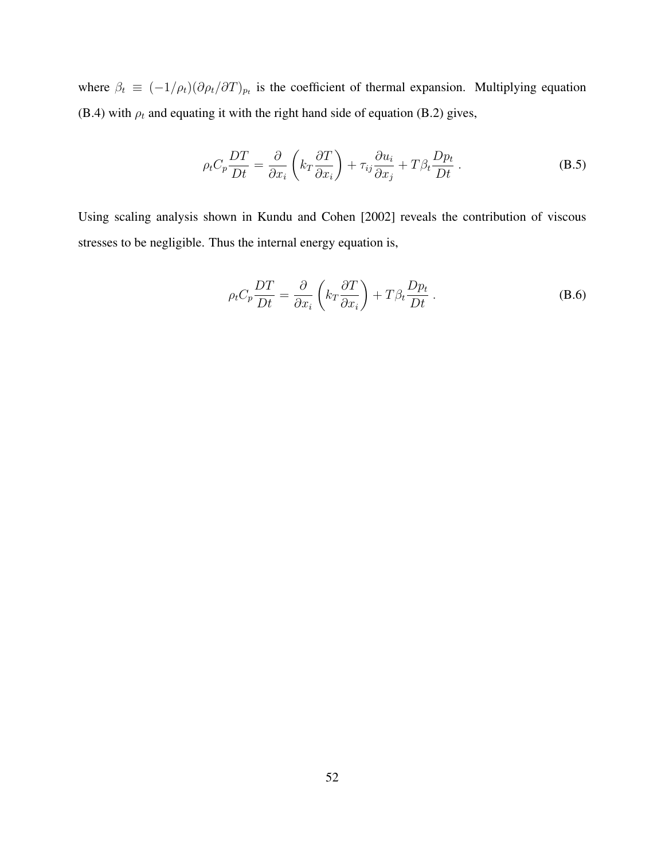where  $\beta_t \equiv (-1/\rho_t)(\partial \rho_t/\partial T)_{p_t}$  is the coefficient of thermal expansion. Multiplying equation (B.4) with  $\rho_t$  and equating it with the right hand side of equation (B.2) gives,

$$
\rho_t C_p \frac{DT}{Dt} = \frac{\partial}{\partial x_i} \left( k_T \frac{\partial T}{\partial x_i} \right) + \tau_{ij} \frac{\partial u_i}{\partial x_j} + T \beta_t \frac{D p_t}{Dt} . \tag{B.5}
$$

Using scaling analysis shown in Kundu and Cohen [2002] reveals the contribution of viscous stresses to be negligible. Thus the internal energy equation is,

$$
\rho_t C_p \frac{DT}{Dt} = \frac{\partial}{\partial x_i} \left( k_T \frac{\partial T}{\partial x_i} \right) + T \beta_t \frac{D p_t}{Dt} . \tag{B.6}
$$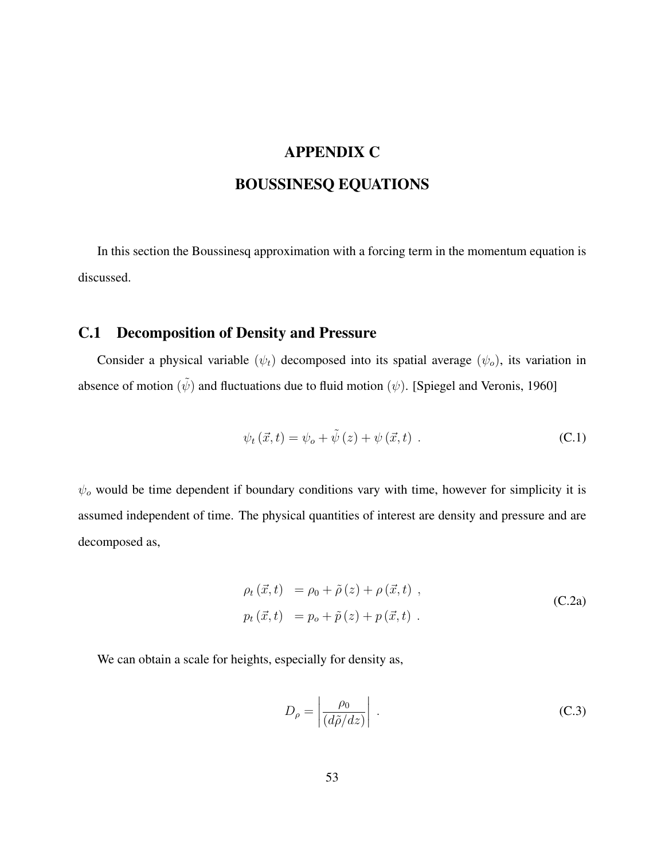# APPENDIX C

# BOUSSINESQ EQUATIONS

In this section the Boussinesq approximation with a forcing term in the momentum equation is discussed.

## C.1 Decomposition of Density and Pressure

Consider a physical variable  $(\psi_t)$  decomposed into its spatial average  $(\psi_o)$ , its variation in absence of motion  $(\tilde{\psi})$  and fluctuations due to fluid motion  $(\psi)$ . [Spiegel and Veronis, 1960]

$$
\psi_t(\vec{x},t) = \psi_o + \tilde{\psi}(z) + \psi(\vec{x},t) .
$$
\n(C.1)

 $\psi$ <sub>o</sub> would be time dependent if boundary conditions vary with time, however for simplicity it is assumed independent of time. The physical quantities of interest are density and pressure and are decomposed as,

$$
\rho_t(\vec{x},t) = \rho_0 + \tilde{\rho}(z) + \rho(\vec{x},t) ,
$$
  
\n
$$
p_t(\vec{x},t) = p_o + \tilde{p}(z) + p(\vec{x},t) .
$$
\n(C.2a)

We can obtain a scale for heights, especially for density as,

$$
D_{\rho} = \left| \frac{\rho_0}{(d\tilde{\rho}/dz)} \right| \,. \tag{C.3}
$$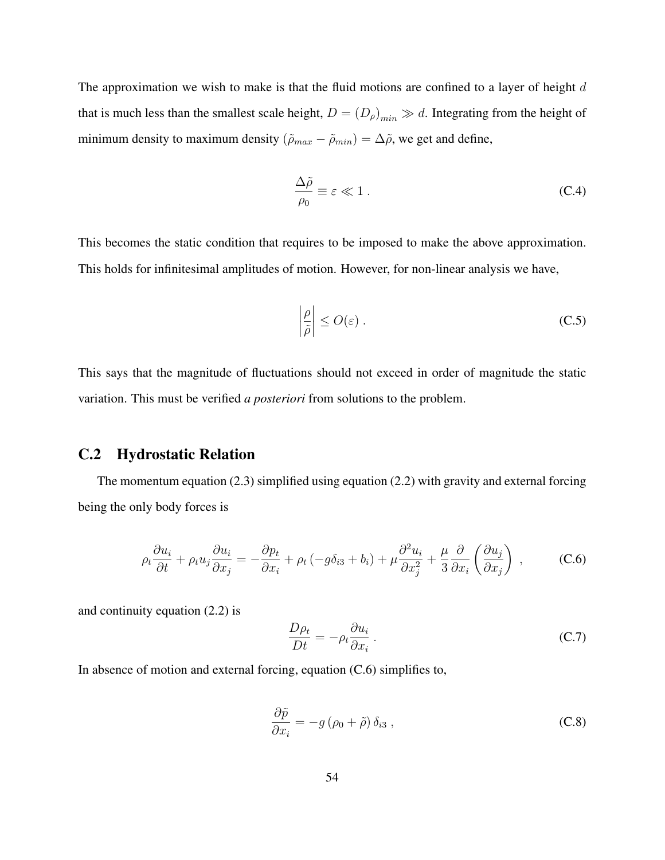The approximation we wish to make is that the fluid motions are confined to a layer of height  $d$ that is much less than the smallest scale height,  $D = (D_{\rho})_{min} \gg d$ . Integrating from the height of minimum density to maximum density  $(\tilde{\rho}_{max} - \tilde{\rho}_{min}) = \Delta \tilde{\rho}$ , we get and define,

$$
\frac{\Delta \tilde{\rho}}{\rho_0} \equiv \varepsilon \ll 1 \,. \tag{C.4}
$$

This becomes the static condition that requires to be imposed to make the above approximation. This holds for infinitesimal amplitudes of motion. However, for non-linear analysis we have,

$$
\left|\frac{\rho}{\tilde{\rho}}\right| \le O(\varepsilon) \,. \tag{C.5}
$$

This says that the magnitude of fluctuations should not exceed in order of magnitude the static variation. This must be verified *a posteriori* from solutions to the problem.

### C.2 Hydrostatic Relation

The momentum equation (2.3) simplified using equation (2.2) with gravity and external forcing being the only body forces is

$$
\rho_t \frac{\partial u_i}{\partial t} + \rho_t u_j \frac{\partial u_i}{\partial x_j} = -\frac{\partial p_t}{\partial x_i} + \rho_t \left( -g \delta_{i3} + b_i \right) + \mu \frac{\partial^2 u_i}{\partial x_j^2} + \frac{\mu}{3} \frac{\partial}{\partial x_i} \left( \frac{\partial u_j}{\partial x_j} \right) , \tag{C.6}
$$

and continuity equation (2.2) is

$$
\frac{D\rho_t}{Dt} = -\rho_t \frac{\partial u_i}{\partial x_i} \,. \tag{C.7}
$$

In absence of motion and external forcing, equation (C.6) simplifies to,

$$
\frac{\partial \tilde{p}}{\partial x_i} = -g\left(\rho_0 + \tilde{\rho}\right)\delta_{i3},\tag{C.8}
$$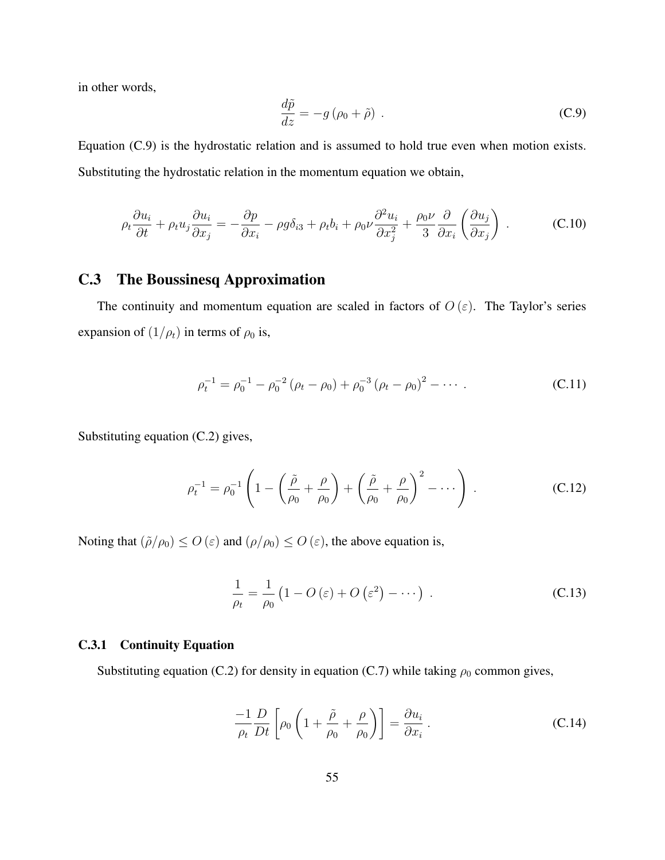in other words,

$$
\frac{d\tilde{p}}{dz} = -g\left(\rho_0 + \tilde{\rho}\right) \tag{C.9}
$$

Equation (C.9) is the hydrostatic relation and is assumed to hold true even when motion exists. Substituting the hydrostatic relation in the momentum equation we obtain,

$$
\rho_t \frac{\partial u_i}{\partial t} + \rho_t u_j \frac{\partial u_i}{\partial x_j} = -\frac{\partial p}{\partial x_i} - \rho g \delta_{i3} + \rho_t b_i + \rho_0 \nu \frac{\partial^2 u_i}{\partial x_j^2} + \frac{\rho_0 \nu}{3} \frac{\partial}{\partial x_i} \left(\frac{\partial u_j}{\partial x_j}\right) . \tag{C.10}
$$

## C.3 The Boussinesq Approximation

The continuity and momentum equation are scaled in factors of  $O(\varepsilon)$ . The Taylor's series expansion of  $(1/\rho_t)$  in terms of  $\rho_0$  is,

$$
\rho_t^{-1} = \rho_0^{-1} - \rho_0^{-2} (\rho_t - \rho_0) + \rho_0^{-3} (\rho_t - \rho_0)^2 - \cdots
$$
 (C.11)

Substituting equation (C.2) gives,

$$
\rho_t^{-1} = \rho_0^{-1} \left( 1 - \left( \frac{\tilde{\rho}}{\rho_0} + \frac{\rho}{\rho_0} \right) + \left( \frac{\tilde{\rho}}{\rho_0} + \frac{\rho}{\rho_0} \right)^2 - \dotsb \right) . \tag{C.12}
$$

Noting that  $(\tilde{\rho}/\rho_0) \leq O(\varepsilon)$  and  $(\rho/\rho_0) \leq O(\varepsilon)$ , the above equation is,

$$
\frac{1}{\rho_t} = \frac{1}{\rho_0} \left( 1 - O\left(\varepsilon\right) + O\left(\varepsilon^2\right) - \dotsb \right) . \tag{C.13}
$$

#### C.3.1 Continuity Equation

Substituting equation (C.2) for density in equation (C.7) while taking  $\rho_0$  common gives,

$$
\frac{-1}{\rho_t} \frac{D}{Dt} \left[ \rho_0 \left( 1 + \frac{\tilde{\rho}}{\rho_0} + \frac{\rho}{\rho_0} \right) \right] = \frac{\partial u_i}{\partial x_i} \,. \tag{C.14}
$$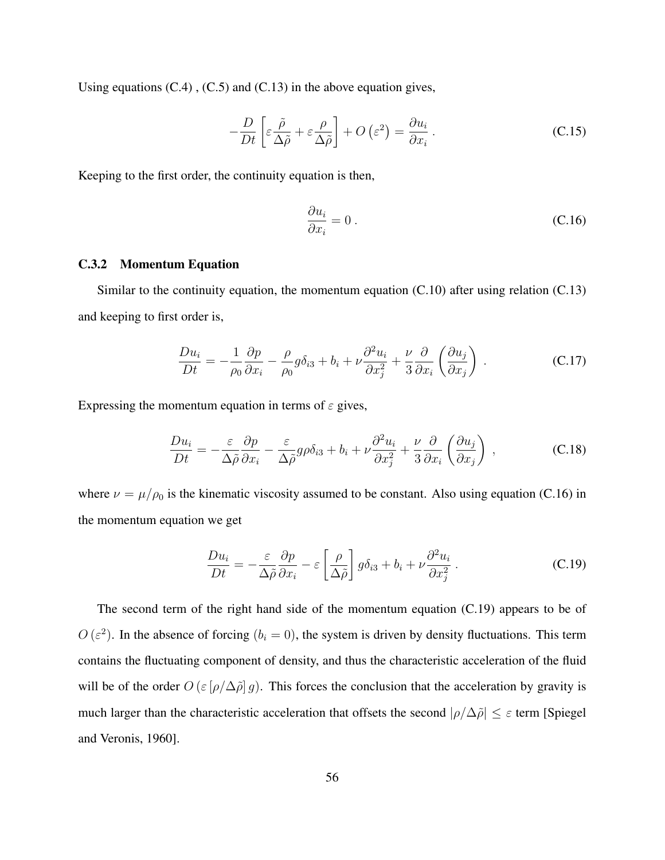Using equations (C.4) , (C.5) and (C.13) in the above equation gives,

$$
-\frac{D}{Dt}\left[\varepsilon\frac{\tilde{\rho}}{\Delta\tilde{\rho}} + \varepsilon\frac{\rho}{\Delta\tilde{\rho}}\right] + O\left(\varepsilon^2\right) = \frac{\partial u_i}{\partial x_i} \,. \tag{C.15}
$$

Keeping to the first order, the continuity equation is then,

$$
\frac{\partial u_i}{\partial x_i} = 0 \tag{C.16}
$$

#### C.3.2 Momentum Equation

Similar to the continuity equation, the momentum equation (C.10) after using relation (C.13) and keeping to first order is,

$$
\frac{Du_i}{Dt} = -\frac{1}{\rho_0} \frac{\partial p}{\partial x_i} - \frac{\rho}{\rho_0} g \delta_{i3} + b_i + \nu \frac{\partial^2 u_i}{\partial x_j^2} + \frac{\nu}{3} \frac{\partial}{\partial x_i} \left(\frac{\partial u_j}{\partial x_j}\right) .
$$
 (C.17)

Expressing the momentum equation in terms of  $\varepsilon$  gives,

$$
\frac{Du_i}{Dt} = -\frac{\varepsilon}{\Delta \tilde{\rho}} \frac{\partial p}{\partial x_i} - \frac{\varepsilon}{\Delta \tilde{\rho}} g \rho \delta_{i3} + b_i + \nu \frac{\partial^2 u_i}{\partial x_i^2} + \frac{\nu}{3} \frac{\partial}{\partial x_i} \left( \frac{\partial u_j}{\partial x_j} \right) , \qquad (C.18)
$$

where  $\nu = \mu/\rho_0$  is the kinematic viscosity assumed to be constant. Also using equation (C.16) in the momentum equation we get

$$
\frac{Du_i}{Dt} = -\frac{\varepsilon}{\Delta \tilde{\rho}} \frac{\partial p}{\partial x_i} - \varepsilon \left[ \frac{\rho}{\Delta \tilde{\rho}} \right] g \delta_{i3} + b_i + \nu \frac{\partial^2 u_i}{\partial x_j^2} . \tag{C.19}
$$

The second term of the right hand side of the momentum equation (C.19) appears to be of  $O(\varepsilon^2)$ . In the absence of forcing  $(b_i = 0)$ , the system is driven by density fluctuations. This term contains the fluctuating component of density, and thus the characteristic acceleration of the fluid will be of the order  $O(\varepsilon \left[ \rho / \Delta \tilde{\rho} \right] g)$ . This forces the conclusion that the acceleration by gravity is much larger than the characteristic acceleration that offsets the second  $|\rho/\Delta\tilde{\rho}| \leq \varepsilon$  term [Spiegel and Veronis, 1960].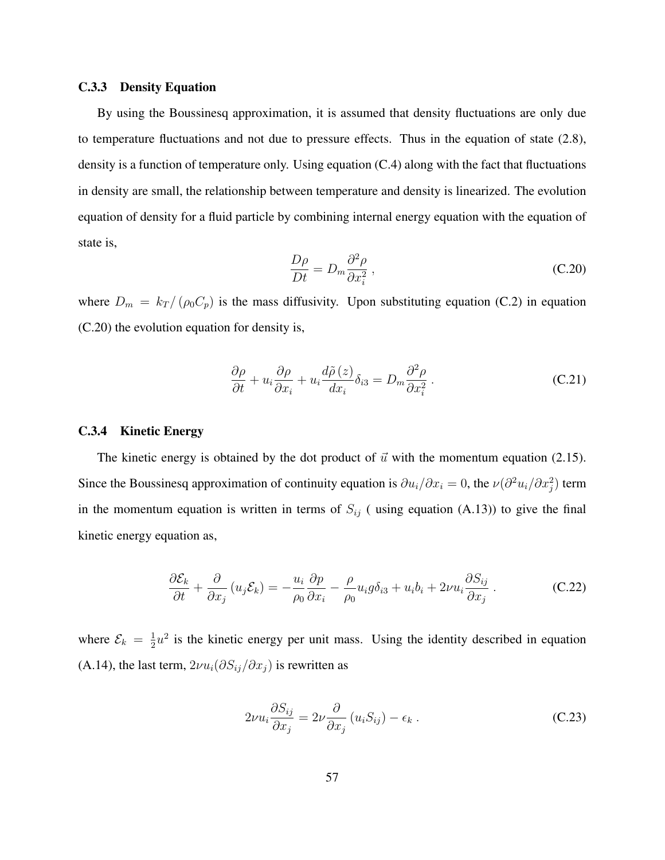#### C.3.3 Density Equation

By using the Boussinesq approximation, it is assumed that density fluctuations are only due to temperature fluctuations and not due to pressure effects. Thus in the equation of state (2.8), density is a function of temperature only. Using equation (C.4) along with the fact that fluctuations in density are small, the relationship between temperature and density is linearized. The evolution equation of density for a fluid particle by combining internal energy equation with the equation of state is,

$$
\frac{D\rho}{Dt} = D_m \frac{\partial^2 \rho}{\partial x_i^2} \,,\tag{C.20}
$$

where  $D_m = k_T / (\rho_0 C_p)$  is the mass diffusivity. Upon substituting equation (C.2) in equation (C.20) the evolution equation for density is,

$$
\frac{\partial \rho}{\partial t} + u_i \frac{\partial \rho}{\partial x_i} + u_i \frac{d\tilde{\rho}(z)}{dx_i} \delta_{i3} = D_m \frac{\partial^2 \rho}{\partial x_i^2} \,. \tag{C.21}
$$

#### C.3.4 Kinetic Energy

The kinetic energy is obtained by the dot product of  $\vec{u}$  with the momentum equation (2.15). Since the Boussinesq approximation of continuity equation is  $\partial u_i/\partial x_i = 0$ , the  $\nu(\partial^2 u_i/\partial x_i^2)$  term in the momentum equation is written in terms of  $S_{ij}$  (using equation (A.13)) to give the final kinetic energy equation as,

$$
\frac{\partial \mathcal{E}_k}{\partial t} + \frac{\partial}{\partial x_j} (u_j \mathcal{E}_k) = -\frac{u_i}{\rho_0} \frac{\partial p}{\partial x_i} - \frac{\rho}{\rho_0} u_i g \delta_{i3} + u_i b_i + 2\nu u_i \frac{\partial S_{ij}}{\partial x_j}.
$$
 (C.22)

where  $\mathcal{E}_k = \frac{1}{2}$  $\frac{1}{2}u^2$  is the kinetic energy per unit mass. Using the identity described in equation (A.14), the last term,  $2\nu u_i(\partial S_{ij}/\partial x_j)$  is rewritten as

$$
2\nu u_i \frac{\partial S_{ij}}{\partial x_j} = 2\nu \frac{\partial}{\partial x_j} (u_i S_{ij}) - \epsilon_k.
$$
 (C.23)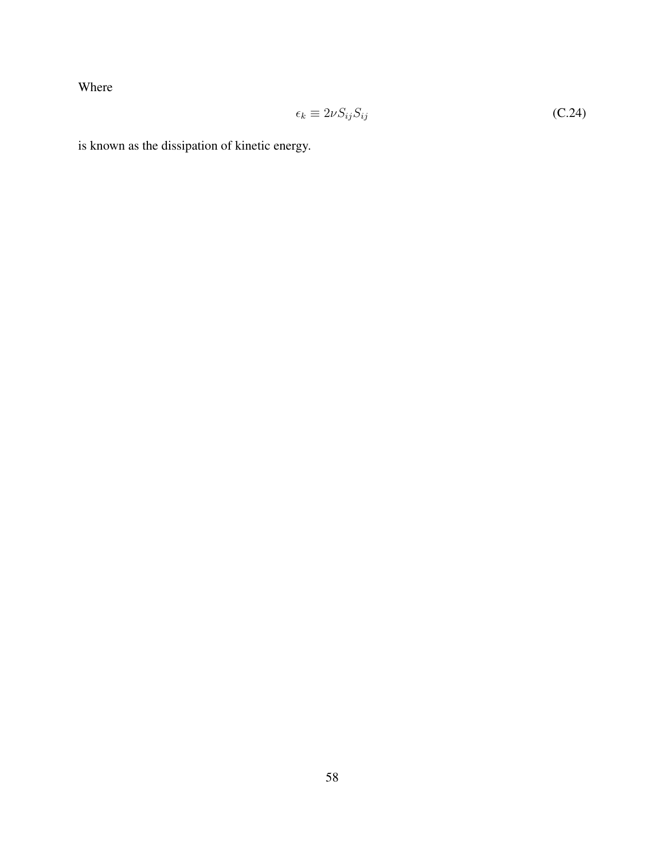Where

$$
\epsilon_k \equiv 2\nu S_{ij} S_{ij} \tag{C.24}
$$

is known as the dissipation of kinetic energy.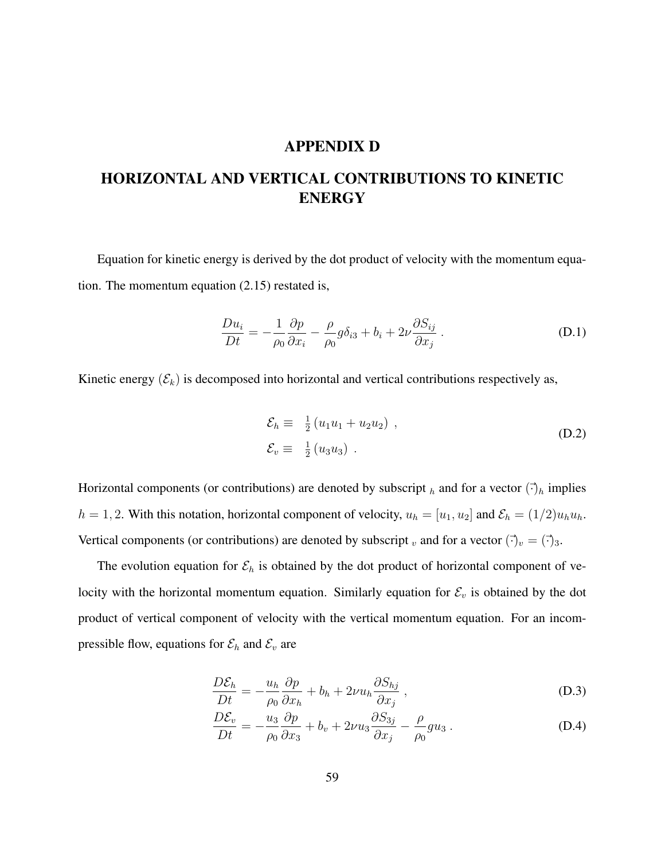### APPENDIX D

# HORIZONTAL AND VERTICAL CONTRIBUTIONS TO KINETIC ENERGY

Equation for kinetic energy is derived by the dot product of velocity with the momentum equation. The momentum equation (2.15) restated is,

$$
\frac{Du_i}{Dt} = -\frac{1}{\rho_0} \frac{\partial p}{\partial x_i} - \frac{\rho}{\rho_0} g \delta_{i3} + b_i + 2\nu \frac{\partial S_{ij}}{\partial x_j} .
$$
 (D.1)

Kinetic energy  $(\mathcal{E}_k)$  is decomposed into horizontal and vertical contributions respectively as,

$$
\mathcal{E}_h \equiv \frac{1}{2} (u_1 u_1 + u_2 u_2) ,
$$
  
\n
$$
\mathcal{E}_v \equiv \frac{1}{2} (u_3 u_3) .
$$
 (D.2)

Horizontal components (or contributions) are denoted by subscript  $_h$  and for a vector  $(\cdot)_h$  implies  $h = 1, 2$ . With this notation, horizontal component of velocity,  $u_h = [u_1, u_2]$  and  $\mathcal{E}_h = (1/2)u_h u_h$ . Vertical components (or contributions) are denoted by subscript v and for a vector  $(\vec{\cdot})_v = (\vec{\cdot})_3$ .

The evolution equation for  $\mathcal{E}_h$  is obtained by the dot product of horizontal component of velocity with the horizontal momentum equation. Similarly equation for  $\mathcal{E}_v$  is obtained by the dot product of vertical component of velocity with the vertical momentum equation. For an incompressible flow, equations for  $\mathcal{E}_h$  and  $\mathcal{E}_v$  are

$$
\frac{D\mathcal{E}_h}{Dt} = -\frac{u_h}{\rho_0} \frac{\partial p}{\partial x_h} + b_h + 2\nu u_h \frac{\partial S_{hj}}{\partial x_j} , \qquad (D.3)
$$

$$
\frac{D\mathcal{E}_v}{Dt} = -\frac{u_3}{\rho_0} \frac{\partial p}{\partial x_3} + b_v + 2\nu u_3 \frac{\partial S_{3j}}{\partial x_j} - \frac{\rho}{\rho_0} g u_3.
$$
 (D.4)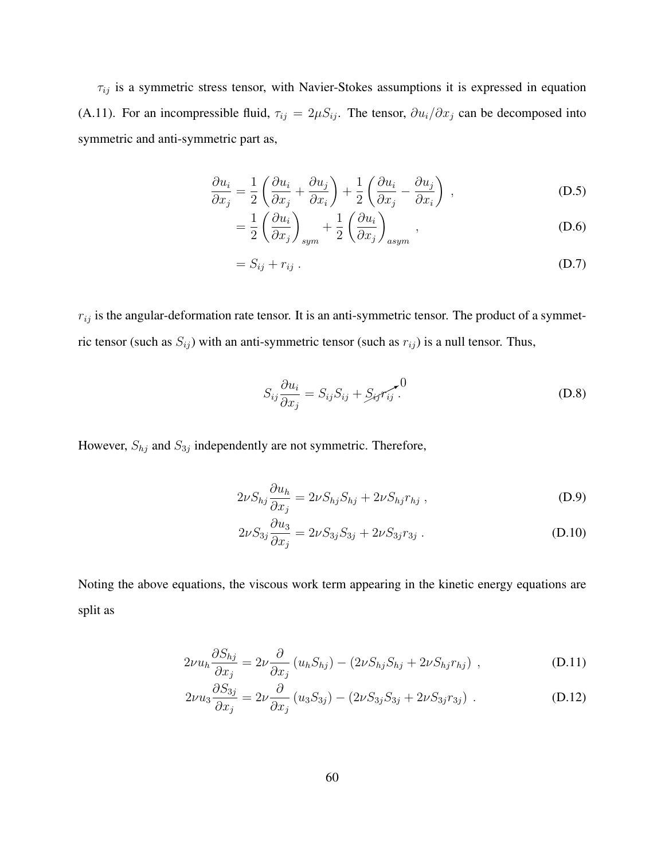$\tau_{ij}$  is a symmetric stress tensor, with Navier-Stokes assumptions it is expressed in equation (A.11). For an incompressible fluid,  $\tau_{ij} = 2\mu S_{ij}$ . The tensor,  $\partial u_i / \partial x_j$  can be decomposed into symmetric and anti-symmetric part as,

$$
\frac{\partial u_i}{\partial x_j} = \frac{1}{2} \left( \frac{\partial u_i}{\partial x_j} + \frac{\partial u_j}{\partial x_i} \right) + \frac{1}{2} \left( \frac{\partial u_i}{\partial x_j} - \frac{\partial u_j}{\partial x_i} \right) ,
$$
 (D.5)

$$
= \frac{1}{2} \left( \frac{\partial u_i}{\partial x_j} \right)_{sym} + \frac{1}{2} \left( \frac{\partial u_i}{\partial x_j} \right)_{asym} , \qquad (D.6)
$$

$$
=S_{ij}+r_{ij}.
$$
 (D.7)

 $r_{ij}$  is the angular-deformation rate tensor. It is an anti-symmetric tensor. The product of a symmetric tensor (such as  $S_{ij}$ ) with an anti-symmetric tensor (such as  $r_{ij}$ ) is a null tensor. Thus,

$$
S_{ij}\frac{\partial u_i}{\partial x_j} = S_{ij}S_{ij} + S_{ij}\overline{r_{ij}}^0.
$$
 (D.8)

However,  $S_{hj}$  and  $S_{3j}$  independently are not symmetric. Therefore,

$$
2\nu S_{hj} \frac{\partial u_h}{\partial x_j} = 2\nu S_{hj} S_{hj} + 2\nu S_{hj} r_{hj} , \qquad (D.9)
$$

$$
2\nu S_{3j} \frac{\partial u_3}{\partial x_j} = 2\nu S_{3j} S_{3j} + 2\nu S_{3j} r_{3j} .
$$
 (D.10)

Noting the above equations, the viscous work term appearing in the kinetic energy equations are split as

$$
2\nu u_h \frac{\partial S_{hj}}{\partial x_j} = 2\nu \frac{\partial}{\partial x_j} (u_h S_{hj}) - (2\nu S_{hj} S_{hj} + 2\nu S_{hj} r_{hj}), \qquad (D.11)
$$

$$
2\nu u_3 \frac{\partial S_{3j}}{\partial x_j} = 2\nu \frac{\partial}{\partial x_j} (u_3 S_{3j}) - (2\nu S_{3j} S_{3j} + 2\nu S_{3j} r_{3j}) .
$$
 (D.12)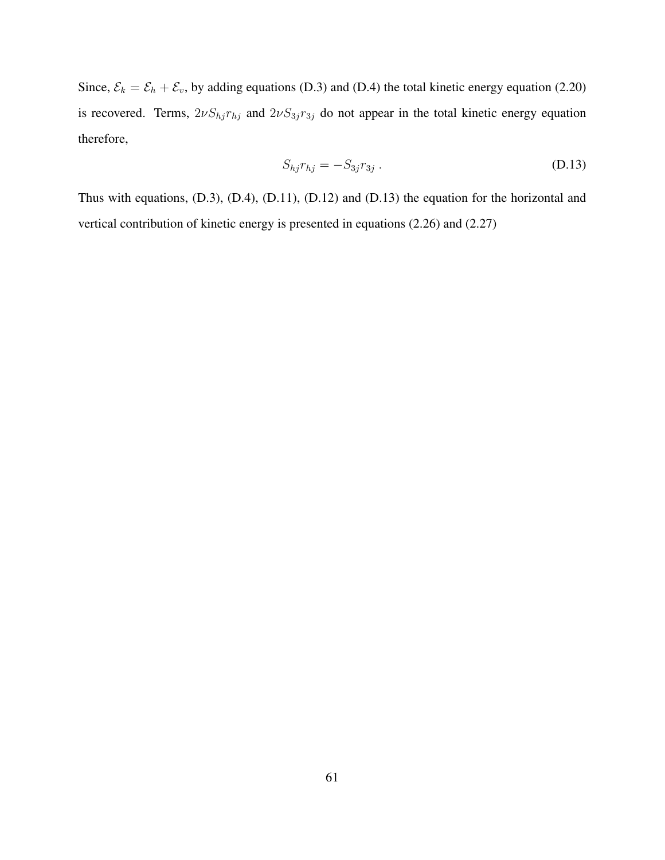Since,  $\mathcal{E}_k = \mathcal{E}_h + \mathcal{E}_v$ , by adding equations (D.3) and (D.4) the total kinetic energy equation (2.20) is recovered. Terms,  $2\nu S_{hj}r_{hj}$  and  $2\nu S_{3j}r_{3j}$  do not appear in the total kinetic energy equation therefore,

$$
S_{hj}r_{hj} = -S_{3j}r_{3j} \tag{D.13}
$$

Thus with equations, (D.3), (D.4), (D.11), (D.12) and (D.13) the equation for the horizontal and vertical contribution of kinetic energy is presented in equations (2.26) and (2.27)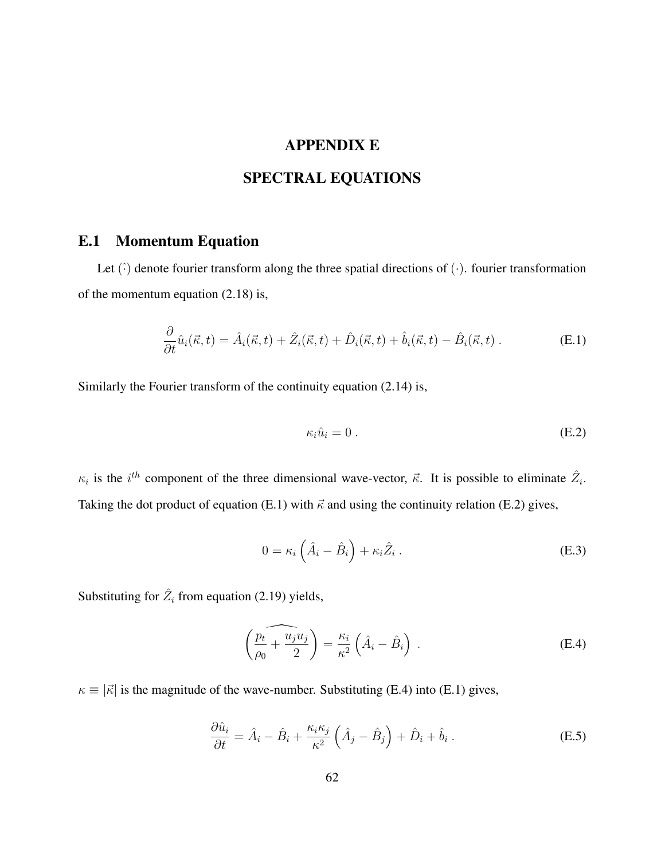# APPENDIX E

# SPECTRAL EQUATIONS

## E.1 Momentum Equation

Let  $(\hat{\cdot})$  denote fourier transform along the three spatial directions of  $(\cdot)$ . fourier transformation of the momentum equation (2.18) is,

$$
\frac{\partial}{\partial t}\hat{u}_i(\vec{\kappa},t) = \hat{A}_i(\vec{\kappa},t) + \hat{Z}_i(\vec{\kappa},t) + \hat{D}_i(\vec{\kappa},t) + \hat{b}_i(\vec{\kappa},t) - \hat{B}_i(\vec{\kappa},t) . \tag{E.1}
$$

Similarly the Fourier transform of the continuity equation (2.14) is,

$$
\kappa_i \hat{u}_i = 0 \tag{E.2}
$$

 $\kappa_i$  is the  $i^{th}$  component of the three dimensional wave-vector,  $\vec{\kappa}$ . It is possible to eliminate  $\hat{Z}_i$ . Taking the dot product of equation (E.1) with  $\vec{\kappa}$  and using the continuity relation (E.2) gives,

$$
0 = \kappa_i \left( \hat{A}_i - \hat{B}_i \right) + \kappa_i \hat{Z}_i . \tag{E.3}
$$

Substituting for  $\hat{Z}_i$  from equation (2.19) yields,

$$
\left(\overbrace{p_0 \atop \rho_0}^{p_t} + \frac{u_j u_j}{2}\right) = \frac{\kappa_i}{\kappa^2} \left(\hat{A}_i - \hat{B}_i\right) .
$$
 (E.4)

 $\kappa \equiv |\vec{\kappa}|$  is the magnitude of the wave-number. Substituting (E.4) into (E.1) gives,

$$
\frac{\partial \hat{u}_i}{\partial t} = \hat{A}_i - \hat{B}_i + \frac{\kappa_i \kappa_j}{\kappa^2} \left( \hat{A}_j - \hat{B}_j \right) + \hat{D}_i + \hat{b}_i \,. \tag{E.5}
$$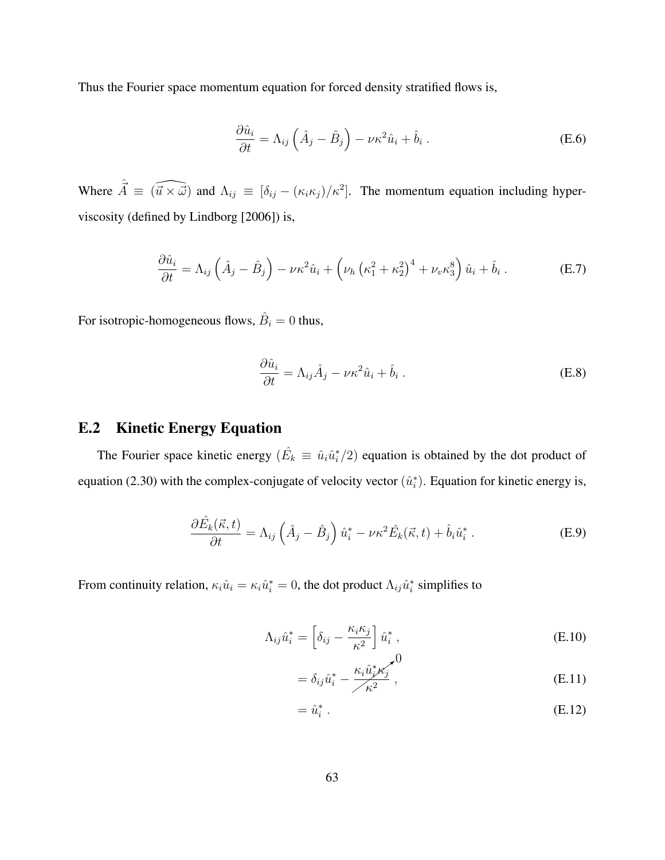Thus the Fourier space momentum equation for forced density stratified flows is,

$$
\frac{\partial \hat{u}_i}{\partial t} = \Lambda_{ij} \left( \hat{A}_j - \hat{B}_j \right) - \nu \kappa^2 \hat{u}_i + \hat{b}_i . \tag{E.6}
$$

Where  $\hat{\vec{A}} \equiv (\widehat{\vec{u} \times \vec{\omega}})$  and  $\Lambda_{ij} \equiv [\delta_{ij} - (\kappa_i \kappa_j)/\kappa^2]$ . The momentum equation including hyperviscosity (defined by Lindborg [2006]) is,

$$
\frac{\partial \hat{u}_i}{\partial t} = \Lambda_{ij} \left( \hat{A}_j - \hat{B}_j \right) - \nu \kappa^2 \hat{u}_i + \left( \nu_h \left( \kappa_1^2 + \kappa_2^2 \right)^4 + \nu_v \kappa_3^8 \right) \hat{u}_i + \hat{b}_i \,. \tag{E.7}
$$

For isotropic-homogeneous flows,  $\hat{B}_i = 0$  thus,

$$
\frac{\partial \hat{u}_i}{\partial t} = \Lambda_{ij} \hat{A}_j - \nu \kappa^2 \hat{u}_i + \hat{b}_i .
$$
 (E.8)

#### E.2 Kinetic Energy Equation

The Fourier space kinetic energy  $(\hat{E}_k \equiv \hat{u}_i \hat{u}_i^*/2)$  equation is obtained by the dot product of equation (2.30) with the complex-conjugate of velocity vector  $(\hat{u}_i^*)$ . Equation for kinetic energy is,

$$
\frac{\partial \hat{E}_k(\vec{\kappa},t)}{\partial t} = \Lambda_{ij} \left( \hat{A}_j - \hat{B}_j \right) \hat{u}_i^* - \nu \kappa^2 \hat{E}_k(\vec{\kappa},t) + \hat{b}_i \hat{u}_i^* \,. \tag{E.9}
$$

From continuity relation,  $\kappa_i \hat{u}_i = \kappa_i \hat{u}_i^* = 0$ , the dot product  $\Lambda_{ij} \hat{u}_i^*$  simplifies to

$$
\Lambda_{ij}\hat{u}_i^* = \left[\delta_{ij} - \frac{\kappa_i \kappa_j}{\kappa^2}\right] \hat{u}_i^*,
$$
\n
$$
\downarrow 0
$$
\n(E.10)

$$
= \delta_{ij}\hat{u}_i^* - \frac{\kappa_i \hat{u}_j^* \kappa_j}{\kappa^2},
$$
\n(E.11)

$$
= \hat{u}_i^* \tag{E.12}
$$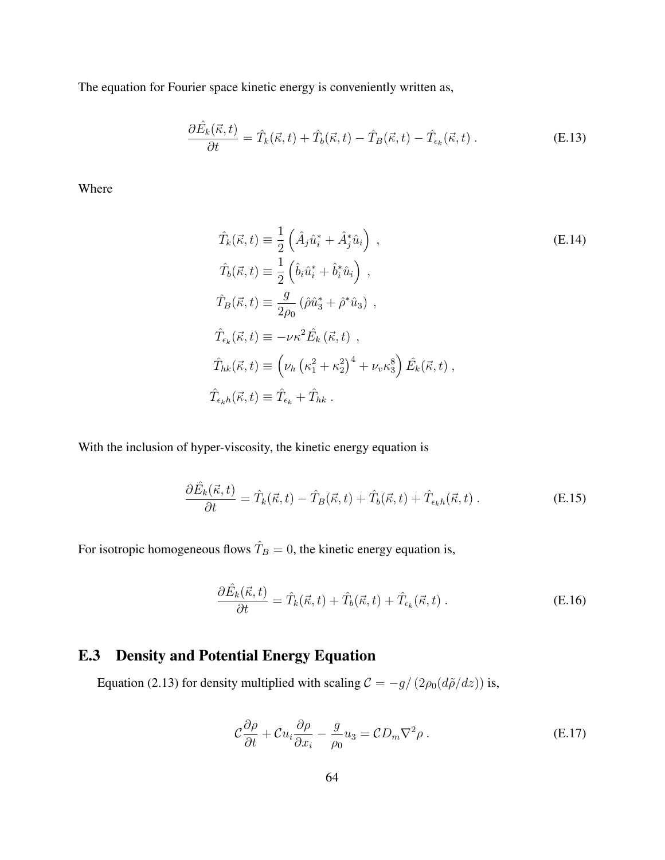The equation for Fourier space kinetic energy is conveniently written as,

$$
\frac{\partial \hat{E}_k(\vec{\kappa},t)}{\partial t} = \hat{T}_k(\vec{\kappa},t) + \hat{T}_b(\vec{\kappa},t) - \hat{T}_B(\vec{\kappa},t) - \hat{T}_{\epsilon_k}(\vec{\kappa},t) . \tag{E.13}
$$

Where

$$
\hat{T}_k(\vec{\kappa}, t) \equiv \frac{1}{2} \left( \hat{A}_j \hat{u}_i^* + \hat{A}_j^* \hat{u}_i \right) ,
$$
\n
$$
\hat{T}_b(\vec{\kappa}, t) \equiv \frac{1}{2} \left( \hat{b}_i \hat{u}_i^* + \hat{b}_i^* \hat{u}_i \right) ,
$$
\n
$$
\hat{T}_B(\vec{\kappa}, t) \equiv \frac{g}{2\rho_0} (\hat{\rho} \hat{u}_3^* + \hat{\rho}^* \hat{u}_3) ,
$$
\n
$$
\hat{T}_{\epsilon_k}(\vec{\kappa}, t) \equiv -\nu \kappa^2 \hat{E}_k (\vec{\kappa}, t) ,
$$
\n
$$
\hat{T}_{hk}(\vec{\kappa}, t) \equiv \left( \nu_h \left( \kappa_1^2 + \kappa_2^2 \right)^4 + \nu_v \kappa_3^8 \right) \hat{E}_k(\vec{\kappa}, t) ,
$$
\n
$$
\hat{T}_{\epsilon_k h}(\vec{\kappa}, t) \equiv \hat{T}_{\epsilon_k} + \hat{T}_{hk} .
$$
\n(6.14)

With the inclusion of hyper-viscosity, the kinetic energy equation is

$$
\frac{\partial \hat{E}_k(\vec{\kappa},t)}{\partial t} = \hat{T}_k(\vec{\kappa},t) - \hat{T}_B(\vec{\kappa},t) + \hat{T}_b(\vec{\kappa},t) + \hat{T}_{\epsilon_k h}(\vec{\kappa},t) . \tag{E.15}
$$

For isotropic homogeneous flows  $\hat{T}_B = 0$ , the kinetic energy equation is,

$$
\frac{\partial \hat{E}_k(\vec{\kappa},t)}{\partial t} = \hat{T}_k(\vec{\kappa},t) + \hat{T}_b(\vec{\kappa},t) + \hat{T}_{\epsilon_k}(\vec{\kappa},t) \,. \tag{E.16}
$$

## E.3 Density and Potential Energy Equation

Equation (2.13) for density multiplied with scaling  $C = -g/(2\rho_0(d\tilde{\rho}/dz))$  is,

$$
\mathcal{C}\frac{\partial\rho}{\partial t} + \mathcal{C}u_i\frac{\partial\rho}{\partial x_i} - \frac{g}{\rho_0}u_3 = \mathcal{C}D_m\nabla^2\rho.
$$
 (E.17)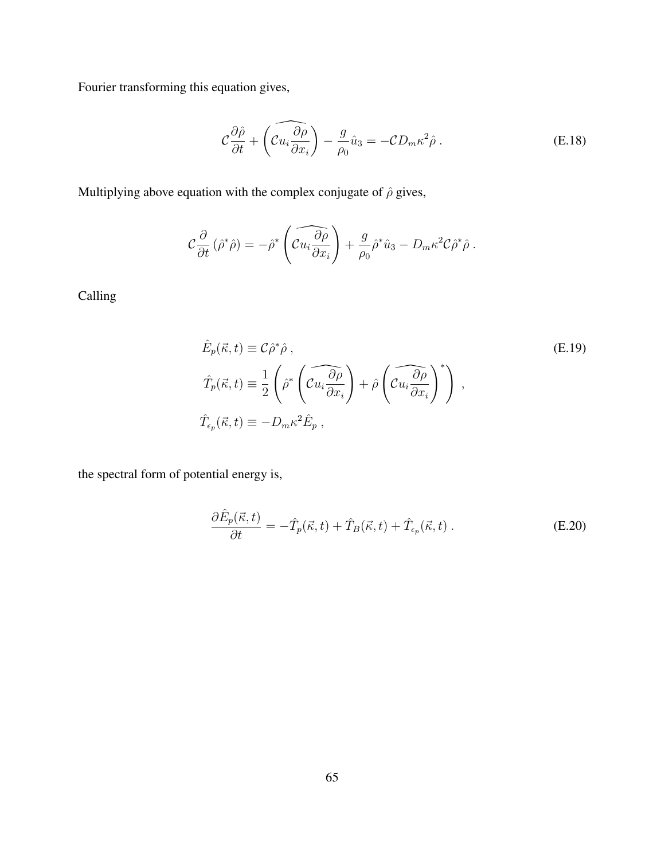Fourier transforming this equation gives,

$$
\mathcal{C}\frac{\partial\hat{\rho}}{\partial t} + \left(\widehat{\mathcal{C}u_i\frac{\partial\rho}{\partial x_i}}\right) - \frac{g}{\rho_0}\hat{u}_3 = -\mathcal{C}D_m\kappa^2\hat{\rho} \,. \tag{E.18}
$$

Multiplying above equation with the complex conjugate of  $\hat{\rho}$  gives,

$$
\mathcal{C}\frac{\partial}{\partial t}(\hat{\rho}^*\hat{\rho})=-\hat{\rho}^*\left(\widehat{\mathcal{C}u_i\frac{\partial \rho}{\partial x_i}}\right)+\frac{g}{\rho_0}\hat{\rho}^*\hat{u}_3-D_m\kappa^2\mathcal{C}\hat{\rho}^*\hat{\rho}.
$$

Calling

$$
\hat{E}_p(\vec{\kappa}, t) \equiv \mathcal{C}\hat{\rho}^*\hat{\rho} ,
$$
\n
$$
\hat{T}_p(\vec{\kappa}, t) \equiv \frac{1}{2} \left( \hat{\rho}^* \left( \widehat{\mathcal{C}u_i \frac{\partial \rho}{\partial x_i}} \right) + \hat{\rho} \left( \widehat{\mathcal{C}u_i \frac{\partial \rho}{\partial x_i}} \right)^* \right) ,
$$
\n
$$
\hat{T}_{\epsilon_p}(\vec{\kappa}, t) \equiv -D_m \kappa^2 \hat{E}_p ,
$$
\n(E.19)

the spectral form of potential energy is,

$$
\frac{\partial \hat{E}_p(\vec{\kappa},t)}{\partial t} = -\hat{T}_p(\vec{\kappa},t) + \hat{T}_B(\vec{\kappa},t) + \hat{T}_{\epsilon_p}(\vec{\kappa},t) . \tag{E.20}
$$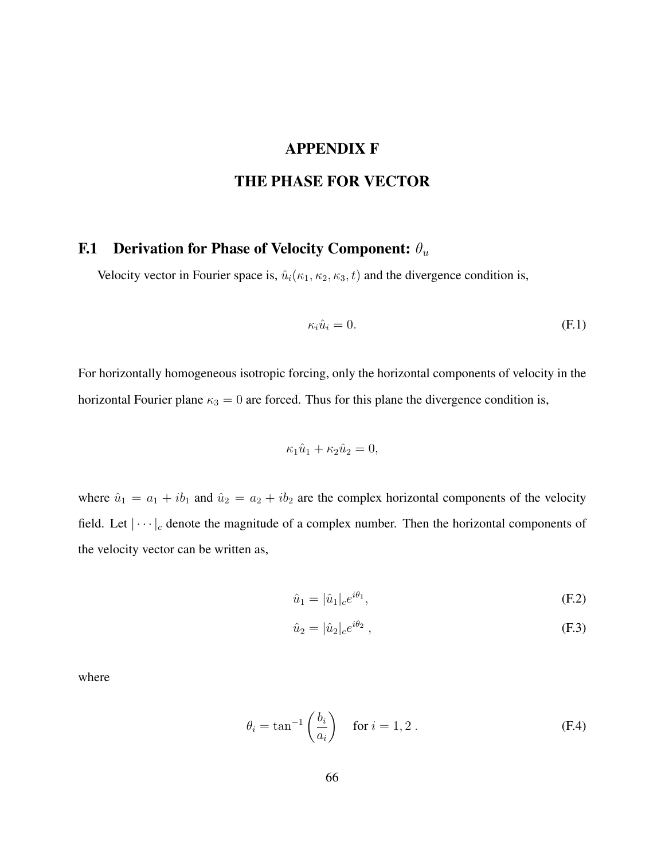#### APPENDIX F

### THE PHASE FOR VECTOR

# F.1 Derivation for Phase of Velocity Component:  $\theta_u$

Velocity vector in Fourier space is,  $\hat{u}_i(\kappa_1, \kappa_2, \kappa_3, t)$  and the divergence condition is,

$$
\kappa_i \hat{u}_i = 0. \tag{F.1}
$$

For horizontally homogeneous isotropic forcing, only the horizontal components of velocity in the horizontal Fourier plane  $\kappa_3 = 0$  are forced. Thus for this plane the divergence condition is,

$$
\kappa_1 \hat{u}_1 + \kappa_2 \hat{u}_2 = 0,
$$

where  $\hat{u}_1 = a_1 + ib_1$  and  $\hat{u}_2 = a_2 + ib_2$  are the complex horizontal components of the velocity field. Let  $|\cdots|_c$  denote the magnitude of a complex number. Then the horizontal components of the velocity vector can be written as,

$$
\hat{u}_1 = |\hat{u}_1|_c e^{i\theta_1},\tag{F.2}
$$

$$
\hat{u}_2 = |\hat{u}_2|_c e^{i\theta_2} \,,\tag{F.3}
$$

where

$$
\theta_i = \tan^{-1}\left(\frac{b_i}{a_i}\right) \quad \text{for } i = 1, 2. \tag{F.4}
$$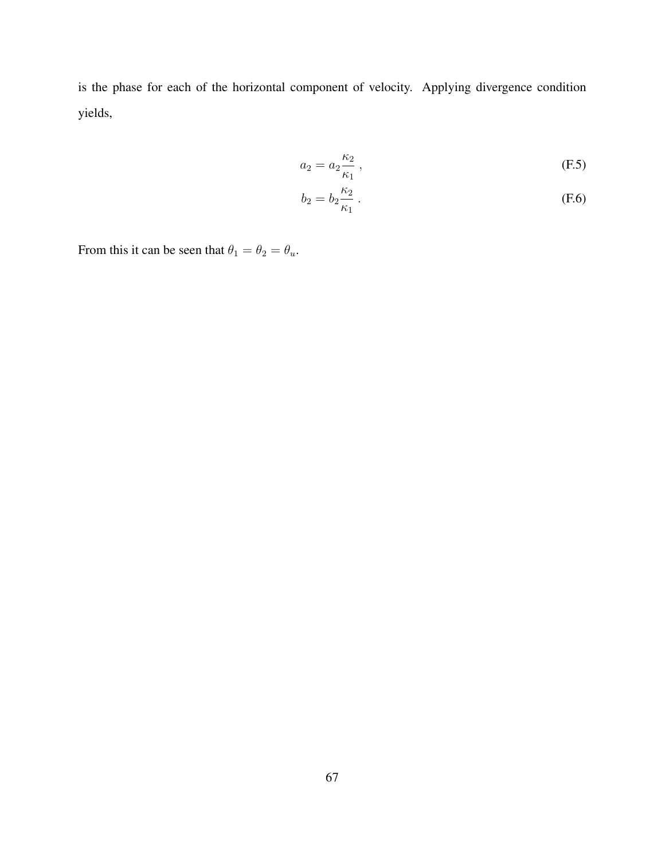is the phase for each of the horizontal component of velocity. Applying divergence condition yields,

$$
a_2 = a_2 \frac{\kappa_2}{\kappa_1} \,,\tag{F.5}
$$

$$
b_2 = b_2 \frac{\kappa_2}{\kappa_1} \,. \tag{F.6}
$$

From this it can be seen that  $\theta_1 = \theta_2 = \theta_u$ .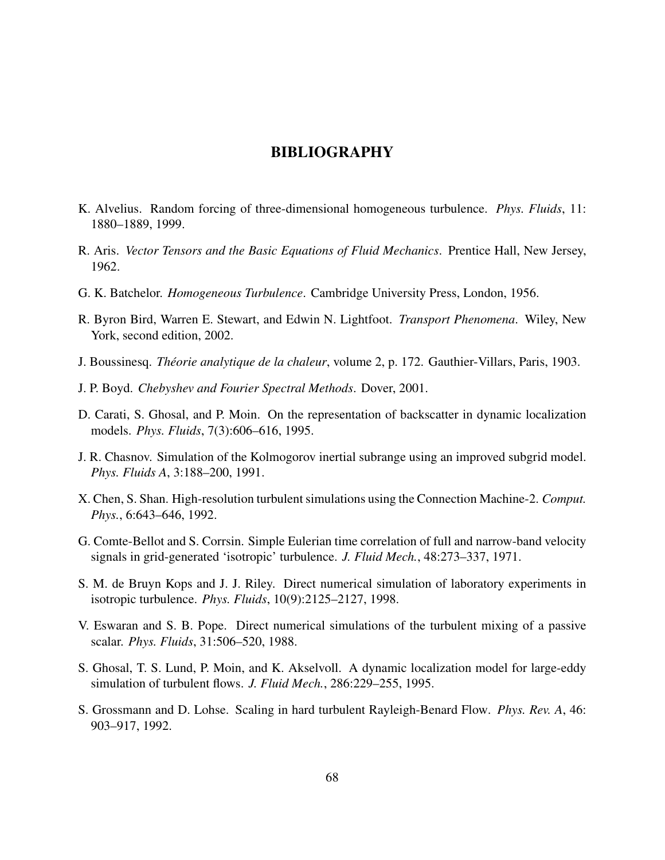#### BIBLIOGRAPHY

- K. Alvelius. Random forcing of three-dimensional homogeneous turbulence. *Phys. Fluids*, 11: 1880–1889, 1999.
- R. Aris. *Vector Tensors and the Basic Equations of Fluid Mechanics*. Prentice Hall, New Jersey, 1962.
- G. K. Batchelor. *Homogeneous Turbulence*. Cambridge University Press, London, 1956.
- R. Byron Bird, Warren E. Stewart, and Edwin N. Lightfoot. *Transport Phenomena*. Wiley, New York, second edition, 2002.
- J. Boussinesq. *Theorie analytique de la chaleur ´* , volume 2, p. 172. Gauthier-Villars, Paris, 1903.
- J. P. Boyd. *Chebyshev and Fourier Spectral Methods*. Dover, 2001.
- D. Carati, S. Ghosal, and P. Moin. On the representation of backscatter in dynamic localization models. *Phys. Fluids*, 7(3):606–616, 1995.
- J. R. Chasnov. Simulation of the Kolmogorov inertial subrange using an improved subgrid model. *Phys. Fluids A*, 3:188–200, 1991.
- X. Chen, S. Shan. High-resolution turbulent simulations using the Connection Machine-2. *Comput. Phys.*, 6:643–646, 1992.
- G. Comte-Bellot and S. Corrsin. Simple Eulerian time correlation of full and narrow-band velocity signals in grid-generated 'isotropic' turbulence. *J. Fluid Mech.*, 48:273–337, 1971.
- S. M. de Bruyn Kops and J. J. Riley. Direct numerical simulation of laboratory experiments in isotropic turbulence. *Phys. Fluids*, 10(9):2125–2127, 1998.
- V. Eswaran and S. B. Pope. Direct numerical simulations of the turbulent mixing of a passive scalar. *Phys. Fluids*, 31:506–520, 1988.
- S. Ghosal, T. S. Lund, P. Moin, and K. Akselvoll. A dynamic localization model for large-eddy simulation of turbulent flows. *J. Fluid Mech.*, 286:229–255, 1995.
- S. Grossmann and D. Lohse. Scaling in hard turbulent Rayleigh-Benard Flow. *Phys. Rev. A*, 46: 903–917, 1992.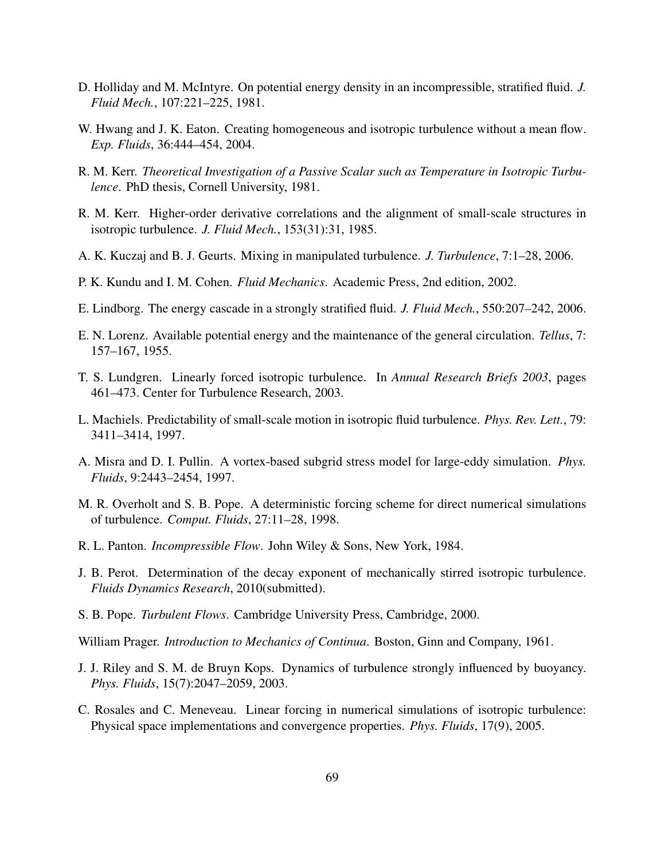- D. Holliday and M. McIntyre. On potential energy density in an incompressible, stratified fluid. *J. Fluid Mech.*, 107:221–225, 1981.
- W. Hwang and J. K. Eaton. Creating homogeneous and isotropic turbulence without a mean flow. *Exp. Fluids*, 36:444–454, 2004.
- R. M. Kerr. *Theoretical Investigation of a Passive Scalar such as Temperature in Isotropic Turbulence*. PhD thesis, Cornell University, 1981.
- R. M. Kerr. Higher-order derivative correlations and the alignment of small-scale structures in isotropic turbulence. *J. Fluid Mech.*, 153(31):31, 1985.
- A. K. Kuczaj and B. J. Geurts. Mixing in manipulated turbulence. *J. Turbulence*, 7:1–28, 2006.
- P. K. Kundu and I. M. Cohen. *Fluid Mechanics*. Academic Press, 2nd edition, 2002.
- E. Lindborg. The energy cascade in a strongly stratified fluid. *J. Fluid Mech.*, 550:207–242, 2006.
- E. N. Lorenz. Available potential energy and the maintenance of the general circulation. *Tellus*, 7: 157–167, 1955.
- T. S. Lundgren. Linearly forced isotropic turbulence. In *Annual Research Briefs 2003*, pages 461–473. Center for Turbulence Research, 2003.
- L. Machiels. Predictability of small-scale motion in isotropic fluid turbulence. *Phys. Rev. Lett.*, 79: 3411–3414, 1997.
- A. Misra and D. I. Pullin. A vortex-based subgrid stress model for large-eddy simulation. *Phys. Fluids*, 9:2443–2454, 1997.
- M. R. Overholt and S. B. Pope. A deterministic forcing scheme for direct numerical simulations of turbulence. *Comput. Fluids*, 27:11–28, 1998.
- R. L. Panton. *Incompressible Flow*. John Wiley & Sons, New York, 1984.
- J. B. Perot. Determination of the decay exponent of mechanically stirred isotropic turbulence. *Fluids Dynamics Research*, 2010(submitted).
- S. B. Pope. *Turbulent Flows*. Cambridge University Press, Cambridge, 2000.

William Prager. *Introduction to Mechanics of Continua*. Boston, Ginn and Company, 1961.

- J. J. Riley and S. M. de Bruyn Kops. Dynamics of turbulence strongly influenced by buoyancy. *Phys. Fluids*, 15(7):2047–2059, 2003.
- C. Rosales and C. Meneveau. Linear forcing in numerical simulations of isotropic turbulence: Physical space implementations and convergence properties. *Phys. Fluids*, 17(9), 2005.